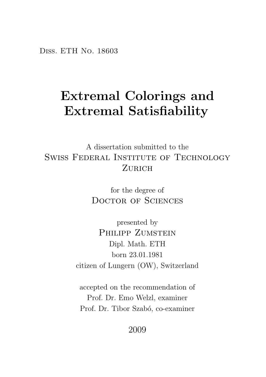Diss. ETH No. 18603

### Extremal Colorings and Extremal Satisfiability

A dissertation submitted to the Swiss Federal Institute of Technology ZURICH

> for the degree of DOCTOR OF SCIENCES

presented by PHILIPP ZUMSTEIN Dipl. Math. ETH born 23.01.1981 citizen of Lungern (OW), Switzerland

accepted on the recommendation of Prof. Dr. Emo Welzl, examiner Prof. Dr. Tibor Szabó, co-examiner

2009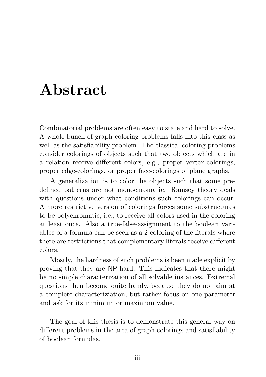### <span id="page-2-0"></span>Abstract

Combinatorial problems are often easy to state and hard to solve. A whole bunch of graph coloring problems falls into this class as well as the satisfiability problem. The classical coloring problems consider colorings of objects such that two objects which are in a relation receive different colors, e.g., proper vertex-colorings, proper edge-colorings, or proper face-colorings of plane graphs.

A generalization is to color the objects such that some predefined patterns are not monochromatic. Ramsey theory deals with questions under what conditions such colorings can occur. A more restrictive version of colorings forces some substructures to be polychromatic, i.e., to receive all colors used in the coloring at least once. Also a true-false-assignment to the boolean variables of a formula can be seen as a 2-coloring of the literals where there are restrictions that complementary literals receive different colors.

Mostly, the hardness of such problems is been made explicit by proving that they are NP-hard. This indicates that there might be no simple characterization of all solvable instances. Extremal questions then become quite handy, because they do not aim at a complete characteriziation, but rather focus on one parameter and ask for its minimum or maximum value.

The goal of this thesis is to demonstrate this general way on different problems in the area of graph colorings and satisfiability of boolean formulas.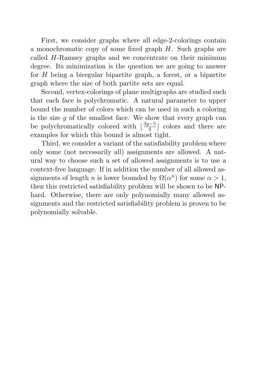First, we consider graphs where all edge-2-colorings contain a monochromatic copy of some fixed graph H. Such graphs are called H-Ramsey graphs and we concentrate on their minimum degree. Its minimization is the question we are going to answer for  $H$  being a biregular bipartite graph, a forest, or a bipartite graph where the size of both partite sets are equal.

Second, vertex-colorings of plane multigraphs are studied such that each face is polychromatic. A natural parameter to upper bound the number of colors which can be used in such a coloring is the size  $g$  of the smallest face. We show that every graph can be polychromatically colored with  $\lfloor \frac{3g-5}{4} \rfloor$  colors and there are examples for which this bound is almost tight.

Third, we consider a variant of the satisfiability problem where only some (not necessarily all) assignments are allowed. A natural way to choose such a set of allowed assignments is to use a context-free language. If in addition the number of all allowed assignments of length *n* is lower bounded by  $\Omega(\alpha^n)$  for some  $\alpha > 1$ , then this restricted satisfiability problem will be shown to be NPhard. Otherwise, there are only polynomially many allowed assignments and the restricted satisfiability problem is proven to be polynomially solvable.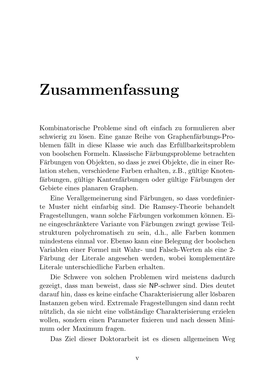### <span id="page-4-0"></span>Zusammenfassung

Kombinatorische Probleme sind oft einfach zu formulieren aber schwierig zu lösen. Eine ganze Reihe von Graphenfärbungs-Problemen fällt in diese Klasse wie auch das Erfüllbarkeitsproblem von boolschen Formeln. Klassische Färbungsprobleme betrachten Färbungen von Objekten, so dass je zwei Objekte, die in einer Relation stehen, verschiedene Farben erhalten, z.B., gültige Knotenfärbungen, gültige Kantenfärbungen oder gültige Färbungen der Gebiete eines planaren Graphen.

Eine Verallgemeinerung sind Färbungen, so dass vordefinierte Muster nicht einfarbig sind. Die Ramsey-Theorie behandelt Fragestellungen, wann solche Färbungen vorkommen können. Eine eingeschränktere Variante von Färbungen zwingt gewisse Teilstrukturen polychromatisch zu sein, d.h., alle Farben kommen mindestens einmal vor. Ebenso kann eine Belegung der boolschen Variablen einer Formel mit Wahr- und Falsch-Werten als eine 2- Färbung der Literale angesehen werden, wobei komplementäre Literale unterschiedliche Farben erhalten.

Die Schwere von solchen Problemen wird meistens dadurch gezeigt, dass man beweist, dass sie NP-schwer sind. Dies deutet darauf hin, dass es keine einfache Charakterisierung aller lösbaren Instanzen geben wird. Extremale Fragestellungen sind dann recht nützlich, da sie nicht eine vollständige Charakterisierung erzielen wollen, sondern einen Parameter fixieren und nach dessen Minimum oder Maximum fragen.

Das Ziel dieser Doktorarbeit ist es diesen allgemeinen Weg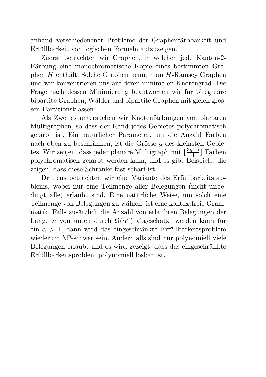anhand verschiedenener Probleme der Graphenfärbbarkeit und Erfullbarkeit von logischen Formeln aufzuzeigen. ¨

Zuerst betrachten wir Graphen, in welchen jede Kanten-2- Färbung eine monochromatische Kopie eines bestimmten Graphen  $H$  enthält. Solche Graphen nennt man  $H$ -Ramsey Graphen und wir konzentrieren uns auf deren minimalen Knotengrad. Die Frage nach dessen Minimierung beantworten wir für bireguläre bipartite Graphen, Wälder und bipartite Graphen mit gleich grossen Partitionsklassen.

Als Zweites untersuchen wir Knotenfärbungen von planaren Multigraphen, so dass der Rand jedes Gebietes polychromatisch gefärbt ist. Ein natürlicher Parameter, um die Anzahl Farben nach oben zu beschränken, ist die Grösse  $q$  des kleinsten Gebietes. Wir zeigen, dass jeder planare Multigraph mit  $\lfloor \frac{3g-5}{4}\rfloor$  Farben polychromatisch gef¨arbt werden kann, und es gibt Beispiele, die zeigen, dass diese Schranke fast scharf ist.

Drittens betrachten wir eine Variante des Erfullbarkeitspro- ¨ blems, wobei nur eine Teilmenge aller Belegungen (nicht unbedingt alle) erlaubt sind. Eine natürliche Weise, um solch eine Teilmenge von Belegungen zu wählen, ist eine kontextfreie Grammatik. Falls zusätzlich die Anzahl von erlaubten Belegungen der Länge n von unten durch  $\Omega(\alpha^n)$  abgeschätzt werden kann für ein  $\alpha > 1$ , dann wird das eingeschränkte Erfüllbarkeitsproblem wiederum NP-schwer sein. Andernfalls sind nur polynomiell viele Belegungen erlaubt und es wird gezeigt, dass das eingeschränkte Erfüllbarkeitsproblem polynomiell lösbar ist.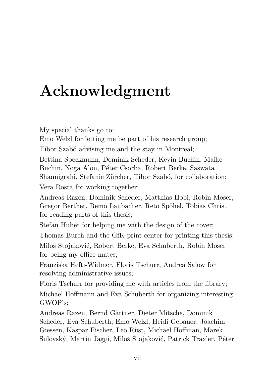# <span id="page-6-0"></span>Acknowledgment

My special thanks go to:

Emo Welzl for letting me be part of his research group;

Tibor Szabó advising me and the stay in Montreal;

Bettina Speckmann, Dominik Scheder, Kevin Buchin, Maike Buchin, Noga Alon, Péter Csorba, Robert Berke, Saswata Shannigrahi, Stefanie Zürcher, Tibor Szabó, for collaboration;

Vera Rosta for working together;

Andreas Razen, Dominik Scheder, Matthias Hobi, Robin Moser, Gregor Berther, Remo Laubacher, Reto Spöhel, Tobias Christ for reading parts of this thesis;

Stefan Huber for helping me with the design of the cover;

Thomas Burch and the GfK print center for printing this thesis; Miloš Stojaković, Robert Berke, Eva Schuberth, Robin Moser for being my office mates;

Franziska Hefti-Widmer, Floris Tschurr, Andrea Salow for resolving administrative issues;

Floris Tschurr for providing me with articles from the library;

Michael Hoffmann and Eva Schuberth for organizing interesting GWOP's;

Andreas Razen, Bernd Gärtner, Dieter Mitsche, Dominik Scheder, Eva Schuberth, Emo Welzl, Heidi Gebauer, Joachim Giessen, Kaspar Fischer, Leo Rüst, Michael Hoffman, Marek Sulovský, Martin Jaggi, Miloš Stojaković, Patrick Traxler, Péter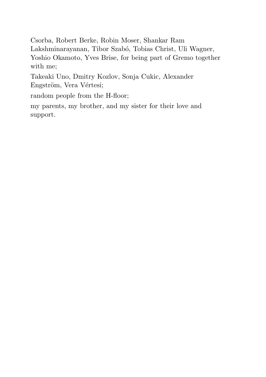Csorba, Robert Berke, Robin Moser, Shankar Ram Lakshminarayanan, Tibor Szabó, Tobias Christ, Uli Wagner, Yoshio Okamoto, Yves Brise, for being part of Gremo together with me;

Takeaki Uno, Dmitry Kozlov, Sonja Cukic, Alexander Engström, Vera Vértesi;

random people from the H-floor;

my parents, my brother, and my sister for their love and support.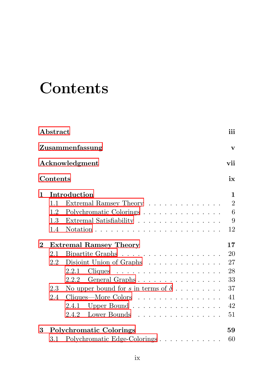## <span id="page-8-0"></span>**Contents**

|     |                              | iii                                                                                                                                                                                                                                                                                                                                                                                                                                                                  |
|-----|------------------------------|----------------------------------------------------------------------------------------------------------------------------------------------------------------------------------------------------------------------------------------------------------------------------------------------------------------------------------------------------------------------------------------------------------------------------------------------------------------------|
|     |                              | $\mathbf{v}$                                                                                                                                                                                                                                                                                                                                                                                                                                                         |
|     |                              | vii                                                                                                                                                                                                                                                                                                                                                                                                                                                                  |
|     |                              | ix                                                                                                                                                                                                                                                                                                                                                                                                                                                                   |
|     |                              | $\mathbf{1}$                                                                                                                                                                                                                                                                                                                                                                                                                                                         |
| 1.1 |                              | $\overline{2}$                                                                                                                                                                                                                                                                                                                                                                                                                                                       |
| 1.2 |                              | $6\phantom{.}6$                                                                                                                                                                                                                                                                                                                                                                                                                                                      |
|     | Extremal Satisfiability      | 9                                                                                                                                                                                                                                                                                                                                                                                                                                                                    |
| 1.4 |                              | 12                                                                                                                                                                                                                                                                                                                                                                                                                                                                   |
|     |                              | 17                                                                                                                                                                                                                                                                                                                                                                                                                                                                   |
| 2.1 |                              | 20                                                                                                                                                                                                                                                                                                                                                                                                                                                                   |
| 2.2 | Disjoint Union of Graphs     | 27                                                                                                                                                                                                                                                                                                                                                                                                                                                                   |
|     | 2.2.1                        | 28                                                                                                                                                                                                                                                                                                                                                                                                                                                                   |
|     | 2.2.2                        | 33                                                                                                                                                                                                                                                                                                                                                                                                                                                                   |
|     |                              | 37                                                                                                                                                                                                                                                                                                                                                                                                                                                                   |
| 2.4 |                              | 41                                                                                                                                                                                                                                                                                                                                                                                                                                                                   |
|     |                              | 42                                                                                                                                                                                                                                                                                                                                                                                                                                                                   |
|     | Lower Bounds<br>2.4.2        | 51                                                                                                                                                                                                                                                                                                                                                                                                                                                                   |
|     |                              | 59                                                                                                                                                                                                                                                                                                                                                                                                                                                                   |
|     | Polychromatic Edge-Colorings | 60                                                                                                                                                                                                                                                                                                                                                                                                                                                                   |
|     |                              | Abstract<br>Zusammenfassung<br>Acknowledgment<br>Contents<br>Introduction<br>Extremal Ramsey Theory<br>Polychromatic Colorings<br>1.3<br>Notation $\ldots \ldots \ldots \ldots \ldots \ldots \ldots \ldots$<br><b>Extremal Ramsey Theory</b><br>$Cliques \dots \dots \dots \dots \dots \dots \dots \dots$<br>General Graphs<br>No upper bound for s in terms of $\delta$<br>2.3<br>Cliques—More Colors<br>2.4.1 Upper Bound<br><b>Polychromatic Colorings</b><br>3.1 |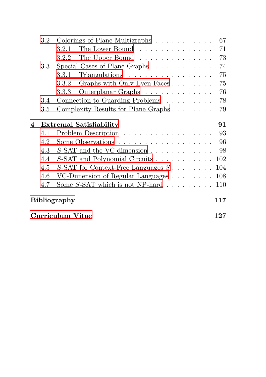|                     | $3.2\,$                 | Colorings of Plane Multigraphs                               | 67  |  |
|---------------------|-------------------------|--------------------------------------------------------------|-----|--|
|                     |                         | The Lower Bound<br>3.2.1                                     | 71  |  |
|                     |                         | The Upper Bound<br>3.2.2                                     | 73  |  |
|                     | $3.3\,$                 | Special Cases of Plane Graphs $\ldots \ldots \ldots$         | 74  |  |
|                     |                         | $Triangulations \ldots \ldots \ldots \ldots \ldots$<br>3.3.1 | 75  |  |
|                     |                         | Graphs with Only Even Faces<br>3.3.2                         | 75  |  |
|                     |                         | Outerplanar Graphs<br>3.3.3                                  | 76  |  |
|                     | 3.4                     | Connection to Guarding Problems                              | 78  |  |
|                     | $3.5\,$                 | Complexity Results for Plane Graphs                          | 79  |  |
| 4                   |                         | <b>Extremal Satisfiability</b>                               | 91  |  |
|                     | 4.1                     | Problem Description                                          | 93  |  |
|                     | 4.2                     | Some Observations                                            | 96  |  |
|                     | 4.3                     | $S$ -SAT and the VC-dimension $\ldots \ldots \ldots \ldots$  | -98 |  |
|                     | 4.4                     | S-SAT and Polynomial Circuits                                | 102 |  |
|                     | 4.5                     | S-SAT for Context-Free Languages $S \dots \dots$             | 104 |  |
|                     | 4.6                     | VC-Dimension of Regular Languages                            | 108 |  |
|                     | 4.7                     | Some $S$ -SAT which is not NP-hard $\ldots \ldots \ldots$    | 110 |  |
| Bibliography<br>117 |                         |                                                              |     |  |
|                     | <b>Curriculum Vitae</b> |                                                              |     |  |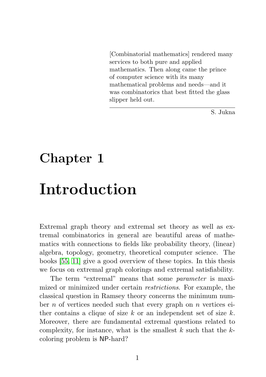<span id="page-10-0"></span>[Combinatorial mathematics] rendered many services to both pure and applied mathematics. Then along came the prince of computer science with its many mathematical problems and needs—and it was combinatorics that best fitted the glass slipper held out.

S. Jukna

# Chapter 1

### Introduction

Extremal graph theory and extremal set theory as well as extremal combinatorics in general are beautiful areas of mathematics with connections to fields like probability theory, (linear) algebra, topology, geometry, theoretical computer science. The books [\[55,](#page-131-0) [11\]](#page-127-0) give a good overview of these topics. In this thesis we focus on extremal graph colorings and extremal satisfiability.

The term "extremal" means that some *parameter* is maximized or minimized under certain *restrictions*. For example, the classical question in Ramsey theory concerns the minimum number  $n$  of vertices needed such that every graph on  $n$  vertices either contains a clique of size k or an independent set of size  $k$ . Moreover, there are fundamental extremal questions related to complexity, for instance, what is the smallest  $k$  such that the  $k$ coloring problem is NP-hard?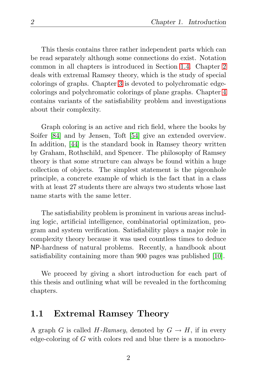This thesis contains three rather independent parts which can be read separately although some connections do exist. Notation common in all chapters is introduced in Section [1.4.](#page-21-0) Chapter [2](#page-26-0) deals with extremal Ramsey theory, which is the study of special colorings of graphs. Chapter [3](#page-68-0) is devoted to polychromatic edgecolorings and polychromatic colorings of plane graphs. Chapter [4](#page-100-0) contains variants of the satisfiability problem and investigations about their complexity.

Graph coloring is an active and rich field, where the books by Soifer [\[84\]](#page-134-0) and by Jensen, Toft [\[54\]](#page-131-1) give an extended overview. In addition, [\[44\]](#page-130-0) is the standard book in Ramsey theory written by Graham, Rothschild, and Spencer. The philosophy of Ramsey theory is that some structure can always be found within a huge collection of objects. The simplest statement is the pigeonhole principle, a concrete example of which is the fact that in a class with at least 27 students there are always two students whose last name starts with the same letter.

The satisfiability problem is prominent in various areas including logic, artificial intelligence, combinatorial optimization, program and system verification. Satisfiability plays a major role in complexity theory because it was used countless times to deduce NP-hardness of natural problems. Recently, a handbook about satisfiability containing more than 900 pages was published [\[10\]](#page-127-1).

We proceed by giving a short introduction for each part of this thesis and outlining what will be revealed in the forthcoming chapters.

#### <span id="page-11-0"></span>1.1 Extremal Ramsey Theory

A graph G is called H-Ramsey, denoted by  $G \to H$ , if in every edge-coloring of G with colors red and blue there is a monochro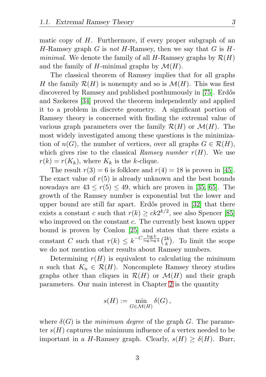matic copy of  $H$ . Furthermore, if every proper subgraph of an H-Ramsey graph G is *not* H-Ramsey, then we say that G is H*minimal*. We denote the family of all H-Ramsey graphs by  $\mathcal{R}(H)$ and the family of H-minimal graphs by  $\mathcal{M}(H)$ .

The classical theorem of Ramsey implies that for all graphs H the family  $\mathcal{R}(H)$  is nonempty and so is  $\mathcal{M}(H)$ . This was first discovered by Ramsey and published posthumously in [\[75\]](#page-133-0). Erdős and Szekeres [\[34\]](#page-129-0) proved the theorem independently and applied it to a problem in discrete geometry. A significant portion of Ramsey theory is concerned with finding the extremal value of various graph parameters over the family  $\mathcal{R}(H)$  or  $\mathcal{M}(H)$ . The most widely investigated among these questions is the minimization of  $n(G)$ , the number of vertices, over all graphs  $G \in \mathcal{R}(H)$ , which gives rise to the classical *Ramsey number*  $r(H)$ . We use  $r(k) = r(K_k)$ , where  $K_k$  is the k-clique.

The result  $r(3) = 6$  is folklore and  $r(4) = 18$  is proven in [\[45\]](#page-130-1). The exact value of  $r(5)$  is already unknown and the best bounds nowadays are  $43 < r(5) < 49$ , which are proven in [\[35,](#page-129-1) [65\]](#page-132-0). The growth of the Ramsey number is exponential but the lower and upper bound are still far apart. Erdős proved in [\[32\]](#page-129-2) that there exists a constant c such that  $r(k) \geq ck2^{k/2}$ , see also Spencer [\[85\]](#page-134-1) who improved on the constant c. The currently best known upper bound is proven by Conlon [\[25\]](#page-128-0) and states that there exists a constant C such that  $r(k) \leq k^{-C \frac{\log k}{\log \log k}} \binom{2k}{k}$  $\binom{2k}{k}$ . To limit the scope we do not mention other results about Ramsey numbers.

Determining  $r(H)$  is equivalent to calculating the minimum n such that  $K_n \in \mathcal{R}(H)$ . Noncomplete Ramsey theory studies graphs other than cliques in  $\mathcal{R}(H)$  or  $\mathcal{M}(H)$  and their graph parameters. Our main interest in Chapter [2](#page-26-0) is the quantity

$$
s(H) := \min_{G \in \mathcal{M}(H)} \delta(G),
$$

where  $\delta(G)$  is the *minimum degree* of the graph G. The parameter  $s(H)$  captures the minimum influence of a vertex needed to be important in a H-Ramsey graph. Clearly,  $s(H) \geq \delta(H)$ . Burr,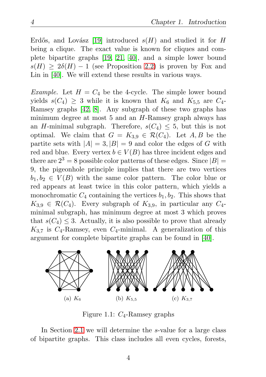Erdős, and Lovász [\[19\]](#page-128-1) introduced  $s(H)$  and studied it for H being a clique. The exact value is known for cliques and complete bipartite graphs [\[19,](#page-128-1) [21,](#page-128-2) [40\]](#page-130-2), and a simple lower bound  $s(H) \geq 2\delta(H) - 1$  (see Proposition [2.2\)](#page-28-0) is proven by Fox and Lin in [\[40\]](#page-130-2). We will extend these results in various ways.

*Example.* Let  $H = C_4$  be the 4-cycle. The simple lower bound yields  $s(C_4) \geq 3$  while it is known that  $K_6$  and  $K_{5,5}$  are  $C_4$ -Ramsey graphs [\[42,](#page-130-3) [8\]](#page-127-2). Any subgraph of these two graphs has minimum degree at most  $5$  and an  $H$ -Ramsey graph always has an H-minimal subgraph. Therefore,  $s(C_4) \leq 5$ , but this is not optimal. We claim that  $G = K_{3,9} \in \mathcal{R}(C_4)$ . Let  $A, B$  be the partite sets with  $|A| = 3$ ,  $|B| = 9$  and color the edges of G with red and blue. Every vertex  $b \in V(B)$  has three incident edges and there are  $2^3 = 8$  possible color patterns of these edges. Since  $|B| =$ 9, the pigeonhole principle implies that there are two vertices  $b_1, b_2 \in V(B)$  with the same color pattern. The color blue or red appears at least twice in this color pattern, which yields a monochromatic  $C_4$  containing the vertices  $b_1, b_2$ . This shows that  $K_{3,9} \in \mathcal{R}(C_4)$ . Every subgraph of  $K_{3,9}$ , in particular any  $C_4$ minimal subgraph, has minimum degree at most 3 which proves that  $s(C_4) \leq 3$ . Actually, it is also possible to prove that already  $K_{3.7}$  is  $C_4$ -Ramsey, even  $C_4$ -minimal. A generalization of this argument for complete bipartite graphs can be found in [\[40\]](#page-130-2).



Figure 1.1:  $C_4$ -Ramsey graphs

In Section [2.1](#page-29-0) we will determine the s-value for a large class of bipartite graphs. This class includes all even cycles, forests,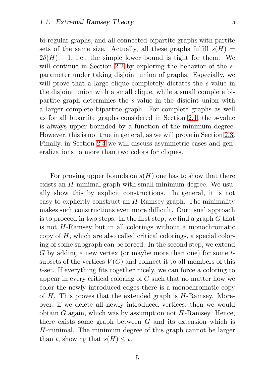bi-regular graphs, and all connected bipartite graphs with partite sets of the same size. Actually, all these graphs fulfill  $s(H)$  =  $2\delta(H) - 1$ , i.e., the simple lower bound is tight for them. We will continue in Section [2.2](#page-36-0) by exploring the behavior of the sparameter under taking disjoint union of graphs. Especially, we will prove that a large clique completely dictates the s-value in the disjoint union with a small clique, while a small complete bipartite graph determines the s-value in the disjoint union with a larger complete bipartite graph. For complete graphs as well as for all bipartite graphs considered in Section [2.1,](#page-29-0) the s-value is always upper bounded by a function of the minimum degree. However, this is not true in general, as we will prove in Section [2.3.](#page-46-0) Finally, in Section [2.4](#page-50-0) we will discuss asymmetric cases and generalizations to more than two colors for cliques.

For proving upper bounds on  $s(H)$  one has to show that there exists an H-minimal graph with small minimum degree. We usually show this by explicit constructions. In general, it is not easy to explicitly construct an H-Ramsey graph. The minimality makes such constructions even more difficult. Our usual approach is to proceed in two steps. In the first step, we find a graph  $G$  that is not H-Ramsey but in all colorings without a monochromatic copy of H, which are also called critical colorings, a special coloring of some subgraph can be forced. In the second step, we extend G by adding a new vertex (or maybe more than one) for some tsubsets of the vertices  $V(G)$  and connect it to all members of this t-set. If everything fits together nicely, we can force a coloring to appear in every critical coloring of G such that no matter how we color the newly introduced edges there is a monochromatic copy of  $H$ . This proves that the extended graph is  $H$ -Ramsey. Moreover, if we delete all newly introduced vertices, then we would obtain  $G$  again, which was by assumption not  $H$ -Ramsey. Hence, there exists some graph between  $G$  and its extension which is H-minimal. The minimum degree of this graph cannot be larger than t, showing that  $s(H) \leq t$ .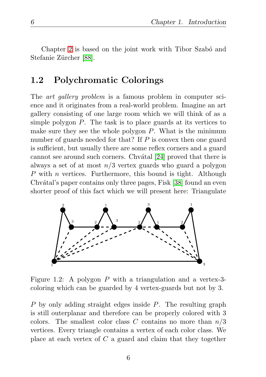Chapter [2](#page-26-0) is based on the joint work with Tibor Szabó and Stefanie Zürcher [\[88\]](#page-134-2).

#### <span id="page-15-0"></span>1.2 Polychromatic Colorings

The *art gallery problem* is a famous problem in computer science and it originates from a real-world problem. Imagine an art gallery consisting of one large room which we will think of as a simple polygon  $P$ . The task is to place guards at its vertices to make sure they see the whole polygon  $P$ . What is the minimum number of guards needed for that? If  $P$  is convex then one guard is sufficient, but usually there are some reflex corners and a guard cannot see around such corners. Chvatal [\[24\]](#page-128-3) proved that there is always a set of at most  $n/3$  vertex guards who guard a polygon P with n vertices. Furthermore, this bound is tight. Although Chvátal's paper contains only three pages, Fisk [\[38\]](#page-130-4) found an even shorter proof of this fact which we will present here: Triangulate



Figure 1.2: A polygon P with a triangulation and a vertex-3 coloring which can be guarded by 4 vertex-guards but not by 3.

P by only adding straight edges inside P. The resulting graph is still outerplanar and therefore can be properly colored with 3 colors. The smallest color class C contains no more than  $n/3$ vertices. Every triangle contains a vertex of each color class. We place at each vertex of  $C$  a guard and claim that they together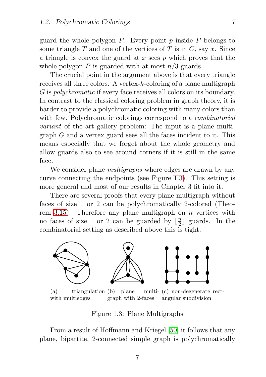guard the whole polygon  $P$ . Every point  $p$  inside  $P$  belongs to some triangle T and one of the vertices of T is in C, say x. Since a triangle is convex the guard at x sees  $p$  which proves that the whole polygon P is guarded with at most  $n/3$  guards.

The crucial point in the argument above is that every triangle receives all three colors. A vertex-k-coloring of a plane multigraph G is *polychromatic* if every face receives all colors on its boundary. In contrast to the classical coloring problem in graph theory, it is harder to provide a polychromatic coloring with many colors than with few. Polychromatic colorings correspond to a *combinatorial variant* of the art gallery problem: The input is a plane multigraph G and a vertex guard sees all the faces incident to it. This means especially that we forget about the whole geometry and allow guards also to see around corners if it is still in the same face.

We consider plane *multigraphs* where edges are drawn by any curve connecting the endpoints (see Figure [1.3\)](#page-16-0). This setting is more general and most of our results in Chapter 3 fit into it.

There are several proofs that every plane multigraph without faces of size 1 or 2 can be polychromatically 2-colored (Theo-rem [3.15\)](#page-78-0). Therefore any plane multigraph on  $n$  vertices with no faces of size 1 or 2 can be guarded by  $\frac{n}{2}$  $\frac{n}{2}$  guards. In the combinatorial setting as described above this is tight.



(a) triangulation (b) plane multiwith multiedges graph with 2-faces multi- (c) non-degenerate rectangular subdivision

<span id="page-16-0"></span>Figure 1.3: Plane Multigraphs

From a result of Hoffmann and Kriegel [\[50\]](#page-131-2) it follows that any plane, bipartite, 2-connected simple graph is polychromatically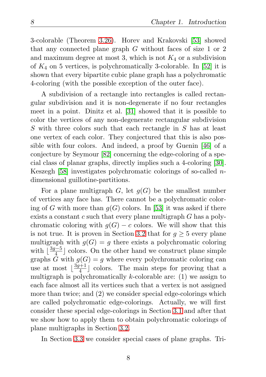3-colorable (Theorem [3.26\)](#page-85-1). Horev and Krakovski [\[53\]](#page-131-3) showed that any connected plane graph G without faces of size 1 or 2 and maximum degree at most 3, which is not  $K_4$  or a subdivision of  $K_4$  on 5 vertices, is polychromatically 3-colorable. In [\[52\]](#page-131-4) it is shown that every bipartite cubic plane graph has a polychromatic 4-coloring (with the possible exception of the outer face).

A subdivision of a rectangle into rectangles is called rectangular subdivision and it is non-degenerate if no four rectangles meet in a point. Dinitz et al. [\[31\]](#page-129-3) showed that it is possible to color the vertices of any non-degenerate rectangular subdivision S with three colors such that each rectangle in S has at least one vertex of each color. They conjectured that this is also possible with four colors. And indeed, a proof by Guenin [\[46\]](#page-130-5) of a conjecture by Seymour [\[82\]](#page-134-3) concerning the edge-coloring of a special class of planar graphs, directly implies such a 4-coloring [\[30\]](#page-129-4). Keszegh [\[58\]](#page-131-5) investigates polychromatic colorings of so-called ndimensional guillotine-partitions.

For a plane multigraph G, let  $g(G)$  be the smallest number of vertices any face has. There cannot be a polychromatic coloring of G with more than  $g(G)$  colors. In [\[53\]](#page-131-3) it was asked if there exists a constant  $c$  such that every plane multigraph  $G$  has a polychromatic coloring with  $g(G) - c$  colors. We will show that this is not true. It is proven in Section [3.2](#page-76-0) that for  $q \geq 5$  every plane multigraph with  $g(G) = g$  there exists a polychromatic coloring with  $\lfloor \frac{3g-5}{4} \rfloor$  colors. On the other hand we construct plane simple graphs G with  $g(G) = g$  where every polychromatic coloring can use at most  $\lfloor \frac{3g+1}{4} \rfloor$  $\frac{a+1}{4}$  colors. The main steps for proving that a multigraph is polychromatically  $k$ -colorable are: (1) we assign to each face almost all its vertices such that a vertex is not assigned more than twice; and (2) we consider special edge-colorings which are called polychromatic edge-colorings. Actually, we will first consider these special edge-colorings in Section [3.1](#page-69-0) and after that we show how to apply them to obtain polychromatic colorings of plane multigraphs in Section [3.2.](#page-76-0)

In Section [3.3](#page-83-0) we consider special cases of plane graphs. Tri-

8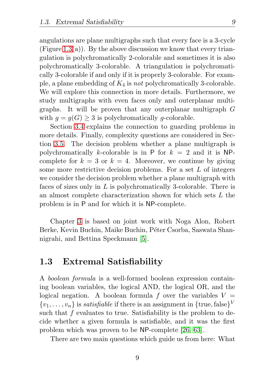angulations are plane multigraphs such that every face is a 3-cycle (Figure [1.3\(](#page-16-0)a)). By the above discussion we know that every triangulation is polychromatically 2-colorable and sometimes it is also polychromatically 3-colorable. A triangulation is polychromatically 3-colorable if and only if it is properly 3-colorable. For example, a plane embedding of K<sup>4</sup> is *not* polychromatically 3-colorable. We will explore this connection in more details. Furthermore, we study multigraphs with even faces only and outerplanar multigraphs. It will be proven that any outerplanar multigraph G with  $q = q(G) > 3$  is polychromatically q-colorable.

Section [3.4](#page-87-0) explains the connection to guarding problems in more details. Finally, complexity questions are considered in Section [3.5.](#page-88-0) The decision problem whether a plane multigraph is polychromatically k-colorable is in P for  $k = 2$  and it is NPcomplete for  $k = 3$  or  $k = 4$ . Moreover, we continue by giving some more restrictive decision problems. For a set L of integers we consider the decision problem whether a plane multigraph with faces of sizes only in  $L$  is polychromatically 3-colorable. There is an almost complete characterization shown for which sets L the problem is in P and for which it is NP-complete.

Chapter [3](#page-68-0) is based on joint work with Noga Alon, Robert Berke, Kevin Buchin, Maike Buchin, Péter Csorba, Saswata Shannigrahi, and Bettina Speckmann [\[5\]](#page-126-1).

#### <span id="page-18-0"></span>1.3 Extremal Satisfiability

A *boolean formula* is a well-formed boolean expression containing boolean variables, the logical AND, the logical OR, and the logical negation. A boolean formula f over the variables  $V =$  $\{v_1, \ldots, v_n\}$  is *satisfiable* if there is an assignment in  $\{\text{true}, \text{false}\}^V$ such that f evaluates to true. Satisfiability is the problem to decide whether a given formula is satisfiable, and it was the first problem which was proven to be NP-complete [\[26,](#page-128-4) [63\]](#page-132-1).

There are two main questions which guide us from here: What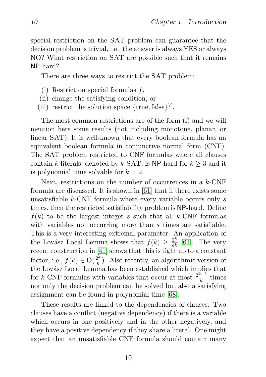special restriction on the SAT problem can guarantee that the decision problem is trivial, i.e., the answer is always YES or always NO? What restriction on SAT are possible such that it remains NP-hard?

There are three ways to restrict the SAT problem:

- (i) Restrict on special formulas f,
- (ii) change the satisfying condition, or
- (iii) restrict the solution space  $\{\text{true}, \text{false}\}^V$ .

The most common restrictions are of the form (i) and we will mention here some results (not including monotone, planar, or linear SAT). It is well-known that every boolean formula has an equivalent boolean formula in conjunctive normal form (CNF). The SAT problem restricted to CNF formulas where all clauses contain k literals, denoted by k-SAT, is NP-hard for  $k \geq 3$  and it is polynomial time solvable for  $k = 2$ .

Next, restrictions on the number of occurrences in a k-CNF formula are discussed. It is shown in [\[61\]](#page-132-2) that if there exists some unsatisfiable  $k$ -CNF formula where every variable occurs only  $s$ times, then the restricted satisfiability problem is NP-hard. Define  $f(k)$  to be the largest integer s such that all k-CNF formulas with variables not occurring more than s times are satisfiable. This is a very interesting extremal parameter. An application of the Lovász Local Lemma shows that  $f(k) \geq \frac{2^k}{e k}$  [\[61\]](#page-132-2). The very recent construction in [\[41\]](#page-130-6) shows that this is tight up to a constant factor, i.e.,  $f(k) \in \Theta(\frac{2^k}{k})$  $\frac{2^{n}}{k}$ ). Also recently, an algorithmic version of the Lovász Local Lemma has been established which implies that for k-CNF formulas with variables that occur at most  $\frac{2^{k-5}}{k}$  $\frac{k}{k}$  times not only the decision problem can be solved but also a satisfying assignment can be found in polynomial time [\[68\]](#page-132-3).

These results are linked to the dependencies of clauses: Two clauses have a conflict (negative dependency) if there is a variable which occurs in one positively and in the other negatively, and they have a positive dependency if they share a literal. One might expect that an unsatisfiable CNF formula should contain many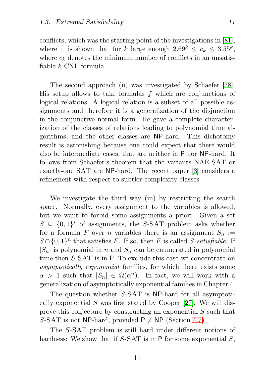conflicts, which was the starting point of the investigations in [\[81\]](#page-133-1), where it is shown that for k large enough  $2.69^k \leq c_k \leq 3.55^k$ , where  $c_k$  denotes the minimum number of conflicts in an unsatisfiable k-CNF formula.

The second approach (ii) was investigated by Schaefer [\[78\]](#page-133-2). His setup allows to take formulas f which are conjunctions of logical relations. A logical relation is a subset of all possible assignments and therefore it is a generalization of the disjunction in the conjunctive normal form. He gave a complete characterization of the classes of relations leading to polynomial time algorithms, and the other classes are NP-hard. This dichotomy result is astonishing because one could expect that there would also be intermediate cases, that are neither in P nor NP-hard. It follows from Schaefer's theorem that the variants NAE-SAT or exactly-one SAT are NP-hard. The recent paper [\[3\]](#page-126-2) considers a refinement with respect to subtler complexity classes.

We investigate the third way (iii) by restricting the search space. Normally, every assignment to the variables is allowed, but we want to forbid some assignments a priori. Given a set  $S \subseteq \{0,1\}^*$  of assignments, the S-SAT problem asks whether for a formula F over n variables there is an assignment  $S_n :=$  $S \cap \{0,1\}^n$  that satisfies F. If so, then F is called S-satisfiable. If  $|S_n|$  is polynomial in n and  $S_n$  can be enumerated in polynomial time then S-SAT is in P. To exclude this case we concentrate on *asymptotically exponential* families, for which there exists some  $\alpha > 1$  such that  $|S_n| \in \Omega(\alpha^n)$ . In fact, we will work with a generalization of asymptotically exponential families in Chapter 4.

The question whether S-SAT is NP-hard for all asymptotically exponential  $S$  was first stated by Cooper [\[27\]](#page-129-5). We will disprove this conjecture by constructing an exponential S such that S-SAT is not NP-hard, provided  $P \neq NP$  (Section [4.7\)](#page-119-0)

The S-SAT problem is still hard under different notions of hardness: We show that if  $S$ -SAT is in P for some exponential  $S$ ,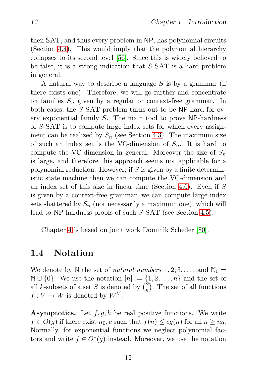then SAT, and thus every problem in NP, has polynomial circuits (Section [4.4\)](#page-111-0). This would imply that the polynomial hierarchy collapses to its second level [\[56\]](#page-131-6). Since this is widely believed to be false, it is a strong indication that S-SAT is a hard problem in general.

A natural way to describe a language  $S$  is by a grammar (if there exists one). Therefore, we will go further and concentrate on families  $S_n$  given by a regular or context-free grammar. In both cases, the S-SAT problem turns out to be NP-hard for every exponential family S. The main tool to prove NP-hardness of S-SAT is to compute large index sets for which every assignment can be realized by  $S_n$  (see Section [4.3\)](#page-107-0). The maximum size of such an index set is the VC-dimension of  $S_n$ . It is hard to compute the VC-dimension in general. Moreover the size of  $S_n$ is large, and therefore this approach seems not applicable for a polynomial reduction. However, if  $S$  is given by a finite deterministic state machine then we can compute the VC-dimension and an index set of this size in linear time (Section [4.6\)](#page-117-0). Even if S is given by a context-free grammar, we can compute large index sets shattered by  $S_n$  (not necessarily a maximum one), which will lead to NP-hardness proofs of such S-SAT (see Section [4.5\)](#page-113-0).

Chapter [4](#page-100-0) is based on joint work Dominik Scheder [\[80\]](#page-133-3).

#### <span id="page-21-0"></span>1.4 Notation

We denote by N the set of *natural numbers*  $1, 2, 3, \ldots$ , and  $\mathbb{N}_0 =$  $\mathbb{N} \cup \{0\}$ . We use the notation  $[n] := \{1, 2, \ldots, n\}$  and the set of all k-subsets of a set S is denoted by  $\binom{S}{k}$  $\binom{S}{k}$ . The set of all functions  $f: V \to W$  is denoted by  $W^V$ .

**Asymptotics.** Let  $f, g, h$  be real positive functions. We write  $f \in O(g)$  if there exist  $n_0$ , c such that  $f(n) \leq cg(n)$  for all  $n \geq n_0$ . Normally, for exponential functions we neglect polynomial factors and write  $f \in O^*(g)$  instead. Moreover, we use the notation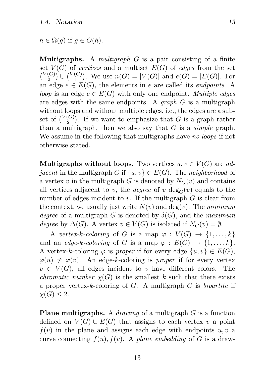$h \in \Omega(q)$  if  $q \in O(h)$ .

Multigraphs. A *multigraph* G is a pair consisting of a finite set  $V(G)$  of *vertices* and a multiset  $E(G)$  of *edges* from the set  $\binom{V(G)}{2}$  ${C(G) \choose 2} \cup {V(G) \choose 1}$  $1^{(G)}$ . We use  $n(G) = |V(G)|$  and  $e(G) = |E(G)|$ . For an edge  $e \in E(G)$ , the elements in e are called its *endpoints*. A *loop* is an edge  $e \in E(G)$  with only one endpoint. *Multiple edges* are edges with the same endpoints. A *graph* G is a multigraph without loops and without multiple edges, i.e., the edges are a subset of  $\binom{V(G)}{2}$  $2<sup>(G)</sup>$ ). If we want to emphasize that G is a graph rather than a multigraph, then we also say that G is a *simple* graph. We assume in the following that multigraphs have *no loops* if not otherwise stated.

**Multigraphs without loops.** Two vertices  $u, v \in V(G)$  are *adjacent* in the multigraph G if  $\{u, v\} \in E(G)$ . The *neighborhood* of a vertex v in the multigraph G is denoted by  $N_G(v)$  and contains all vertices adjacent to v, the *degree* of v  $deg_G(v)$  equals to the number of edges incident to  $v$ . If the multigraph  $G$  is clear from the context, we usually just write  $N(v)$  and  $deg(v)$ . The *minimum degree* of a multigraph G is denoted by  $\delta(G)$ , and the *maximum degree* by  $\Delta(G)$ . A vertex  $v \in V(G)$  is isolated if  $N_G(v) = \emptyset$ .

A *vertex-k-coloring* of G is a map  $\varphi: V(G) \to \{1, \ldots, k\}$ and an *edge-k-coloring* of G is a map  $\varphi : E(G) \to \{1, ..., k\}.$ A vertex-k-coloring  $\varphi$  is *proper* if for every edge  $\{u, v\} \in E(G)$ ,  $\varphi(u) \neq \varphi(v)$ . An edge-k-coloring is *proper* if for every vertex  $v \in V(G)$ , all edges incident to v have different colors. The *chromatic number*  $\chi(G)$  is the smallest k such that there exists a proper vertex-k-coloring of G. A multigraph G is *bipartite* if  $\chi(G) \leq 2$ .

Plane multigraphs. A *drawing* of a multigraph G is a function defined on  $V(G) \cup E(G)$  that assigns to each vertex v a point  $f(v)$  in the plane and assigns each edge with endpoints  $u, v$  a curve connecting  $f(u)$ ,  $f(v)$ . A *plane embedding* of G is a draw-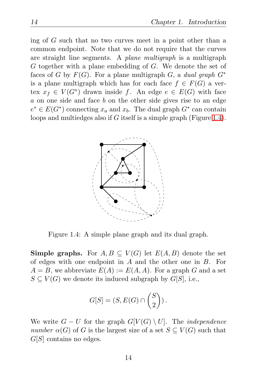ing of G such that no two curves meet in a point other than a common endpoint. Note that we do not require that the curves are straight line segments. A *plane multigraph* is a multigraph G together with a plane embedding of G. We denote the set of faces of G by  $F(G)$ . For a plane multigraph G, a *dual graph*  $G^*$ is a plane multigraph which has for each face  $f \in F(G)$  a vertex  $x_f \in V(G^*)$  drawn inside f. An edge  $e \in E(G)$  with face a on one side and face b on the other side gives rise to an edge  $e^* \in E(G^*)$  connecting  $x_a$  and  $x_b$ . The dual graph  $G^*$  can contain loops and multiedges also if G itself is a simple graph (Figure [1.4\)](#page-23-0).



<span id="page-23-0"></span>Figure 1.4: A simple plane graph and its dual graph.

**Simple graphs.** For  $A, B \subseteq V(G)$  let  $E(A, B)$  denote the set of edges with one endpoint in A and the other one in B. For  $A = B$ , we abbreviate  $E(A) := E(A, A)$ . For a graph G and a set  $S \subset V(G)$  we denote its induced subgraph by  $G[S]$ , i.e.,

$$
G[S] = (S, E(G) \cap {S \choose 2}).
$$

We write  $G - U$  for the graph  $G[V(G) \setminus U]$ . The *independence number*  $\alpha(G)$  of G is the largest size of a set  $S \subseteq V(G)$  such that  $G[S]$  contains no edges.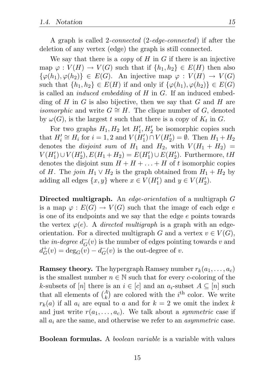A graph is called 2*-connected* (2*-edge-connected*) if after the deletion of any vertex (edge) the graph is still connected.

We say that there is a *copy* of H in G if there is an injective map  $\varphi: V(H) \to V(G)$  such that if  $\{h_1, h_2\} \in E(H)$  then also  $\{\varphi(h_1), \varphi(h_2)\}\in E(G)$ . An injective map  $\varphi: V(H) \to V(G)$ such that  $\{h_1, h_2\} \in E(H)$  if and only if  $\{\varphi(h_1), \varphi(h_2)\} \in E(G)$ is called an *induced embedding* of H in G. If an induced embedding of H in G is also bijective, then we say that G and H are *isomorphic* and write  $G \cong H$ . The clique number of G, denoted by  $\omega(G)$ , is the largest t such that there is a copy of  $K_t$  in G.

For two graphs  $H_1, H_2$  let  $H'_1, H'_2$  be isomorphic copies such that  $H'_i \cong H_i$  for  $i = 1, 2$  and  $V(H'_1) \cap V(H'_2) = \emptyset$ . Then  $H_1 + H_2$ denotes the *disjoint sum* of  $H_1$  and  $H_2$ , with  $V(H_1 + H_2)$  $V(H'_1) \cup V(H'_2), E(H_1 + H_2) = E(H'_1) \cup E(H'_2)$ . Furthermore, tH denotes the disjoint sum  $H + H + \ldots + H$  of t isomorphic copies of H. The *join*  $H_1 \vee H_2$  is the graph obtained from  $H_1 + H_2$  by adding all edges  $\{x, y\}$  where  $x \in V(H'_1)$  and  $y \in V(H'_2)$ .

Directed multigraph. An *edge-orientation* of a multigraph G is a map  $\varphi : E(G) \to V(G)$  such that the image of each edge e is one of its endpoints and we say that the edge e points towards the vertex  $\varphi(e)$ . A *directed multigraph* is a graph with an edgeorientation. For a directed multigraph G and a vertex  $v \in V(G)$ , the *in-degree*  $d_G^-(v)$  is the number of edges pointing towards v and  $d_G^+$  $G_G^+(v) = \deg_G(v) - d_G^-(v)$  is the out-degree of v.

**Ramsey theory.** The hypergraph Ramsey number  $r_k(a_1, \ldots, a_c)$ is the smallest number  $n \in \mathbb{N}$  such that for every c-coloring of the k-subsets of [n] there is an  $i \in [c]$  and an  $a_i$ -subset  $A \subseteq [n]$  such that all elements of  $\binom{A}{k}$  are colored with the *i*<sup>th</sup> color. We write  $r_k(a)$  if all  $a_i$  are equal to a and for  $k = 2$  we omit the index k and just write  $r(a_1, \ldots, a_c)$ . We talk about a *symmetric* case if all  $a_i$  are the same, and otherwise we refer to an  $asymmetric$  case.

Boolean formulas. A *boolean variable* is a variable with values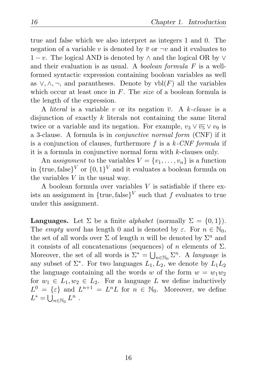true and false which we also interpret as integers 1 and 0. The negation of a variable v is denoted by  $\overline{v}$  or  $\neg v$  and it evaluates to  $1-v$ . The logical AND is denoted by  $\wedge$  and the logical OR by  $\vee$ and their evaluation is as usual. A *boolean formula* F is a wellformed syntactic expression containing boolean variables as well as  $\vee$ ,  $\wedge$ ,  $\neg$ , and parantheses. Denote by vbl(*F*) all the variables which occur at least once in F. The *size* of a boolean formula is the length of the expression.

A *literal* is a variable v or its negation  $\overline{v}$ . A k-clause is a disjunction of exactly k literals not containing the same literal twice or a variable and its negation. For example,  $v_3 \vee \overline{v_5} \vee v_9$  is a 3-clause. A formula is in *conjunctive normal form* (CNF) if it is a conjunction of clauses, furthermore f is a k*-CNF formula* if it is a formula in conjunctive normal form with k-clauses only.

An *assignment* to the variables  $V = \{v_1, \ldots, v_n\}$  is a function in  $\{\text{true}, \text{false}\}^V$  or  $\{0, 1\}^V$  and it evaluates a boolean formula on the variables  $V$  in the usual way.

A boolean formula over variables V is satisfiable if there exists an assignment in  $\{\text{true}, \text{false}\}^V$  such that f evaluates to true under this assignment.

**Languages.** Let  $\Sigma$  be a finite *alphabet* (normally  $\Sigma = \{0, 1\}$ ). The *empty word* has length 0 and is denoted by  $\varepsilon$ . For  $n \in \mathbb{N}_0$ , the set of all words over  $\Sigma$  of length n will be denoted by  $\Sigma^n$  and it consists of all concatenations (sequences) of n elements of  $\Sigma$ . Moreover, the set of all words is  $\Sigma^* = \bigcup_{n \in \mathbb{N}_0} \Sigma^n$ . A *language* is any subset of  $\Sigma^*$ . For two languages  $L_1, L_2$ , we denote by  $L_1L_2$ the language containing all the words w of the form  $w = w_1w_2$ for  $w_1 \in L_1, w_2 \in L_2$ . For a language L we define inductively  $L^0 = \{\varepsilon\}$  and  $L^{n+1} = L^n L$  for  $n \in \mathbb{N}_0$ . Moreover, we define  $L^* = \bigcup_{n \in \mathbb{N}_0} L^n$ .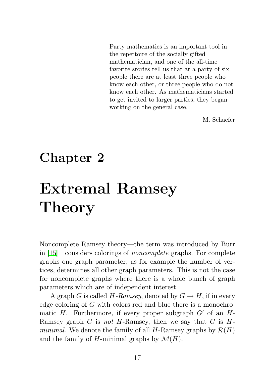<span id="page-26-0"></span>Party mathematics is an important tool in the repertoire of the socially gifted mathematician, and one of the all-time favorite stories tell us that at a party of six people there are at least three people who know each other, or three people who do not know each other. As mathematicians started to get invited to larger parties, they began working on the general case.

M. Schaefer

### Chapter 2

## Extremal Ramsey Theory

Noncomplete Ramsey theory—the term was introduced by Burr in [\[15\]](#page-127-3)—considers colorings of *noncomplete* graphs. For complete graphs one graph parameter, as for example the number of vertices, determines all other graph parameters. This is not the case for noncomplete graphs where there is a whole bunch of graph parameters which are of independent interest.

A graph G is called H-Ramsey, denoted by  $G \to H$ , if in every edge-coloring of G with colors red and blue there is a monochromatic H. Furthermore, if every proper subgraph  $G'$  of an  $H$ -Ramsey graph G is *not* H-Ramsey, then we say that G is H*minimal*. We denote the family of all  $H$ -Ramsey graphs by  $\mathcal{R}(H)$ and the family of H-minimal graphs by  $\mathcal{M}(H)$ .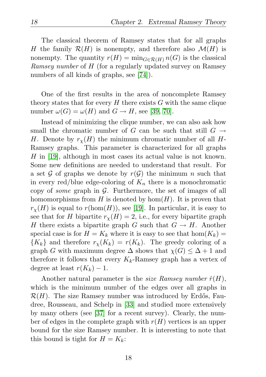The classical theorem of Ramsey states that for all graphs H the family  $\mathcal{R}(H)$  is nonempty, and therefore also  $\mathcal{M}(H)$  is nonempty. The quantity  $r(H) = \min_{G \in \mathcal{R}(H)} n(G)$  is the classical *Ramsey number* of H (for a regularly updated survey on Ramsey numbers of all kinds of graphs, see [\[74\]](#page-133-4)).

One of the first results in the area of noncomplete Ramsey theory states that for every  $H$  there exists  $G$  with the same clique number  $\omega(G) = \omega(H)$  and  $G \rightarrow H$ , see [\[39,](#page-130-7) [70\]](#page-133-5).

Instead of minimizing the clique number, we can also ask how small the chromatic number of G can be such that still  $G \rightarrow$ H. Denote by  $r_{\chi}(H)$  the minimum chromatic number of all H-Ramsey graphs. This parameter is characterized for all graphs  $H$  in [\[19\]](#page-128-1), although in most cases its actual value is not known. Some new definitions are needed to understand that result. For a set G of graphs we denote by  $r(G)$  the minimum n such that in every red/blue edge-coloring of  $K_n$  there is a monochromatic copy of *some* graph in G. Furthermore, the set of images of all homomorphisms from  $H$  is denoted by hom $(H)$ . It is proven that  $r_Y(H)$  is equal to  $r(\text{hom}(H))$ , see [\[19\]](#page-128-1). In particular, it is easy to see that for H bipartite  $r<sub>\chi</sub>(H) = 2$ , i.e., for every bipartite graph H there exists a bipartite graph G such that  $G \to H$ . Another special case is for  $H = K_k$  where it is easy to see that  $hom(K_k) =$  ${K_k}$  and therefore  $r_x(K_k) = r(K_k)$ . The greedy coloring of a graph G with maximum degree  $\Delta$  shows that  $\chi(G) \leq \Delta + 1$  and therefore it follows that every  $K_k$ -Ramsey graph has a vertex of degree at least  $r(K_k) - 1$ .

Another natural parameter is the *size Ramsey number*  $\hat{r}(H)$ , which is the minimum number of the edges over all graphs in  $\mathcal{R}(H)$ . The size Ramsey number was introduced by Erdős, Faudree, Rousseau, and Schelp in [\[33\]](#page-129-6) and studied more extensively by many others (see [\[37\]](#page-129-7) for a recent survey). Clearly, the number of edges in the complete graph with  $r(H)$  vertices is an upper bound for the size Ramsey number. It is interesting to note that this bound is tight for  $H = K_k$ :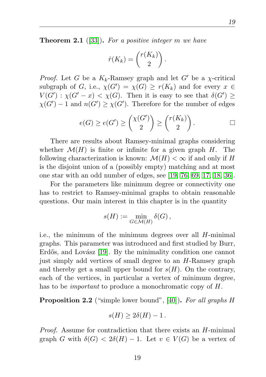Theorem 2.1 ([\[33\]](#page-129-6)). *For a positive integer* m *we have*

$$
\hat{r}(K_k) = \binom{r(K_k)}{2}.
$$

*Proof.* Let G be a  $K_k$ -Ramsey graph and let G' be a *χ*-critical subgraph of G, i.e.,  $\chi(G') = \chi(G) \ge r(K_k)$  and for every  $x \in$  $V(G')$ :  $\chi(G'-x) < \chi(G)$ . Then it is easy to see that  $\delta(G') \geq$  $\chi(G') - 1$  and  $n(G') \geq \chi(G')$ . Therefore for the number of edges

$$
e(G) \ge e(G') \ge \binom{\chi(G')}{2} \ge \binom{r(K_k)}{2}.
$$

There are results about Ramsey-minimal graphs considering whether  $\mathcal{M}(H)$  is finite or infinite for a given graph H. The following characterization is known:  $\mathcal{M}(H) < \infty$  if and only if H is the disjoint union of a (possibly empty) matching and at most one star with an odd number of edges, see [\[19,](#page-128-1) [76,](#page-133-6) [69,](#page-132-4) [17,](#page-127-4) [18,](#page-128-5) [36\]](#page-129-8).

For the parameters like minimum degree or connectivity one has to restrict to Ramsey-minimal graphs to obtain reasonable questions. Our main interest in this chapter is in the quantity

$$
s(H) := \min_{G \in \mathcal{M}(H)} \delta(G),
$$

i.e., the minimum of the minimum degrees over all H-minimal graphs. This parameter was introduced and first studied by Burr, Erdős, and Lovász [\[19\]](#page-128-1). By the minimality condition one cannot just simply add vertices of small degree to an H-Ramsey graph and thereby get a small upper bound for  $s(H)$ . On the contrary, each of the vertices, in particular a vertex of minimum degree, has to be *important* to produce a monochromatic copy of H.

<span id="page-28-0"></span>Proposition 2.2 ("simple lower bound", [\[40\]](#page-130-2)). *For all graphs* H

$$
s(H) \geq 2\delta(H) - 1.
$$

*Proof.* Assume for contradiction that there exists an H-minimal graph G with  $\delta(G) < 2\delta(H) - 1$ . Let  $v \in V(G)$  be a vertex of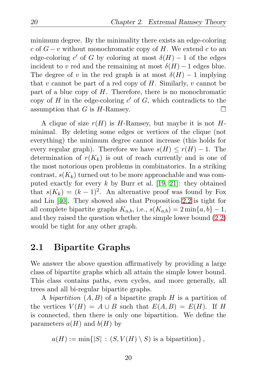minimum degree. By the minimality there exists an edge-coloring c of  $G - v$  without monochromatic copy of H. We extend c to an edge-coloring c' of G by coloring at most  $\delta(H) - 1$  of the edges incident to v red and the remaining at most  $\delta(H) - 1$  edges blue. The degree of v in the red graph is at most  $\delta(H) - 1$  implying that v cannot be part of a red copy of  $H$ . Similarly, v cannot be part of a blue copy of  $H$ . Therefore, there is no monochromatic copy of  $H$  in the edge-coloring  $c'$  of  $G$ , which contradicts to the П assumption that  $G$  is  $H$ -Ramsey.

A clique of size  $r(H)$  is H-Ramsey, but maybe it is not Hminimal. By deleting some edges or vertices of the clique (not everything) the minimum degree cannot increase (this holds for every regular graph). Therefore we have  $s(H) \leq r(H) - 1$ . The determination of  $r(K_k)$  is out of reach currently and is one of the most notorious open problems in combinatorics. In a striking contrast,  $s(K_k)$  turned out to be more approachable and was computed exactly for every k by Burr et al. [\[19,](#page-128-1) [21\]](#page-128-2): they obtained that  $s(K_k) = (k-1)^2$ . An alternative proof was found by Fox and Lin [\[40\]](#page-130-2). They showed also that Proposition [2.2](#page-28-0) is tight for all complete bipartite graphs  $K_{a,b}$ , i.e.,  $s(K_{a,b}) = 2 \min\{a,b\} - 1$ , and they raised the question whether the simple lower bound [\(2.2\)](#page-28-0) would be tight for any other graph.

#### <span id="page-29-0"></span>2.1 Bipartite Graphs

We answer the above question affirmatively by providing a large class of bipartite graphs which all attain the simple lower bound. This class contains paths, even cycles, and more generally, all trees and all bi-regular bipartite graphs.

A *bipartition* (A, B) of a bipartite graph H is a partition of the vertices  $V(H) = A \cup B$  such that  $E(A, B) = E(H)$ . If H is connected, then there is only one bipartition. We define the parameters  $a(H)$  and  $b(H)$  by

 $a(H) := \min\{|S| : (S, V(H) \setminus S)$  is a bipartition $\},$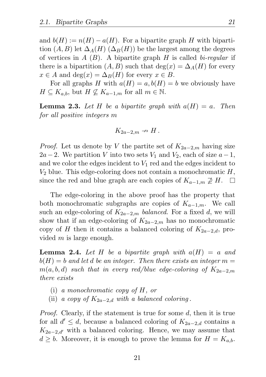and  $b(H) := n(H) - a(H)$ . For a bipartite graph H with bipartition  $(A, B)$  let  $\Delta_A(H)$   $(\Delta_B(H))$  be the largest among the degrees of vertices in A (B). A bipartite graph H is called *bi-regular* if there is a bipartition  $(A, B)$  such that  $deg(x) = \Delta_A(H)$  for every  $x \in A$  and  $\deg(x) = \Delta_B(H)$  for every  $x \in B$ .

For all graphs H with  $a(H) = a, b(H) = b$  we obviously have  $H \subseteq K_{a,b}$ , but  $H \nsubseteq K_{a-1,m}$  for all  $m \in \mathbb{N}$ .

<span id="page-30-1"></span>**Lemma 2.3.** Let H be a bipartite graph with  $a(H) = a$ . Then *for all positive integers* m

$$
K_{2a-2,m} \nrightarrow H.
$$

*Proof.* Let us denote by V the partite set of  $K_{2a-2,m}$  having size  $2a-2$ . We partition V into two sets  $V_1$  and  $V_2$ , each of size  $a-1$ , and we color the edges incident to  $V_1$  red and the edges incident to  $V_2$  blue. This edge-coloring does not contain a monochromatic  $H$ , since the red and blue graph are each copies of  $K_{a-1,m} \not\supseteq H$ . ⊔

The edge-coloring in the above proof has the property that both monochromatic subgraphs are copies of  $K_{a-1,m}$ . We call such an edge-coloring of  $K_{2a-2,m}$  *balanced*. For a fixed d, we will show that if an edge-coloring of  $K_{2a-2,m}$  has no monochromatic copy of H then it contains a balanced coloring of  $K_{2a-2,d}$ , provided  $m$  is large enough.

<span id="page-30-0"></span>**Lemma 2.4.** Let H be a bipartite graph with  $a(H) = a$  and  $b(H) = b$  and let d be an integer. Then there exists an integer  $m =$  $m(a, b, d)$  *such that in every red/blue edge-coloring of*  $K_{2a-2m}$ *there exists*

- (i) *a monochromatic copy of* H*, or*
- (ii) *a copy of*  $K_{2a-2,d}$  *with a balanced coloring.*

*Proof.* Clearly, if the statement is true for some d, then it is true for all  $d' \leq d$ , because a balanced coloring of  $K_{2a-2,d}$  contains a  $K_{2a-2,d'}$  with a balanced coloring. Hence, we may assume that  $d \geq b$ . Moreover, it is enough to prove the lemma for  $H = K_{a,b}$ .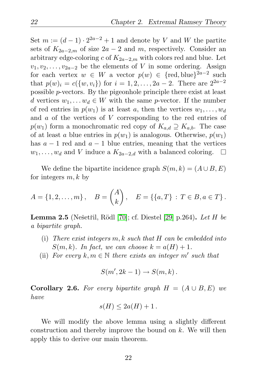Set  $m := (d-1) \cdot 2^{2a-2} + 1$  and denote by V and W the partite sets of  $K_{2a-2m}$  of size  $2a-2$  and m, respectively. Consider an arbitrary edge-coloring c of  $K_{2a-2,m}$  with colors red and blue. Let  $v_1, v_2, \ldots, v_{2a-2}$  be the elements of V in some ordering. Assign for each vertex  $w \in W$  a vector  $p(w) \in \{\text{red, blue}\}^{2a-2}$  such that  $p(w)_i = c({w, v_i})$  for  $i = 1, 2, ..., 2a - 2$ . There are  $2^{2a-2}$ possible p-vectors. By the pigeonhole principle there exist at least d vertices  $w_1, \ldots w_d \in W$  with the same p-vector. If the number of red entries in  $p(w_1)$  is at least a, then the vertices  $w_1, \ldots, w_d$ and a of the vertices of V corresponding to the red entries of  $p(w_1)$  form a monochromatic red copy of  $K_{a,d} \supseteq K_{a,b}$ . The case of at least a blue entries in  $p(w_1)$  is analogous. Otherwise,  $p(w_1)$ has  $a - 1$  red and  $a - 1$  blue entries, meaning that the vertices  $w_1, \ldots, w_d$  and V induce a  $K_{2a-2,d}$  with a balanced coloring.  $\Box$ 

We define the bipartite incidence graph  $S(m, k) = (A \cup B, E)$ for integers  $m, k$  by

$$
A = \{1, 2, \dots, m\}, \quad B = \binom{A}{k}, \quad E = \{\{a, T\} : T \in B, a \in T\}.
$$

**Lemma 2.5** (Nešetřil, Rödl [\[70\]](#page-133-5); cf. Diestel [\[29\]](#page-129-9) p.264). Let H be *a bipartite graph.*

- (i) *There exist integers* m, k *such that* H *can be embedded into*  $S(m, k)$ *. In fact, we can choose*  $k = a(H) + 1$ *.*
- (ii) For every  $k, m \in \mathbb{N}$  there exists an integer  $m'$  such that

$$
S(m', 2k-1) \to S(m, k).
$$

**Corollary 2.6.** For every bipartite graph  $H = (A \cup B, E)$  we *have*

$$
s(H) \le 2a(H) + 1.
$$

We will modify the above lemma using a slightly different construction and thereby improve the bound on  $k$ . We will then apply this to derive our main theorem.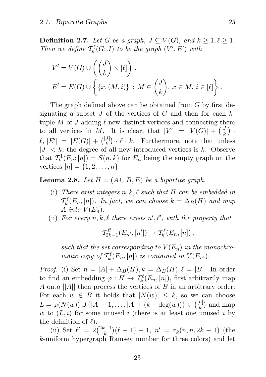**Definition 2.7.** *Let* G *be a graph,*  $J \subseteq V(G)$ *, and*  $k \geq 1, \ell \geq 1$ *. Then we define*  $\mathcal{T}_{k}^{\ell}(G;J)$  *to be the graph*  $(V', E')$  *with* 

$$
V' = V(G) \cup \left( \binom{J}{k} \times [\ell] \right),
$$
  
\n
$$
E' = E(G) \cup \left\{ \{x, (M, i)\} : M \in \binom{J}{k}, x \in M, i \in [\ell] \right\}.
$$

The graph defined above can be obtained from G by first designating a subset  $J$  of the vertices of  $G$  and then for each  $k$ tuple M of J adding  $\ell$  new distinct vertices and connecting them to all vertices in M. It is clear, that  $|V'| = |V(G)| + { |J| \choose k }$ .  $\ell, |E'| = |E(G)| + { |J| \choose k} \cdot \ell \cdot k.$  Furthermore, note that unless  $|J| < k$ , the degree of all new introduced vertices is k. Observe that  $\mathcal{T}_k^1(E_n; [n]) = S(n, k)$  for  $E_n$  being the empty graph on the vertices  $[n] = \{1, 2, ..., n\}.$ 

<span id="page-32-0"></span>**Lemma 2.8.** *Let*  $H = (A \cup B, E)$  *be a bipartite graph.* 

- (i) *There exist integers* n, k, ℓ *such that* H *can be embedded in*  $\mathcal{T}_{k}^{\ell}(E_n,[n])$ *. In fact, we can choose*  $k = \Delta_B(H)$  *and map* A *into*  $V(E_n)$ .
- (ii) For every  $n, k, \ell$  there exists  $n', \ell',$  with the property that

$$
\mathcal{T}_{2k-1}^{\ell'}(E_{n'}, [n']) \to \mathcal{T}_{k}^{\ell}(E_n, [n]),
$$

such that the set corresponding to  $V(E_n)$  in the monochro*matic copy of*  $\mathcal{T}_{k}^{\ell}(E_n,[n])$  *is contained in*  $V(E_{n'})$ *.* 

*Proof.* (i) Set  $n = |A| + \Delta_B(H)$ ,  $k = \Delta_B(H)$ ,  $\ell = |B|$ . In order to find an embedding  $\varphi: H \to \mathcal{T}_k^{\ell}(E_n, [n])$ , first arbitrarily map A onto  $||A||$  then process the vertices of B in an arbitrary order: For each  $w \in B$  it holds that  $|N(w)| \leq k$ , so we can choose  $L = \varphi(N(w)) \cup \{|A|+1, \ldots, |A|+(k-\deg(w))\} \in \binom{[n]}{k}$  $\binom{n}{k}$  and map w to  $(L, i)$  for some unused i (there is at least one unused i by the definition of  $\ell$ ).

(ii) Set  $\ell' = 2\binom{2k-1}{k}(\ell-1) + 1$ ,  $n' = r_k(n, n, 2k - 1)$  (the k-uniform hypergraph Ramsey number for three colors) and let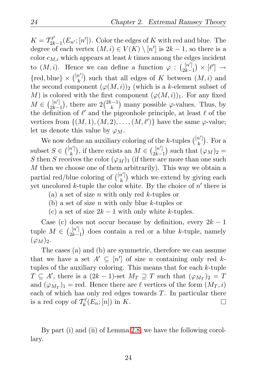$K=\mathcal{T}_{2k}^{\ell'}$  $2k-1(E_{n'};[n'])$ . Color the edges of K with red and blue. The degree of each vertex  $(M, i) \in V(K) \setminus [n']$  is  $2k - 1$ , so there is a color  $c_{M,i}$  which appears at least k times among the edges incident to  $(M, i)$ . Hence we can define a function  $\varphi : \binom{[n']}{2k-1} \times [\ell'] \rightarrow$  $2k-1$  $\{\text{red}, \text{blue}\}\times \binom{[n']}$  $\binom{n'}{k}$  such that all edges of K between  $(M, i)$  and the second component  $(\varphi(M, i))_2$  (which is a k-element subset of M) is colored with the first component  $(\varphi(M, i))_1$ . For any fixed  $M \in \binom{[n']}{2k-1}$  $\begin{bmatrix} [n'] \\ 2k-1 \end{bmatrix}$ , there are  $2\binom{2k-1}{k}$  many possible  $\varphi$ -values. Thus, by the definition of  $\ell'$  and the pigeonhole principle, at least  $\ell$  of the vertices from  $\{(M,1), (M, 2), \ldots, (M, \ell')\}$  have the same  $\varphi$ -value; let us denote this value by  $\varphi_M$ .

We now define an auxiliary coloring of the k-tuples  $\binom{[n']}k$  $\binom{n'}{k}$ . For a subset  $S \in \binom{[n']}k$  $\binom{n'}{k}$ , if there exists an  $M \in \binom{[n']}{2k-1}$  $\binom{[n']}{2k-1}$  such that  $(\varphi_M)_2 =$ S then S receives the color  $(\varphi_M)_1$  (if there are more than one such M then we choose one of them arbitrarily). This way we obtain a partial red/blue coloring of  $\binom{[n']}{k}$  $\binom{n'}{k}$  which we extend by giving each yet uncolored  $k$ -tuple the color white. By the choice of  $n'$  there is

- (a) a set of size n with only red k-tuples or
- (b) a set of size  $n$  with only blue  $k$ -tuples or
- (c) a set of size  $2k-1$  with only white k-tuples.

Case (c) does not occur because by definition, every  $2k-1$ tuple  $M \in \binom{[n']}{2k-1}$  $\lfloor n' \rfloor$  does contain a red or a blue k-tuple, namely  $(\varphi_M)_2.$ 

The cases (a) and (b) are symmetric, therefore we can assume that we have a set  $A' \subseteq [n']$  of size n containing only red ktuples of the auxiliary coloring. This means that for each  $k$ -tuple  $T \subseteq A'$ , there is a  $(2k-1)$ -set  $M_T \supseteq T$  such that  $(\varphi_{M_T})_2 = T$ and  $(\varphi_{M_T})_1$  = red. Hence there are  $\ell$  vertices of the form  $(M_T, i)$ each of which has only red edges towards T. In particular there is a red copy of  $\mathcal{T}_{k}^{\ell}(E_n;[n])$  in K.  $\Box$ 

By part (i) and (ii) of Lemma [2.8,](#page-32-0) we have the following corollary.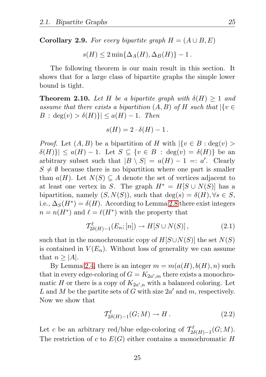**Corollary 2.9.** For every bipartite graph  $H = (A \cup B, E)$ 

$$
s(H) \le 2 \min\{\Delta_A(H), \Delta_B(H)\} - 1.
$$

The following theorem is our main result in this section. It shows that for a large class of bipartite graphs the simple lower bound is tight.

<span id="page-34-2"></span>**Theorem 2.10.** Let H be a bipartite graph with  $\delta(H) > 1$  and *assume that there exists a bipartition*  $(A, B)$  *of*  $H$  *such that*  $|\{v \in$  $B : \deg(v) > \delta(H)$ } $\leq a(H) - 1$ *. Then* 

$$
s(H) = 2 \cdot \delta(H) - 1.
$$

*Proof.* Let  $(A, B)$  be a bipartition of H with  $\{v \in B : \deg(v) >$  $|\delta(H)| \le a(H) - 1$ . Let  $S \subseteq \{v \in B : \deg(v) = \delta(H)\}\$  be an arbitrary subset such that  $|B \setminus S| = a(H) - 1 =: a'.$  Clearly  $S \neq \emptyset$  because there is no bipartition where one part is smaller than  $a(H)$ . Let  $N(S) \subseteq A$  denote the set of vertices adjacent to at least one vertex in S. The graph  $H^* = H[S \cup N(S)]$  has a bipartition, namely  $(S, N(S))$ , such that  $deg(s) = \delta(H), \forall s \in S$ , i.e.,  $\Delta_S(H^*) = \delta(H)$ . According to Lemma [2.8](#page-32-0) there exist integers  $n = n(H^*)$  and  $\ell = \ell(H^*)$  with the property that

<span id="page-34-0"></span>
$$
\mathcal{T}_{2\delta(H)-1}^{\ell}(E_n; [n]) \to H[S \cup N(S)], \qquad (2.1)
$$

such that in the monochromatic copy of  $H[S\cup N(S)]$  the set  $N(S)$ is contained in  $V(E_n)$ . Without loss of generality we can assume that  $n \geq |A|$ .

By Lemma [2.4,](#page-30-0) there is an integer  $m = m(a(H), b(H), n)$  such that in every edge-coloring of  $G = K_{2a',m}$  there exists a monochromatic H or there is a copy of  $K_{2a',n}$  with a balanced coloring. Let L and M be the partite sets of G with size  $2a'$  and m, respectively. Now we show that

<span id="page-34-1"></span>
$$
\mathcal{T}_{2\delta(H)-1}^{\ell}(G;M) \to H. \tag{2.2}
$$

Let c be an arbitrary red/blue edge-coloring of  $\mathcal{T}_{2\delta(H)-1}^{\ell}(G;M)$ . The restriction of c to  $E(G)$  either contains a monochromatic H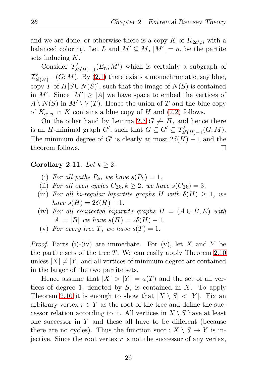and we are done, or otherwise there is a copy K of  $K_{2a',n}$  with a balanced coloring. Let L and  $M' \subseteq M$ ,  $|M'| = n$ , be the partite sets inducing K.

Consider  $\mathcal{T}_{2\delta(H)-1}^{\ell}(E_n;M')$  which is certainly a subgraph of  $\mathcal{T}_{2\delta(H)-1}^{\ell}(G;M)$ . By [\(2.1\)](#page-34-0) there exists a monochromatic, say blue, copy T of  $H[S \cup N(S)]$ , such that the image of  $N(S)$  is contained in M'. Since  $|M'| \geq |A|$  we have space to embed the vertices of  $A \setminus N(S)$  in  $M' \setminus V(T)$ . Hence the union of T and the blue copy of  $K_{a',n}$  in K contains a blue copy of H and  $(2.2)$  follows.

On the other hand by Lemma [2.3](#page-30-1)  $G \nrightarrow H$ , and hence there is an H-minimal graph  $G'$ , such that  $G \subseteq G' \subseteq T_{2\delta(H)-1}^{\ell}(G;M)$ . The minimum degree of G' is clearly at most  $2\delta(H) - 1$  and the theorem follows. П

#### Corollary 2.11. Let  $k \geq 2$ .

- (i) For all paths  $P_k$ , we have  $s(P_k) = 1$ .
- (ii) For all even cycles  $C_{2k}$ ,  $k \geq 2$ , we have  $s(C_{2k}) = 3$ .
- (iii) *For all bi-regular bipartite graphs* H with  $\delta(H) \geq 1$ , we *have*  $s(H) = 2\delta(H) - 1$ *.*
- (iv) For all connected bipartite graphs  $H = (A \cup B, E)$  with  $|A| = |B|$  *we have*  $s(H) = 2\delta(H) - 1$ .
- (v) For every tree T, we have  $s(T) = 1$ .

*Proof.* Parts (i)-(iv) are immediate. For (v), let X and Y be the partite sets of the tree T. We can easily apply Theorem  $2.10$ unless  $|X| \neq |Y|$  and all vertices of minimum degree are contained in the larger of the two partite sets.

Hence assume that  $|X| > |Y| = a(T)$  and the set of all vertices of degree 1, denoted by  $S$ , is contained in  $X$ . To apply Theorem [2.10](#page-34-2) it is enough to show that  $|X \setminus S| < |Y|$ . Fix an arbitrary vertex  $r \in Y$  as the root of the tree and define the successor relation according to it. All vertices in  $X \setminus S$  have at least one successor in  $Y$  and these all have to be different (because there are no cycles). Thus the function succ :  $X \setminus S \to Y$  is injective. Since the root vertex  $r$  is not the successor of any vertex,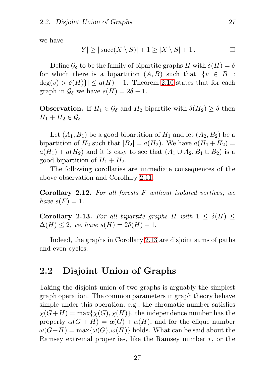we have

$$
|Y| \ge |\operatorname{succ}(X \setminus S)| + 1 \ge |X \setminus S| + 1.
$$

Define  $\mathcal{G}_{\delta}$  to be the family of bipartite graphs H with  $\delta(H) = \delta$ for which there is a bipartition  $(A, B)$  such that  $|\{v \in B\}$ :  $deg(v) > \delta(H)$ |  $\leq a(H) - 1$ . Theorem [2.10](#page-34-0) states that for each graph in  $\mathcal{G}_{\delta}$  we have  $s(H) = 2\delta - 1$ .

**Observation.** If  $H_1 \in \mathcal{G}_{\delta}$  and  $H_2$  bipartite with  $\delta(H_2) \geq \delta$  then  $H_1 + H_2 \in \mathcal{G}_{\delta}$ .

Let  $(A_1, B_1)$  be a good bipartition of  $H_1$  and let  $(A_2, B_2)$  be a bipartition of  $H_2$  such that  $|B_2| = a(H_2)$ . We have  $a(H_1 + H_2) =$  $a(H_1) + a(H_2)$  and it is easy to see that  $(A_1 \cup A_2, B_1 \cup B_2)$  is a good bipartition of  $H_1 + H_2$ .

The following corollaries are immediate consequences of the above observation and Corollary [2.11.](#page-35-0)

Corollary 2.12. *For all forests* F *without isolated vertices, we have*  $s(F) = 1$ *.* 

<span id="page-36-0"></span>**Corollary 2.13.** For all bipartite graphs H with  $1 \leq \delta(H) \leq$  $\Delta(H) \leq 2$ , we have  $s(H) = 2\delta(H) - 1$ .

Indeed, the graphs in Corollary [2.13](#page-36-0) are disjoint sums of paths and even cycles.

# 2.2 Disjoint Union of Graphs

Taking the disjoint union of two graphs is arguably the simplest graph operation. The common parameters in graph theory behave simple under this operation, e.g., the chromatic number satisfies  $\chi(G+H) = \max{\chi(G), \chi(H)}$ , the independence number has the property  $\alpha(G + H) = \alpha(G) + \alpha(H)$ , and for the clique number  $\omega(G+H) = \max{\omega(G), \omega(H)}$  holds. What can be said about the Ramsey extremal properties, like the Ramsey number  $r$ , or the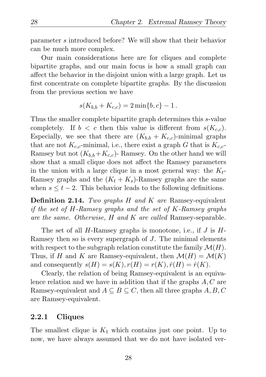parameter s introduced before? We will show that their behavior can be much more complex.

Our main considerations here are for cliques and complete bipartite graphs, and our main focus is how a small graph can affect the behavior in the disjoint union with a large graph. Let us first concentrate on complete bipartite graphs. By the discussion from the previous section we have

$$
s(K_{b,b} + K_{c,c}) = 2\min\{b,c\} - 1.
$$

Thus the smaller complete bipartite graph determines this s-value completely. If  $b < c$  then this value is different from  $s(K_{c,c})$ . Especially, we see that there are  $(K_{b,b} + K_{c,c})$ -minimal graphs that are not  $K_{c,c}$ -minimal, i.e., there exist a graph G that is  $K_{c,c}$ -Ramsey but not  $(K_{b,b}+K_{c,c})$ - Ramsey. On the other hand we will show that a small clique does not affect the Ramsey parameters in the union with a large clique in a most general way: the  $K_t$ -Ramsey graphs and the  $(K_t + K_s)$ -Ramsey graphs are the same when  $s \leq t - 2$ . This behavior leads to the following definitions.

Definition 2.14. *Two graphs* H *and* K *are* Ramsey-equivalent *if the set of* H*-Ramsey graphs and the set of* K*-Ramsey graphs are the same. Otherwise,* H *and* K *are called* Ramsey-separable*.*

The set of all  $H$ -Ramsey graphs is monotone, i.e., if  $J$  is  $H$ -Ramsey then so is every supergraph of J. The minimal elements with respect to the subgraph relation constitute the family  $\mathcal{M}(H)$ . Thus, if H and K are Ramsey-equivalent, then  $\mathcal{M}(H) = \mathcal{M}(K)$ and consequently  $s(H) = s(K)$ ,  $r(H) = r(K)$ ,  $\hat{r}(H) = \hat{r}(K)$ .

Clearly, the relation of being Ramsey-equivalent is an equivalence relation and we have in addition that if the graphs  $A, C$  are Ramsey-equivalent and  $A \subseteq B \subseteq C$ , then all three graphs  $A, B, C$ are Ramsey-equivalent.

#### 2.2.1 Cliques

The smallest clique is  $K_1$  which contains just one point. Up to now, we have always assumed that we do not have isolated ver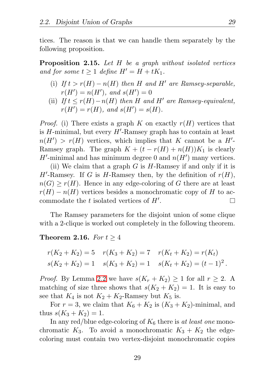tices. The reason is that we can handle them separately by the following proposition.

Proposition 2.15. *Let* H *be a graph without isolated vertices and for some*  $t \geq 1$  *define*  $H' = H + tK_1$ .

- (i) *If*  $t > r(H) n(H)$  *then H and H' are Ramsey-separable,*  $r(H') = n(H')$ , and  $s(H') = 0$
- (ii)  $If t \leq r(H) n(H)$  *then* H and H' are Ramsey-equivalent,  $r(H') = r(H)$ *, and*  $s(H') = s(H)$ *.*

*Proof.* (i) There exists a graph K on exactly  $r(H)$  vertices that is H-minimal, but every  $H'$ -Ramsey graph has to contain at least  $n(H') > r(H)$  vertices, which implies that K cannot be a H'-Ramsey graph. The graph  $K + (t - r(H) + n(H))K_1$  is clearly H'-minimal and has minimum degree 0 and  $n(H')$  many vertices.

(ii) We claim that a graph  $G$  is  $H$ -Ramsey if and only if it is  $H'$ -Ramsey. If G is H-Ramsey then, by the definition of  $r(H)$ ,  $n(G) \geq r(H)$ . Hence in any edge-coloring of G there are at least  $r(H) - n(H)$  vertices besides a monochromatic copy of H to accommodate the  $t$  isolated vertices of  $H'$ .  $\Box$ 

The Ramsey parameters for the disjoint union of some clique with a 2-clique is worked out completely in the following theorem.

#### <span id="page-38-0"></span>**Theorem 2.16.** *For*  $t \geq 4$

$$
r(K_2 + K_2) = 5 \t r(K_3 + K_2) = 7 \t r(K_t + K_2) = r(K_t)
$$
  

$$
s(K_2 + K_2) = 1 \t s(K_3 + K_2) = 1 \t s(K_t + K_2) = (t - 1)^2.
$$

*Proof.* By Lemma [2.2](#page-28-0) we have  $s(K_r + K_2) \geq 1$  for all  $r \geq 2$ . A matching of size three shows that  $s(K_2 + K_2) = 1$ . It is easy to see that  $K_4$  is not  $K_2 + K_2$ -Ramsey but  $K_5$  is.

For  $r = 3$ , we claim that  $K_6 + K_2$  is  $(K_3 + K_2)$ -minimal, and thus  $s(K_3 + K_2) = 1$ .

In any red/blue edge-coloring of  $K_6$  there is *at least one* monochromatic  $K_3$ . To avoid a monochromatic  $K_3 + K_2$  the edgecoloring must contain two vertex-disjoint monochromatic copies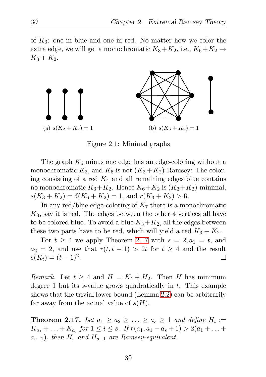of  $K_3$ : one in blue and one in red. No matter how we color the extra edge, we will get a monochromatic  $K_3+K_2$ , i.e.,  $K_6+K_2 \rightarrow$  $K_3 + K_2$ .



Figure 2.1: Minimal graphs

The graph  $K_6$  minus one edge has an edge-coloring without a monochromatic  $K_3$ , and  $K_6$  is not  $(K_3 + K_2)$ -Ramsey: The coloring consisting of a red  $K_4$  and all remaining edges blue contains no monochromatic  $K_3+K_2$ . Hence  $K_6+K_2$  is  $(K_3+K_2)$ -minimal,  $s(K_3 + K_2) = \delta(K_6 + K_2) = 1$ , and  $r(K_3 + K_2) > 6$ .

In any red/blue edge-coloring of  $K<sub>7</sub>$  there is a monochromatic  $K_3$ , say it is red. The edges between the other 4 vertices all have to be colored blue. To avoid a blue  $K_3+K_2$ , all the edges between these two parts have to be red, which will yield a red  $K_3 + K_2$ .

For  $t \geq 4$  we apply Theorem [2.17](#page-39-0) with  $s = 2, a_1 = t$ , and  $a_2 = 2$ , and use that  $r(t, t - 1) > 2t$  for  $t \geq 4$  and the result  $s(K_t) = (t-1)^2$ .  $\Box$ 

*Remark.* Let  $t \geq 4$  and  $H = K_t + H_2$ . Then *H* has minimum degree 1 but its  $s$ -value grows quadratically in  $t$ . This example shows that the trivial lower bound (Lemma [2.2\)](#page-28-0) can be arbitrarily far away from the actual value of  $s(H)$ .

<span id="page-39-0"></span>**Theorem 2.17.** Let  $a_1 \ge a_2 \ge \ldots \ge a_s \ge 1$  and define  $H_i :=$  $K_{a_1} + \ldots + K_{a_i}$  for  $1 \leq i \leq s$ . If  $r(a_1, a_1 - a_s + 1) > 2(a_1 + \ldots + a_s)$  $a_{s-1}$ ), then  $H_s$  and  $H_{s-1}$  are Ramsey-equivalent.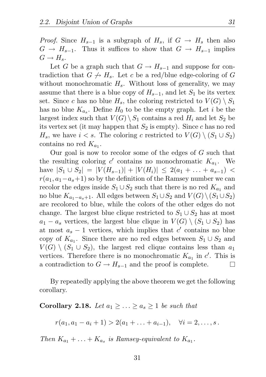*Proof.* Since  $H_{s-1}$  is a subgraph of  $H_s$ , if  $G \rightarrow H_s$  then also  $G \to H_{s-1}$ . Thus it suffices to show that  $G \to H_{s-1}$  implies  $G \to H_s$ .

Let G be a graph such that  $G \to H_{s-1}$  and suppose for contradiction that  $G \nightharpoonup H_s$ . Let c be a red/blue edge-coloring of G without monochromatic  $H_s$ . Without loss of generality, we may assume that there is a blue copy of  $H_{s-1}$ , and let  $S_1$  be its vertex set. Since c has no blue  $H_s$ , the coloring restricted to  $V(G) \setminus S_1$ has no blue  $K_{a_s}$ . Define  $H_0$  to be the empty graph. Let *i* be the largest index such that  $V(G) \setminus S_1$  contains a red  $H_i$  and let  $S_2$  be its vertex set (it may happen that  $S_2$  is empty). Since c has no red  $H_s$ , we have  $i < s$ . The coloring c restricted to  $V(G) \setminus (S_1 \cup S_2)$ contains no red  $K_{a_1}$ .

Our goal is now to recolor some of the edges of G such that the resulting coloring  $c'$  contains no monochromatic  $K_{a_1}$ . We have  $|S_1 \cup S_2| = |V(H_{s-1})| + |V(H_i)| \leq 2(a_1 + \ldots + a_{s-1})$  $r(a_1, a_1-a_1)$  so by the definition of the Ramsey number we can recolor the edges inside  $S_1 \cup S_2$  such that there is no red  $K_{a_1}$  and no blue  $K_{a_1-a_s+1}$ . All edges between  $S_1 \cup S_2$  and  $V(G) \setminus (S_1 \cup S_2)$ are recolored to blue, while the colors of the other edges do not change. The largest blue clique restricted to  $S_1 \cup S_2$  has at most  $a_1 - a_s$  vertices, the largest blue clique in  $V(G) \setminus (S_1 \cup S_2)$  has at most  $a_s - 1$  vertices, which implies that c' contains no blue copy of  $K_{a_1}$ . Since there are no red edges between  $S_1 \cup S_2$  and  $V(G) \setminus (S_1 \cup S_2)$ , the largest red clique contains less than  $a_1$ vertices. Therefore there is no monochromatic  $K_{a_1}$  in  $c'$ . This is a contradiction to  $G \to H_{s-1}$  and the proof is complete.  $\Box$ 

By repeatedly applying the above theorem we get the following corollary.

#### <span id="page-40-0"></span>Corollary 2.18. Let  $a_1 \geq \ldots \geq a_s \geq 1$  be such that

 $r(a_1, a_1 - a_i + 1) > 2(a_1 + \ldots + a_{i-1}), \quad \forall i = 2, \ldots, s.$ 

*Then*  $K_{a_1} + \ldots + K_{a_s}$  *is Ramsey-equivalent to*  $K_{a_1}$ *.*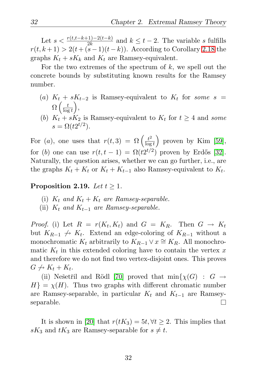Let  $s < \frac{r(t,t-k+1)-2(t-k)}{2k}$  and  $k \leq t-2$ . The variable s fulfills  $r(t, k+1) > 2(t + (s-1)(t-k))$ . According to Corollary [2.18](#page-40-0) the graphs  $K_t + sK_k$  and  $K_t$  are Ramsey-equivalent.

For the two extremes of the spectrum of  $k$ , we spell out the concrete bounds by substituting known results for the Ramsey number.

- (a)  $K_t + sK_{t-2}$  is Ramsey-equivalent to  $K_t$  for *some*  $s =$  $\Omega\left(\frac{t}{\log n}\right)$  $\log t$  $\big),$
- (b)  $K_t + sK_2$  is Ramsey-equivalent to  $K_t$  for  $t \geq 4$  and *some*  $s = \Omega(t2^{t/2}).$

For (*a*), one uses that  $r(t,3) = \Omega\left(\frac{t^2}{\log n}\right)$  $\log t$  $\big)$  proven by Kim [\[59\]](#page-131-0), for (b) one can use  $r(t, t-1) = \Omega(t2^{t/2})$  proven by Erdős [\[32\]](#page-129-0). Naturally, the question arises, whether we can go further, i.e., are the graphs  $K_t + K_t$  or  $K_t + K_{t-1}$  also Ramsey-equivalent to  $K_t$ .

Proposition 2.19. Let  $t > 1$ .

- (i)  $K_t$  *and*  $K_t + K_t$  *are Ramsey-separable.*
- (ii)  $K_t$  *and*  $K_{t-1}$  *are Ramsey-separable.*

*Proof.* (i) Let  $R = r(K_t, K_t)$  and  $G = K_R$ . Then  $G \rightarrow K_t$ but  $K_{R-1} \nightharpoonup K_t$ . Extend an edge-coloring of  $K_{R-1}$  without a monochromatic  $K_t$  arbitrarily to  $K_{R-1} \vee x \cong K_R$ . All monochromatic  $K_t$  in this extended coloring have to contain the vertex x and therefore we do not find two vertex-disjoint ones. This proves  $G \nrightarrow K_t + K_t.$ 

(ii) Nešetřil and Rödl [\[70\]](#page-133-0) proved that  $\min\{\chi(G) : G \to$  $H$  =  $\chi$ (H). Thus two graphs with different chromatic number are Ramsey-separable, in particular  $K_t$  and  $K_{t-1}$  are Ramsey-separable. separable.

It is shown in [\[20\]](#page-128-0) that  $r(tK_3) = 5t, \forall t \geq 2$ . This implies that  $sK_3$  and  $tK_3$  are Ramsey-separable for  $s \neq t$ .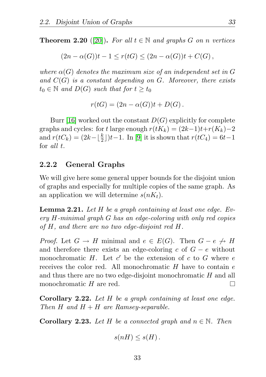**Theorem 2.20** ([\[20\]](#page-128-0)). For all  $t \in \mathbb{N}$  and graphs G on *n* vertices

$$
(2n-\alpha(G))t-1 \le r(tG) \le (2n-\alpha(G))t + C(G),
$$

*where*  $\alpha(G)$  *denotes the maximum size of an independent set in* G *and* C(G) *is a constant depending on* G*. Moreover, there exists*  $t_0 \in \mathbb{N}$  and  $D(G)$  such that for  $t \geq t_0$ 

$$
r(tG) = (2n - \alpha(G))t + D(G).
$$

Burr [\[16\]](#page-127-0) worked out the constant  $D(G)$  explicitly for complete graphs and cycles: for t large enough  $r(tK_k) = (2k-1)t+r(K_k)-2$ and  $r(tC_k) = (2k - \lfloor \frac{k}{2} \rfloor)t - 1$ . In [\[9\]](#page-127-1) it is shown that  $r(tC_4) = 6t - 1$ for *all* t.

#### 2.2.2 General Graphs

We will give here some general upper bounds for the disjoint union of graphs and especially for multiple copies of the same graph. As an application we will determine  $s(nK_t)$ .

<span id="page-42-0"></span>Lemma 2.21. *Let* H *be a graph containing at least one edge. Every* H*-minimal graph* G *has an edge-coloring with only red copies of* H*, and there are no two edge-disjoint red* H*.*

*Proof.* Let  $G \to H$  minimal and  $e \in E(G)$ . Then  $G - e \not\to H$ and therefore there exists an edge-coloring c of  $G - e$  without monochromatic H. Let  $c'$  be the extension of c to G where e receives the color red. All monochromatic  $H$  have to contain  $e$ and thus there are no two edge-disjoint monochromatic H and all monochromatic H are red. П

Corollary 2.22. *Let* H *be a graph containing at least one edge. Then*  $H$  *and*  $H + H$  *are Ramsey-separable.* 

<span id="page-42-1"></span>**Corollary 2.23.** Let H be a connected graph and  $n \in \mathbb{N}$ . Then

$$
s(nH)\leq s(H).
$$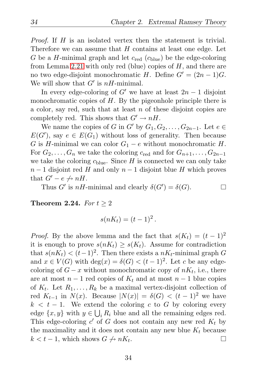$\Box$ 

*Proof.* If H is an isolated vertex then the statement is trivial. Therefore we can assume that  $H$  contains at least one edge. Let G be a H-minimal graph and let  $c_{\text{red}}(c_{\text{blue}})$  be the edge-coloring from Lemma [2.21](#page-42-0) with only red (blue) copies of  $H$ , and there are no two edge-disjoint monochromatic H. Define  $G' = (2n - 1)G$ . We will show that  $G'$  is  $nH$ -minimal.

In every edge-coloring of G' we have at least  $2n - 1$  disjoint monochromatic copies of  $H$ . By the pigeonhole principle there is a color, say red, such that at least  $n$  of these disjoint copies are completely red. This shows that  $G' \to nH$ .

We name the copies of G in G' by  $G_1, G_2, \ldots, G_{2n-1}$ . Let  $e \in$  $E(G')$ , say  $e \in E(G_1)$  without loss of generality. Then because G is H-minimal we can color  $G_1 - e$  without monochromatic H. For  $G_2, \ldots, G_n$  we take the coloring  $c_{\text{red}}$  and for  $G_{n+1}, \ldots, G_{2n-1}$ we take the coloring  $c_{blue}$ . Since H is connected we can only take  $n-1$  disjoint red H and only  $n-1$  disjoint blue H which proves that  $G' - e \nightharpoonup nH$ .

Thus G' is  $nH$ -minimal and clearly  $\delta(G') = \delta(G)$ .

<span id="page-43-0"></span>**Theorem 2.24.** *For*  $t \geq 2$ 

$$
s(nK_t) = (t-1)^2.
$$

*Proof.* By the above lemma and the fact that  $s(K_t) = (t-1)^2$ it is enough to prove  $s(nK_t) \geq s(K_t)$ . Assume for contradiction that  $s(nK_t) < (t-1)^2$ . Then there exists a  $nK_t$ -minimal graph G and  $x \in V(G)$  with  $\deg(x) = \delta(G) < (t-1)^2$ . Let c be any edgecoloring of  $G - x$  without monochromatic copy of  $nK_t$ , i.e., there are at most  $n-1$  red copies of  $K_t$  and at most  $n-1$  blue copies of  $K_t$ . Let  $R_1, \ldots, R_k$  be a maximal vertex-disjoint collection of red  $K_{t-1}$  in  $N(x)$ . Because  $|N(x)| = \delta(G) < (t-1)^2$  we have  $k < t - 1$ . We extend the coloring c to G by coloring every edge  $\{x, y\}$  with  $y \in \bigcup_i R_i$  blue and all the remaining edges red. This edge-coloring  $c'$  of G does not contain any new red  $K_t$  by the maximality and it does not contain any new blue  $K_t$  because  $k < t - 1$ , which shows  $G \nightharpoonup nK_t$ .  $\Box$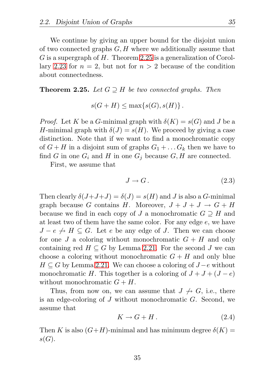We continue by giving an upper bound for the disjoint union of two connected graphs  $G, H$  where we additionally assume that G is a supergraph of H. Theorem [2.25](#page-44-0) is a generalization of Corol-lary [2.23](#page-42-1) for  $n = 2$ , but not for  $n > 2$  because of the condition about connectedness.

#### <span id="page-44-0"></span>**Theorem 2.25.** *Let*  $G \supseteq H$  *be two connected graphs. Then*

$$
s(G+H) \le \max\{s(G), s(H)\}.
$$

*Proof.* Let K be a G-minimal graph with  $\delta(K) = s(G)$  and J be a H-minimal graph with  $\delta(J) = s(H)$ . We proceed by giving a case distinction. Note that if we want to find a monochromatic copy of  $G + H$  in a disjoint sum of graphs  $G_1 + \ldots G_k$  then we have to find G in one  $G_i$  and H in one  $G_j$  because  $G, H$  are connected.

First, we assume that

$$
J \to G. \tag{2.3}
$$

Then clearly  $\delta(J+J+J) = \delta(J) = s(H)$  and J is also a G-minimal graph because G contains H. Moreover,  $J + J + J \rightarrow G + H$ because we find in each copy of J a monochromatic  $G \supseteq H$  and at least two of them have the same color. For any edge e, we have  $J - e \nightharpoonup H \subset G$ . Let e be any edge of J. Then we can choose for one J a coloring without monochromatic  $G + H$  and only containing red  $H \subseteq G$  by Lemma [2.21.](#page-42-0) For the second J we can choose a coloring without monochromatic  $G + H$  and only blue  $H \subseteq G$  by Lemma [2.21.](#page-42-0) We can choose a coloring of  $J - e$  without monochromatic H. This together is a coloring of  $J + J + (J - e)$ without monochromatic  $G + H$ .

Thus, from now on, we can assume that  $J \nrightarrow G$ , i.e., there is an edge-coloring of J without monochromatic G. Second, we assume that

$$
K \to G + H. \tag{2.4}
$$

Then K is also  $(G+H)$ -minimal and has minimum degree  $\delta(K)$  =  $s(G).$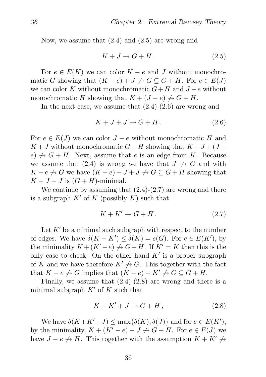Now, we assume that (2.4) and (2.5) are wrong and

$$
K + J \to G + H. \tag{2.5}
$$

For  $e \in E(K)$  we can color  $K - e$  and J without monochromatic G showing that  $(K - e) + J \nrightarrow G \subseteq G + H$ . For  $e \in E(J)$ we can color K without monochromatic  $G+H$  and  $J-e$  without monochromatic H showing that  $K + (J - e) \nrightarrow G + H$ .

In the next case, we assume that  $(2.4)-(2.6)$  are wrong and

$$
K + J + J \to G + H. \tag{2.6}
$$

For  $e \in E(J)$  we can color  $J - e$  without monochromatic H and  $K + J$  without monochromatic  $G + H$  showing that  $K + J + (J$  $e) \nrightarrow G + H$ . Next, assume that e is an edge from K. Because we assume that (2.4) is wrong we have that  $J \nrightarrow G$  and with  $K - e \nightharpoonup G$  we have  $(K - e) + J + J \nightharpoonup G \subseteq G + H$  showing that  $K + J + J$  is  $(G + H)$ -minimal.

We continue by assuming that  $(2.4)-(2.7)$  are wrong and there is a subgraph  $K'$  of K (possibly K) such that

$$
K + K' \to G + H. \tag{2.7}
$$

Let  $K'$  be a minimal such subgraph with respect to the number of edges. We have  $\delta(K+K') \leq \delta(K) = s(G)$ . For  $e \in E(K')$ , by the minimality  $K + (K' - e) \nightharpoonup G + H$ . If  $K' = K$  then this is the only case to check. On the other hand  $K'$  is a proper subgraph of K and we have therefore  $K' \nrightarrow G$ . This together with the fact that  $K - e \nightharpoonup G$  implies that  $(K - e) + K' \nightharpoonup G \subseteq G + H$ .

Finally, we assume that  $(2.4)-(2.8)$  are wrong and there is a minimal subgraph  $K'$  of K such that

$$
K + K' + J \to G + H, \tag{2.8}
$$

We have  $\delta(K+K'+J) \leq \max\{\delta(K),\delta(J)\}\$  and for  $e \in E(K')$ , by the minimality,  $K + (K' - e) + J \nightharpoonup G + H$ . For  $e \in E(J)$  we have  $J - e \nightharpoonup H$ . This together with the assumption  $K + K' \nightharpoonup$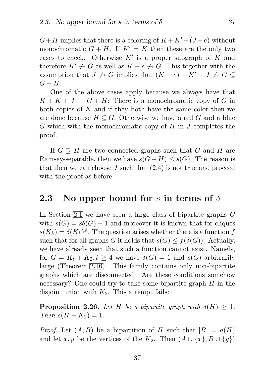$G+H$  implies that there is a coloring of  $K+K'+(J-e)$  without monochromatic  $G + H$ . If  $K' = K$  then these are the only two cases to check. Otherwise  $K'$  is a proper subgraph of K and therefore  $K' \nrightarrow G$  as well as  $K - e \nrightarrow G$ . This together with the assumption that  $J \nightharpoonup G$  implies that  $(K - e) + K' + J \nightharpoonup G \subseteq$  $G + H$ .

One of the above cases apply because we always have that  $K + K + J \rightarrow G + H$ : There is a monochromatic copy of G in both copies of K and if they both have the same color then we are done because  $H \subseteq G$ . Otherwise we have a red G and a blue  $G$  which with the monochromatic copy of  $H$  in  $J$  completes the proof.  $\Box$ 

If  $G \supseteq H$  are two connected graphs such that G and H are Ramsey-separable, then we have  $s(G+H) \leq s(G)$ . The reason is that then we can choose  $J$  such that  $(2.4)$  is not true and proceed with the proof as before.

### 2.3 No upper bound for s in terms of  $\delta$

In Section [2.1](#page-29-0) we have seen a large class of bipartite graphs G with  $s(G) = 2\delta(G) - 1$  and moreover it is known that for cliques  $s(K_k) = \delta(K_k)^2$ . The question arises whether there is a function f such that for all graphs G it holds that  $s(G) \leq f(\delta(G))$ . Actually, we have already seen that such a function cannot exist. Namely, for  $G = K_t + K_2, t \geq 4$  we have  $\delta(G) = 1$  and  $s(G)$  arbitrarily large (Theorem [2.16\)](#page-38-0). This family contains only non-bipartite graphs which are disconnected. Are these conditions somehow necessary? One could try to take some bipartite graph  $H$  in the disjoint union with  $K_2$ . This attempt fails:

**Proposition 2.26.** Let H be a bipartite graph with  $\delta(H) \geq 1$ . *Then*  $s(H + K_2) = 1$ .

*Proof.* Let  $(A, B)$  be a bipartition of H such that  $|B| = a(H)$ and let x, y be the vertices of the K<sub>2</sub>. Then  $(A \cup \{x\}, B \cup \{y\})$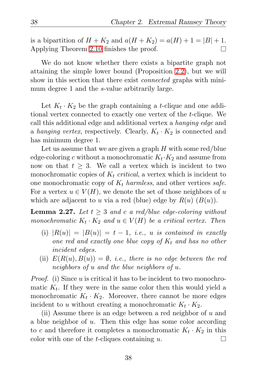is a bipartition of  $H + K_2$  and  $a(H + K_2) = a(H) + 1 = |B| + 1$ . Applying Theorem [2.10](#page-34-0) finishes the proof.  $\Box$ 

We do not know whether there exists a bipartite graph not attaining the simple lower bound (Proposition [2.2\)](#page-28-0), but we will show in this section that there exist *connected* graphs with minimum degree 1 and the s-value arbitrarily large.

Let  $K_t \cdot K_2$  be the graph containing a *t*-clique and one additional vertex connected to exactly one vertex of the t-clique. We call this additional edge and additional vertex a *hanging edge* and a *hanging vertex*, respectively. Clearly,  $K_t \cdot K_2$  is connected and has minimum degree 1.

Let us assume that we are given a graph  $H$  with some red/blue edge-coloring c without a monochromatic  $K_t$  ·  $K_2$  and assume from now on that  $t > 3$ . We call a vertex which is incident to two monochromatic copies of  $K_t$  *critical*, a vertex which is incident to one monochromatic copy of  $K_t$  *harmless*, and other vertices *safe*. For a vertex  $u \in V(H)$ , we denote the set of those neighbors of u which are adjacent to u via a red (blue) edge by  $R(u)$   $(B(u))$ .

<span id="page-47-0"></span>**Lemma 2.27.** Let  $t \geq 3$  and c a red/blue edge-coloring without *monochromatic*  $K_t \cdot K_2$  *and*  $u \in V(H)$  *be a critical vertex. Then* 

- (i)  $|R(u)| = |B(u)| = t 1$ , *i.e.*, *u is contained in exactly one red and exactly one blue copy of*  $K_t$  *and has no other incident edges.*
- (ii)  $E(R(u), B(u)) = \emptyset$ , *i.e.*, there is no edge between the red *neighbors of* u *and the blue neighbors of* u*.*

*Proof.* (i) Since u is critical it has to be incident to two monochromatic  $K_t$ . If they were in the same color then this would yield a monochromatic  $K_t \cdot K_2$ . Moreover, there cannot be more edges incident to u without creating a monochromatic  $K_t \cdot K_2$ .

(ii) Assume there is an edge between a red neighbor of  $u$  and a blue neighbor of u. Then this edge has some color according to c and therefore it completes a monochromatic  $K_t \cdot K_2$  in this color with one of the *t*-cliques containing  $u$ .  $\Box$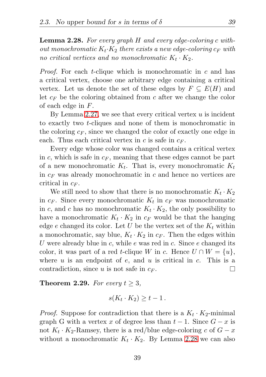<span id="page-48-0"></span>Lemma 2.28. *For every graph* H *and every edge-coloring* c *without monochromatic*  $K_t$ · $K_2$  *there exists a new edge-coloring*  $c_F$  *with no critical vertices and no monochromatic*  $K_t \cdot K_2$ .

*Proof.* For each *t*-clique which is monochromatic in c and has a critical vertex, choose one arbitrary edge containing a critical vertex. Let us denote the set of these edges by  $F \subseteq E(H)$  and let  $c_F$  be the coloring obtained from c after we change the color of each edge in F.

By Lemma [2.27,](#page-47-0) we see that every critical vertex  $u$  is incident to exactly two t-cliques and none of them is monochromatic in the coloring  $c_F$ , since we changed the color of exactly one edge in each. Thus each critical vertex in c is safe in  $c_F$ .

Every edge whose color was changed contains a critical vertex in c, which is safe in  $c_F$ , meaning that these edges cannot be part of a new monochromatic  $K_t$ . That is, every monochromatic  $K_t$ in  $c_F$  was already monochromatic in c and hence no vertices are critical in  $c_F$ .

We still need to show that there is no monochromatic  $K_t \cdot K_2$ in  $c_F$ . Since every monochromatic  $K_t$  in  $c_F$  was monochromatic in c, and c has no monochromatic  $K_t \cdot K_2$ , the only possibility to have a monochromatic  $K_t \cdot K_2$  in  $c_F$  would be that the hanging edge e changed its color. Let U be the vertex set of the  $K_t$  within a monochromatic, say blue,  $K_t \cdot K_2$  in  $c_F$ . Then the edges within U were already blue in c, while e was red in c. Since  $e$  changed its color, it was part of a red t-clique W in c. Hence  $U \cap W = \{u\},\$ where  $u$  is an endpoint of  $e$ , and  $u$  is critical in  $c$ . This is a contradiction, since u is not safe in  $c_F$ .  $\Box$ 

<span id="page-48-1"></span>**Theorem 2.29.** *For every*  $t \geq 3$ *,* 

$$
s(K_t \cdot K_2) \geq t - 1.
$$

*Proof.* Suppose for contradiction that there is a  $K_t \cdot K_2$ -minimal graph G with a vertex x of degree less than  $t - 1$ . Since  $G - x$  is not  $K_t \cdot K_2$ -Ramsey, there is a red/blue edge-coloring c of  $G - x$ without a monochromatic  $K_t \cdot K_2$ . By Lemma [2.28](#page-48-0) we can also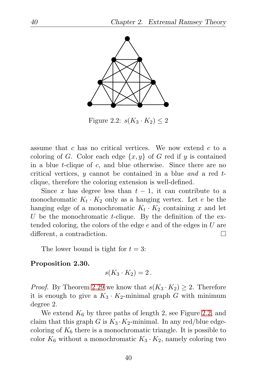

<span id="page-49-0"></span>Figure 2.2:  $s(K_3 \cdot K_2) \leq 2$ 

assume that c has no critical vertices. We now extend c to a coloring of G. Color each edge  $\{x, y\}$  of G red if y is contained in a blue t-clique of c, and blue otherwise. Since there are no critical vertices, y cannot be contained in a blue *and* a red tclique, therefore the coloring extension is well-defined.

Since x has degree less than  $t-1$ , it can contribute to a monochromatic  $K_t \cdot K_2$  only as a hanging vertex. Let e be the hanging edge of a monochromatic  $K_t \cdot K_2$  containing x and let U be the monochromatic t-clique. By the definition of the extended coloring, the colors of the edge  $e$  and of the edges in  $U$  are different, a contradiction. П

The lower bound is tight for  $t = 3$ :

#### Proposition 2.30.

$$
s(K_3\cdot K_2)=2\,.
$$

*Proof.* By Theorem [2.29](#page-48-1) we know that  $s(K_3 \cdot K_2) \geq 2$ . Therefore it is enough to give a  $K_3 \cdot K_2$ -minimal graph G with minimum degree 2.

We extend  $K_6$  by three paths of length 2, see Figure [2.2,](#page-49-0) and claim that this graph G is  $K_3 \cdot K_2$ -minimal. In any red/blue edgecoloring of  $K_6$  there is a monochromatic triangle. It is possible to color  $K_6$  without a monochromatic  $K_3 \cdot K_2$ , namely coloring two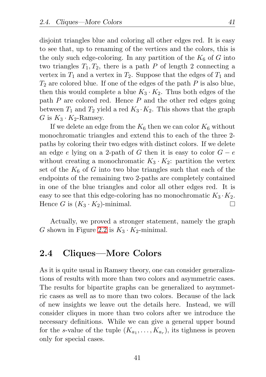disjoint triangles blue and coloring all other edges red. It is easy to see that, up to renaming of the vertices and the colors, this is the only such edge-coloring. In any partition of the  $K_6$  of G into two triangles  $T_1, T_2$ , there is a path P of length 2 connecting a vertex in  $T_1$  and a vertex in  $T_2$ . Suppose that the edges of  $T_1$  and  $T_2$  are colored blue. If one of the edges of the path P is also blue, then this would complete a blue  $K_3 \cdot K_2$ . Thus both edges of the path  $P$  are colored red. Hence  $P$  and the other red edges going between  $T_1$  and  $T_2$  yield a red  $K_3 \cdot K_2$ . This shows that the graph G is  $K_3 \cdot K_2$ -Ramsey.

If we delete an edge from the  $K_6$  then we can color  $K_6$  without monochromatic triangles and extend this to each of the three 2 paths by coloring their two edges with distinct colors. If we delete an edge e lying on a 2-path of G then it is easy to color  $G - e$ without creating a monochromatic  $K_3 \cdot K_2$ : partition the vertex set of the  $K_6$  of G into two blue triangles such that each of the endpoints of the remaining two 2-paths are completely contained in one of the blue triangles and color all other edges red. It is easy to see that this edge-coloring has no monochromatic  $K_3 \cdot K_2$ . Hence G is  $(K_3 \cdot K_2)$ -minimal.  $\Box$ 

Actually, we proved a stronger statement, namely the graph G shown in Figure [2.2](#page-49-0) is  $K_3 \cdot K_2$ -minimal.

## 2.4 Cliques—More Colors

As it is quite usual in Ramsey theory, one can consider generalizations of results with more than two colors and asymmetric cases. The results for bipartite graphs can be generalized to asymmetric cases as well as to more than two colors. Because of the lack of new insights we leave out the details here. Instead, we will consider cliques in more than two colors after we introduce the necessary definitions. While we can give a general upper bound for the s-value of the tuple  $(K_{a_1},...,K_{a_r})$ , its tighness is proven only for special cases.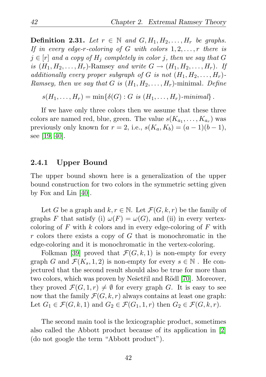**Definition 2.31.** Let  $r \in \mathbb{N}$  and  $G, H_1, H_2, \ldots, H_r$  be graphs. *If in every edge-*r*-coloring of* G *with colors* 1, 2, . . . , r *there is*  $j \in [r]$  and a copy of  $H_j$  completely in color j, then we say that G *is*  $(H_1, H_2, \ldots, H_r)$ -Ramsey and write  $G \rightarrow (H_1, H_2, \ldots, H_r)$ . If *additionally every proper subgraph of* G *is not*  $(H_1, H_2, \ldots, H_r)$ -*Ramsey, then we say that*  $G$  *is*  $(H_1, H_2, \ldots, H_r)$ -minimal. Define

 $s(H_1, ..., H_r) = \min\{\delta(G) : G \text{ is } (H_1, ..., H_r)$ *-minimal*}.

If we have only three colors then we assume that these three colors are named red, blue, green. The value  $s(K_{a_1}, \ldots, K_{a_r})$  was previously only known for  $r = 2$ , i.e.,  $s(K_a, K_b) = (a - 1)(b - 1)$ , see [\[19,](#page-128-1) [40\]](#page-130-0).

#### 2.4.1 Upper Bound

The upper bound shown here is a generalization of the upper bound construction for two colors in the symmetric setting given by Fox and Lin [\[40\]](#page-130-0).

Let G be a graph and  $k, r \in \mathbb{N}$ . Let  $\mathcal{F}(G, k, r)$  be the family of graphs F that satisfy (i)  $\omega(F) = \omega(G)$ , and (ii) in every vertexcoloring of  $F$  with  $k$  colors and in every edge-coloring of  $F$  with  $r$  colors there exists a copy of  $G$  that is monochromatic in the edge-coloring and it is monochromatic in the vertex-coloring.

Folkman [\[39\]](#page-130-1) proved that  $\mathcal{F}(G, k, 1)$  is non-empty for every graph G and  $\mathcal{F}(K_s, 1, 2)$  is non-empty for every  $s \in \mathbb{N}$ . He conjectured that the second result should also be true for more than two colors, which was proven by Nešetřil and Rödl [\[70\]](#page-133-0). Moreover, they proved  $\mathcal{F}(G, 1, r) \neq \emptyset$  for every graph G. It is easy to see now that the family  $\mathcal{F}(G, k, r)$  always contains at least one graph: Let  $G_1 \in \mathcal{F}(G, k, 1)$  and  $G_2 \in \mathcal{F}(G_1, 1, r)$  then  $G_2 \in \mathcal{F}(G, k, r)$ .

The second main tool is the lexicographic product, sometimes also called the Abbott product because of its application in [\[2\]](#page-126-0) (do not google the term "Abbott product").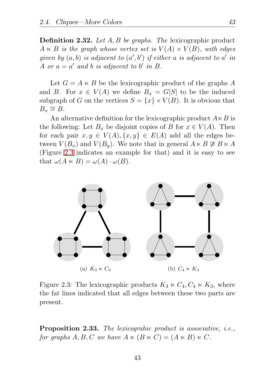Definition 2.32. *Let* A, B *be graphs. The* lexicographic product  $A \ltimes B$  *is the graph whose vertex set is*  $V(A) \times V(B)$ *, with edges* given by  $(a, b)$  is adjacent to  $(a', b')$  if either a is adjacent to  $a'$  in A or  $a = a'$  and b is adjacent to b' in B.

Let  $G = A \ltimes B$  be the lexicographic product of the graphs A and B. For  $x \in V(A)$  we define  $B_x = G[S]$  to be the induced subgraph of G on the vertices  $S = \{x\} \times V(B)$ . It is obvious that  $B_x \cong B$ .

An alternative definition for the lexicographic product  $A \ltimes B$  is the following: Let  $B_x$  be disjoint copies of B for  $x \in V(A)$ . Then for each pair  $x, y \in V(A), \{x, y\} \in E(A)$  add all the edges between  $V(B_x)$  and  $V(B_y)$ . We note that in general  $A \ltimes B \not\cong B \ltimes A$ (Figure [2.3](#page-52-0) indicates an example for that) and it is easy to see that  $\omega(A \ltimes B) = \omega(A) \cdot \omega(B)$ .



<span id="page-52-0"></span>Figure 2.3: The lexicographic products  $K_3 \ltimes C_4$ ,  $C_4 \ltimes K_3$ , where the fat lines indicated that all edges between these two parts are present.

Proposition 2.33. *The lexicograhic product is associative, i.e., for graphs*  $A, B, C$  *we have*  $A \ltimes (B \ltimes C) = (A \ltimes B) \ltimes C$ *.*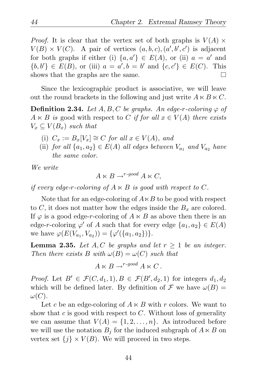*Proof.* It is clear that the vertex set of both graphs is  $V(A) \times$  $V(B) \times V(C)$ . A pair of vertices  $(a, b, c), (a', b', c')$  is adjacent for both graphs if either (i)  $\{a,a'\}\in E(A)$ , or (ii)  $a = a'$  and  $\{b, b'\}\in E(B)$ , or (iii)  $a = a', b = b'$  and  $\{c, c'\}\in E(C)$ . This shows that the graphs are the same.  $\Box$ 

Since the lexicographic product is associative, we will leave out the round brackets in the following and just write  $A \ltimes B \ltimes C$ .

**Definition 2.34.** Let  $A, B, C$  be graphs. An edge-r-coloring  $\varphi$  of  $A \ltimes B$  *is* good with respect to C *if for all*  $x \in V(A)$  *there exists*  $V_r \subset V(B_r)$  *such that* 

- (i)  $C_x := B_x[V_x] \cong C$  *for all*  $x \in V(A)$ *, and*
- (ii) *for all*  $\{a_1, a_2\} \in E(A)$  *all edges between*  $V_{a_1}$  *and*  $V_{a_2}$  *have the same color.*

*We write*

$$
A \ltimes B \to^{r\text{-}good} A \ltimes C,
$$

*if every edge-r-coloring of*  $A \ltimes B$  *is good with respect to C.* 

Note that for an edge-coloring of  $A \ltimes B$  to be good with respect to C, it does not matter how the edges inside the  $B<sub>x</sub>$  are colored. If  $\varphi$  is a good edge-r-coloring of  $A \ltimes B$  as above then there is an edge-r-coloring  $\varphi'$  of A such that for every edge  $\{a_1, a_2\} \in E(A)$ we have  $\varphi(E(V_{a_1}, V_{a_2})) = {\varphi'(\{a_1, a_2\})}.$ 

<span id="page-53-0"></span>**Lemma 2.35.** Let  $A, C$  be graphs and let  $r \geq 1$  be an integer. *Then there exists* B *with*  $\omega(B) = \omega(C)$  *such that* 

$$
A \ltimes B \to^{r\text{-}good} A \ltimes C.
$$

*Proof.* Let  $B' \in \mathcal{F}(C, d_1, 1), B \in \mathcal{F}(B', d_2, 1)$  for integers  $d_1, d_2$ which will be defined later. By definition of  $\mathcal F$  we have  $\omega(B)$  =  $\omega(C).$ 

Let c be an edge-coloring of  $A \ltimes B$  with r colors. We want to show that  $c$  is good with respect to  $C$ . Without loss of generality we can assume that  $V(A) = \{1, 2, ..., n\}$ . As introduced before we will use the notation  $B_i$  for the induced subgraph of  $A \ltimes B$  on vertex set  $\{j\} \times V(B)$ . We will proceed in two steps.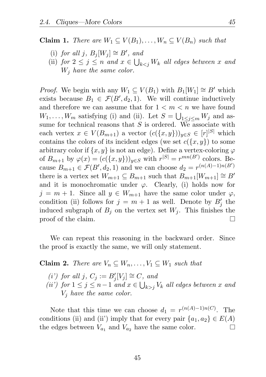**Claim 1.** *There are*  $W_1 \subseteq V(B_1), \ldots, W_n \subseteq V(B_n)$  *such that* 

- (i) *for all* j,  $B_j[W_j] \cong B'$ *, and*
- (ii) *for*  $2 \leq j \leq n$  *and*  $x \in \bigcup_{k < j} W_k$  *all edges between* x *and* W<sup>j</sup> *have the same color.*

*Proof.* We begin with any  $W_1 \subseteq V(B_1)$  with  $B_1[W_1] \cong B'$  which exists because  $B_1 \in \mathcal{F}(B', d_2, 1)$ . We will continue inductively and therefore we can assume that for  $1 \leq m \leq n$  we have found  $W_1, \ldots, W_m$  satisfying (i) and (ii). Let  $S = \bigcup_{1 \leq j \leq m} W_j$  and assume for technical reasons that  $S$  is ordered. We associate with each vertex  $x \in V(B_{m+1})$  a vector  $(c({x, y}))_{y \in S} \in [r]^{|S|}$  which contains the colors of its incident edges (we set  $c({x, y})$ ) to some arbitrary color if  $\{x, y\}$  is not an edge). Define a vertex-coloring  $\varphi$ of  $B_{m+1}$  by  $\varphi(x) = (c(\lbrace x, y \rbrace))_{y \in S}$  with  $r^{|S|} = r^{mn(B')}$  colors. Because  $B_{m+1} \in \mathcal{F}(B', d_2, 1)$  and we can choose  $d_2 = r^{(n(A)-1)n(B')}$ there is a vertex set  $W_{m+1} \subseteq B_{m+1}$  such that  $B_{m+1}[W_{m+1}] \cong B'$ and it is monochromatic under  $\varphi$ . Clearly, (i) holds now for  $j = m + 1$ . Since all  $y \in W_{m+1}$  have the same color under  $\varphi$ , condition (ii) follows for  $j = m + 1$  as well. Denote by  $B'_j$  the induced subgraph of  $B_j$  on the vertex set  $W_j$ . This finishes the proof of the claim.  $\Box$ 

We can repeat this reasoning in the backward order. Since the proof is exactly the same, we will only statement.

**Claim 2.** *There are*  $V_n \subseteq W_n, \ldots, V_1 \subseteq W_1$  *such that* 

- $(i')$  for all  $j, C_j := B'_j[V_j] \cong C$ *, and*
- *(ii')* for  $1 ≤ j ≤ n-1$  *and*  $x ∈ ∪_{k>j} V_k$  *all edges between* x *and* V<sup>j</sup> *have the same color.*

Note that this time we can choose  $d_1 = r^{(n(A)-1)n(C)}$ . The conditions (ii) and (ii') imply that for every pair  $\{a_1, a_2\} \in E(A)$ the edges between  $V_{a_1}$  and  $V_{a_2}$  have the same color. П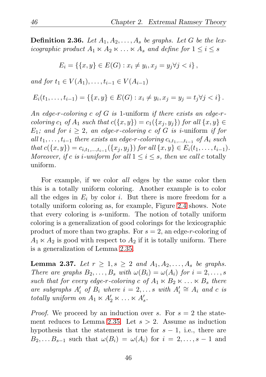**Definition 2.36.** Let  $A_1, A_2, \ldots, A_s$  be graphs. Let G be the lex*icographic product*  $A_1 \ltimes A_2 \ltimes \ldots \ltimes A_s$  *and define for*  $1 \leq i \leq s$ 

$$
E_i = \{ \{x, y\} \in E(G) : x_i \neq y_i, x_j = y_j \forall j < i \},
$$

*and for*  $t_1 \in V(A_1), \ldots, t_{i-1} \in V(A_{i-1})$ 

$$
E_i(t_1,\ldots,t_{i-1}) = \left\{ \{x,y\} \in E(G) : x_i \neq y_i, x_j = y_j = t_j \forall j < i \right\}.
$$

*An edge-*r*-coloring* c *of* G *is* 1-uniform *if there exists an edge-*r*coloring*  $c_1$  *of*  $A_1$  *such that*  $c({x, y}) = c_1({x_i, y_j})$  *for all*  ${x, y} \in$  $E_1$ *;* and for  $i \geq 2$ *, an edge-r-coloring* c of G *is i*-uniform *if for*  $all \ t_1, \ldots, t_{i-1}$  *there exists an edge-r-coloring*  $c_{i,t_1,\ldots,t_{i-1}}$  *of*  $A_i$  *such that*  $c({x, y}) = c_{i,t_1,...,t_{i-1}}({x_j, y_j})$  *for all*  ${x, y} \in E_i(t_1,...,t_{i-1})$ *. Moreover, if* c *is i-uniform for all*  $1 \leq i \leq s$ *, then we call* c totally uniform*.*

For example, if we color *all* edges by the same color then this is a totally uniform coloring. Another example is to color all the edges in  $E_i$  by color i. But there is more freedom for a totally uniform coloring as, for example, Figure [2.4](#page-56-0) shows. Note that every coloring is s-uniform. The notion of totally uniform coloring is a generalization of good colorings for the lexicographic product of more than two graphs. For  $s = 2$ , an edge-r-coloring of  $A_1 \ltimes A_2$  is good with respect to  $A_2$  if it is totally uniform. There is a generalization of Lemma [2.35.](#page-53-0)

<span id="page-55-0"></span>**Lemma 2.37.** Let  $r \geq 1, s \geq 2$  and  $A_1, A_2, ..., A_s$  be graphs. *There are graphs*  $B_2, \ldots, B_s$  *with*  $\omega(B_i) = \omega(A_i)$  *for*  $i = 2, \ldots, s$ *such that for every edge-r-coloring* c of  $A_1 \ltimes B_2 \ltimes \ldots \ltimes B_s$  *there are subgraphs*  $A'_i$  *of*  $B_i$  *where*  $i = 2, \ldots s$  *with*  $A'_i \cong A_i$  *and c is totally uniform on*  $A_1 \ltimes A'_2 \ltimes \ldots \ltimes A'_s$ .

*Proof.* We proceed by an induction over s. For  $s = 2$  the state-ment reduces to Lemma [2.35.](#page-53-0) Let  $s > 2$ . Assume as induction hypothesis that the statement is true for  $s - 1$ , i.e., there are  $B_2, \ldots B_{s-1}$  such that  $\omega(B_i) = \omega(A_i)$  for  $i = 2, \ldots, s-1$  and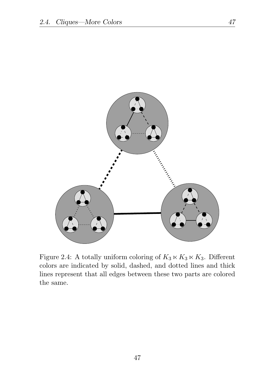

<span id="page-56-0"></span>Figure 2.4: A totally uniform coloring of  $K_3 \ltimes K_3 \ltimes K_3$ . Different colors are indicated by solid, dashed, and dotted lines and thick lines represent that all edges between these two parts are colored the same.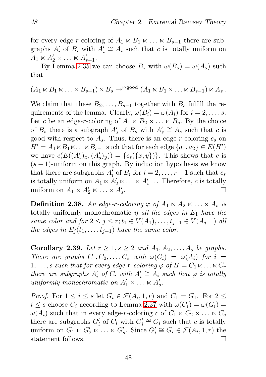for every edge-r-coloring of  $A_1 \ltimes B_1 \ltimes \ldots \ltimes B_{s-1}$  there are subgraphs  $A'_i$  of  $B_i$  with  $A'_i \cong A_i$  such that c is totally uniform on  $A_1 \ltimes A'_2 \ltimes \ldots \ltimes A'_{s-1}.$ 

By Lemma [2.35](#page-53-0) we can choose  $B_s$  with  $\omega(B_s) = \omega(A_s)$  such that

$$
(A_1 \ltimes B_1 \ltimes \ldots \ltimes B_{s-1}) \ltimes B_s \rightarrow^{r\text{-good}} (A_1 \ltimes B_1 \ltimes \ldots \ltimes B_{s-1}) \ltimes A_s.
$$

We claim that these  $B_2, \ldots, B_{s-1}$  together with  $B_s$  fulfill the requirements of the lemma. Clearly,  $\omega(B_i) = \omega(A_i)$  for  $i = 2, \ldots, s$ . Let c be an edge-r-coloring of  $A_1 \ltimes B_2 \ltimes \ldots \ltimes B_s$ . By the choice of  $B_s$  there is a subgraph  $A'_s$  of  $B_s$  with  $A'_s \cong A_s$  such that c is good with respect to  $A_s$ . Thus, there is an edge-r-coloring  $c_s$  on  $H' = A_1 \ltimes B_1 \ltimes \ldots \ltimes B_{s-1}$  such that for each edge  $\{a_1, a_2\} \in E(H')$ we have  $c(E((A'_{s})_{x}, (A'_{s})_{y})) = \{c_{s}(\{x, y\})\}$ . This shows that c is  $(s - 1)$ -uniform on this graph. By induction hypothesis we know that there are subgraphs  $A'_i$  of  $B_i$  for  $i = 2, \ldots, r - 1$  such that  $c_s$ is totally uniform on  $A_1 \ltimes A'_2 \ltimes \ldots \ltimes A'_{s-1}$ . Therefore, c is totally uniform on  $A_1 \ltimes A'_2 \ltimes \ldots \ltimes A'_s$ .  $\Box$ 

**Definition 2.38.** An edge-r-coloring  $\varphi$  of  $A_1 \ltimes A_2 \ltimes \ldots \ltimes A_s$  *is* totally uniformly monochromatic *if all the edges in* E<sup>1</sup> *have the same color and for*  $2 \le j \le r$ ;  $t_1 \in V(A_1), \ldots, t_{j-1} \in V(A_{j-1})$  *all the edges in*  $E_i(t_1, \ldots, t_{i-1})$  *have the same color.* 

<span id="page-57-0"></span>**Corollary 2.39.** *Let*  $r \geq 1, s \geq 2$  *and*  $A_1, A_2, ..., A_s$  *be graphs. There are graphs*  $C_1, C_2, \ldots, C_s$  *with*  $\omega(C_i) = \omega(A_i)$  *for*  $i =$ 1, ..., s such that for every edge-r-coloring  $\varphi$  of  $H = C_1 \ltimes \ldots \ltimes C_r$ *there are subgraphs*  $A'_i$  *of*  $C_i$  *with*  $A'_i \cong A_i$  *such that*  $\varphi$  *is totally uniformly monochromatic on*  $A'_1 \ltimes \ldots \ltimes A'_s$ .

*Proof.* For  $1 \leq i \leq s$  let  $G_i \in \mathcal{F}(A_i, 1, r)$  and  $C_1 = G_1$ . For  $2 \leq s$  $i \leq s$  choose  $C_i$  according to Lemma [2.37](#page-55-0) with  $\omega(C_i) = \omega(G_i)$  $\omega(A_i)$  such that in every edge-r-coloring c of  $C_1 \ltimes C_2 \ltimes \ldots \ltimes C_s$ there are subgraphs  $G'_{i}$  of  $C_{i}$  with  $G'_{i} \cong G_{i}$  such that c is totally uniform on  $G_1 \ltimes G'_2 \ltimes \ldots \ltimes G'_s$ . Since  $G'_i \cong G_i \in \mathcal{F}(A_i, 1, r)$  the statement follows.  $\Box$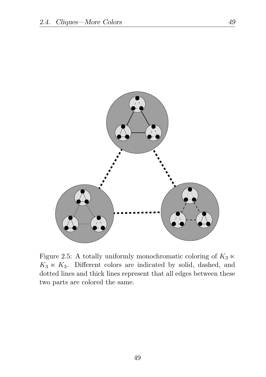

Figure 2.5: A totally uniformly monochromatic coloring of  $K_3 \ltimes$  $K_3 \ltimes K_3$ . Different colors are indicated by solid, dashed, and dotted lines and thick lines represent that all edges between these two parts are colored the same.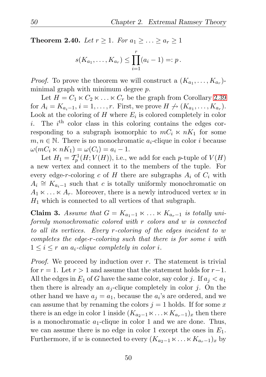**Theorem 2.40.** *Let*  $r \geq 1$ *. For*  $a_1 \geq \ldots \geq a_r \geq 1$ 

$$
s(K_{a_1},\ldots,K_{a_r})\leq \prod_{i=1}^r (a_i-1)=:p.
$$

*Proof.* To prove the theorem we will construct a  $(K_{a_1},...,K_{a_r})$ minimal graph with minimum degree  $p$ .

Let  $H = C_1 \ltimes C_2 \ltimes \ldots \ltimes C_r$  be the graph from Corollary [2.39](#page-57-0) for  $A_i = K_{a_i-1}, i = 1, \ldots, r$ . First, we prove  $H \nrightarrow (K_{a_1}, \ldots, K_{a_r})$ . Look at the coloring of  $H$  where  $E_i$  is colored completely in color i. The  $i<sup>th</sup>$  color class in this coloring contains the edges corresponding to a subgraph isomorphic to  $mC_i \ltimes nK_1$  for some  $m, n \in \mathbb{N}$ . There is no monochromatic  $a_i$ -clique in color i because  $\omega(mC_i \ltimes nK_1) = \omega(C_i) = a_i - 1.$ 

Let  $H_1 = \mathcal{T}_p^1(H; V(H))$ , i.e., we add for each *p*-tuple of  $V(H)$ a new vertex and connect it to the members of the tuple. For every edge-r-coloring c of H there are subgraphs  $A_i$  of  $C_i$  with  $A_i \cong K_{a_i-1}$  such that c is totally uniformly monochromatic on  $A_1 \ltimes \ldots \ltimes A_r$ . Moreover, there is a newly introduced vertex w in  $H_1$  which is connected to all vertices of that subgraph.

Claim 3. *Assume that*  $G = K_{a_1-1} \times \ldots \times K_{a_r-1}$  *is totally uniformly monochromatic colored with* r *colors and* w *is connected to all its vertices. Every* r*-coloring of the edges incident to* w *completes the edge-*r*-coloring such that there is for some* i *with*  $1 \leq i \leq r$  *an*  $a_i$ -clique completely in color i.

*Proof.* We proceed by induction over r. The statement is trivial for  $r = 1$ . Let  $r > 1$  and assume that the statement holds for  $r-1$ . All the edges in  $E_1$  of G have the same color, say color j. If  $a_i < a_1$ then there is already an  $a_j$ -clique completely in color j. On the other hand we have  $a_j = a_1$ , because the  $a_i$ 's are ordered, and we can assume that by renaming the colors  $j = 1$  holds. If for some x there is an edge in color 1 inside  $(K_{a_2-1} \ltimes \ldots \ltimes K_{a_r-1})_x$  then there is a monochromatic  $a_1$ -clique in color 1 and we are done. Thus, we can assume there is no edge in color 1 except the ones in  $E_1$ . Furthermore, if w is connected to every  $(K_{a_2-1} \ltimes \ldots \ltimes K_{a_r-1})_x$  by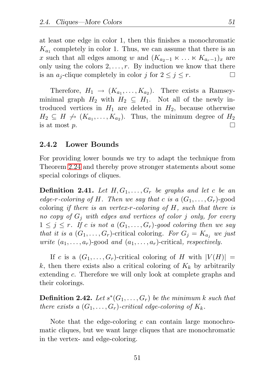at least one edge in color 1, then this finishes a monochromatic  $K_{a_1}$  completely in color 1. Thus, we can assume that there is an x such that all edges among w and  $(K_{a_2-1} \ltimes \ldots \ltimes K_{a_r-1})_x$  are only using the colors  $2, \ldots, r$ . By induction we know that there is an  $a_i$ -clique completely in color j for  $2 \leq j \leq r$ . П

Therefore,  $H_1 \rightarrow (K_{a_1}, \ldots, K_{a_2})$ . There exists a Ramseyminimal graph  $H_2$  with  $H_2 \subseteq H_1$ . Not all of the newly introduced vertices in  $H_1$  are deleted in  $H_2$ , because otherwise  $H_2 \subseteq H \not\rightarrow (K_{a_1}, \ldots, K_{a_2}).$  Thus, the minimum degree of  $H_2$ is at most p.  $\Box$ 

#### 2.4.2 Lower Bounds

For providing lower bounds we try to adapt the technique from Theorem [2.24](#page-43-0) and thereby prove stronger statements about some special colorings of cliques.

**Definition 2.41.** Let  $H, G_1, \ldots, G_r$  be graphs and let c be an *edge-r-coloring of* H. Then we say that c is a  $(G_1, \ldots, G_r)$ -good coloring *if there is an vertex-*r*-coloring of* H*, such that there is no copy of* G<sup>j</sup> *with edges and vertices of color* j *only, for every*  $1 \leq j \leq r$ . If c is not a  $(G_1, \ldots, G_r)$ -good coloring then we say *that it is a*  $(G_1, \ldots, G_r)$ -critical coloring. For  $G_i = K_{a_i}$  we just *write*  $(a_1, \ldots, a_r)$ -good *and*  $(a_1, \ldots, a_r)$ -critical, *respectively.* 

If c is a  $(G_1, \ldots, G_r)$ -critical coloring of H with  $|V(H)| =$ k, then there exists also a critical coloring of  $K_k$  by arbitrarily extending c. Therefore we will only look at complete graphs and their colorings.

 $\textbf{Definition 2.42.} \ \textit{Let} \ s^*(G_1, \ldots, G_r) \ \textit{be the minimum} \ k \ \textit{such that}$ *there exists a*  $(G_1, \ldots, G_r)$ -critical edge-coloring of  $K_k$ .

Note that the edge-coloring  $c$  can contain large monochromatic cliques, but we want large cliques that are monochromatic in the vertex- and edge-coloring.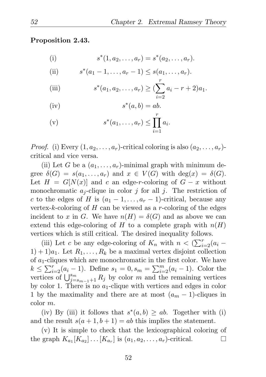<span id="page-61-0"></span>Proposition 2.43.

(i) 
$$
s^*(1, a_2, ..., a_r) = s^*(a_2, ..., a_r).
$$

(ii) 
$$
s^*(a_1 - 1, ..., a_r - 1) \leq s(a_1, ..., a_r).
$$

(iii) 
$$
s^{*}(a_1, a_2,..., a_r) \geq (\sum_{i=2}^{r} a_i - r + 2)a_1.
$$

(iv) 
$$
s^*(a,b) = ab.
$$

(v) 
$$
s^*(a_1,..., a_r) \leq \prod_{i=1}^r a_i
$$
.

*Proof.* (i) Every  $(1, a_2, \ldots, a_r)$ -critical coloring is also  $(a_2, \ldots, a_r)$ critical and vice versa.

(ii) Let G be a  $(a_1, \ldots, a_r)$ -minimal graph with minimum degree  $\delta(G) = s(a_1, \ldots, a_r)$  and  $x \in V(G)$  with  $\deg(x) = \delta(G)$ . Let  $H = G[N(x)]$  and c an edge-r-coloring of  $G - x$  without monochromatic  $a_i$ -clique in color j for all j. The restriction of c to the edges of H is  $(a_1 - 1, \ldots, a_r - 1)$ -critical, because any vertex-k-coloring of H can be viewed as a r-coloring of the edges incident to x in G. We have  $n(H) = \delta(G)$  and as above we can extend this edge-coloring of H to a complete graph with  $n(H)$ vertices which is still critical. The desired inequality follows.

(iii) Let c be any edge-coloring of  $K_n$  with  $n < (\sum_{i=2}^r (a_i 1) + 1)a_1$ . Let  $R_1, \ldots, R_k$  be a maximal vertex disjoint collection of  $a_1$ -cliques which are monochromatic in the first color. We have  $k \leq \sum_{i=2}^{r} (a_i - 1)$ . Define  $s_1 = 0$ ,  $s_m = \sum_{i=2}^{m} (a_i - 1)$ . Color the vertices of  $\bigcup_{j=s_{m-1}+1}^{s_m} R_j$  by color m and the remaining vertices by color 1. There is no  $a_1$ -clique with vertices and edges in color 1 by the maximality and there are at most  $(a_m - 1)$ -cliques in color m.

(iv) By (iii) it follows that  $s^*(a, b) \ge ab$ . Together with (i) and the result  $s(a+1,b+1) = ab$  this implies the statement.

(v) It is simple to check that the lexicographical coloring of the graph  $K_{a_1}[K_{a_2}]\ldots[K_{a_r}]$  is  $(a_1, a_2, \ldots, a_r)$ -critical.  $\Box$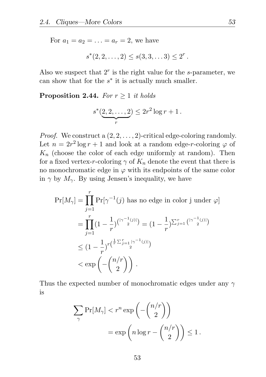For  $a_1 = a_2 = ... = a_r = 2$ , we have

$$
s^*(2,2,\ldots,2) \leq s(3,3,\ldots,3) \leq 2^r.
$$

Also we suspect that  $2<sup>r</sup>$  is the right value for the s-parameter, we can show that for the  $s^*$  it is actually much smaller.

#### **Proposition 2.44.** *For*  $r \geq 1$  *it holds*

$$
s^*(\underbrace{2,2,\ldots,2}_{r}) \le 2r^2 \log r + 1.
$$

*Proof.* We construct a  $(2, 2, \ldots, 2)$ -critical edge-coloring randomly. Let  $n = 2r^2 \log r + 1$  and look at a random edge-r-coloring  $\varphi$  of  $K_n$  (choose the color of each edge uniformly at random). Then for a fixed vertex-r-coloring  $\gamma$  of  $K_n$  denote the event that there is no monochromatic edge in  $\varphi$  with its endpoints of the same color in  $\gamma$  by  $M_{\gamma}$ . By using Jensen's inequality, we have

$$
\Pr[M_{\gamma}] = \prod_{j=1}^{r} \Pr[\gamma^{-1}(j) \text{ has no edge in color } j \text{ under } \varphi]
$$
  
= 
$$
\prod_{j=1}^{r} (1 - \frac{1}{r})^{\binom{|\gamma^{-1}(j)|}{2}} = (1 - \frac{1}{r})^{\sum_{j=1}^{r} {\binom{|\gamma^{-1}(j)|}{2}}}
$$
  

$$
\leq (1 - \frac{1}{r})^{r(\frac{1}{r} \sum_{j=1}^{r} |\gamma^{-1}(j)|)} \leq \exp\left(-\binom{n/r}{2}\right).
$$

Thus the expected number of monochromatic edges under any  $\gamma$ is

$$
\sum_{\gamma} \Pr[M_{\gamma}] < r^n \exp\left(-\binom{n/r}{2}\right) \\
= \exp\left(n \log r - \binom{n/r}{2}\right) \le 1.
$$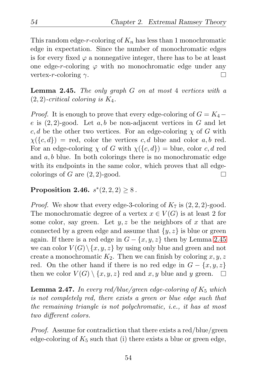This random edge-r-coloring of  $K_n$  has less than 1 monochromatic edge in expectation. Since the number of monochromatic edges is for every fixed  $\varphi$  a nonnegative integer, there has to be at least one edge-r-coloring  $\varphi$  with no monochromatic edge under any vertex-r-coloring  $\gamma$ . П

<span id="page-63-0"></span>Lemma 2.45. *The only graph* G *on at most* 4 *vertices with a* (2, 2)*-critical coloring is* K4*.*

*Proof.* It is enough to prove that every edge-coloring of  $G = K_4$  – e is  $(2, 2)$ -good. Let a, b be non-adjacent vertices in G and let c, d be the other two vertices. For an edge-coloring  $\chi$  of G with  $\chi(\lbrace c, d \rbrace) = \text{red}$ , color the vertices c, d blue and color a, b red. For an edge-coloring  $\chi$  of G with  $\chi({c, d})$  = blue, color c, d red and  $a, b$  blue. In both colorings there is no monochromatic edge with its endpoints in the same color, which proves that all edgecolorings of  $G$  are  $(2, 2)$ -good. П

#### <span id="page-63-2"></span>Proposition 2.46.  $s^*(2, 2, 2) \geq 8$ .

*Proof.* We show that every edge-3-coloring of  $K_7$  is  $(2, 2, 2)$ -good. The monochromatic degree of a vertex  $x \in V(G)$  is at least 2 for some color, say green. Let  $y, z$  be the neighbors of x that are connected by a green edge and assume that  $\{y, z\}$  is blue or green again. If there is a red edge in  $G - \{x, y, z\}$  then by Lemma [2.45](#page-63-0) we can color  $V(G) \setminus \{x, y, z\}$  by using only blue and green and not create a monochromatic  $K_2$ . Then we can finish by coloring  $x, y, z$ red. On the other hand if there is no red edge in  $G - \{x, y, z\}$ then we color  $V(G) \setminus \{x, y, z\}$  red and x, y blue and y green.  $\Box$ 

<span id="page-63-1"></span>Lemma 2.47. *In every red/blue/green edge-coloring of* K<sup>5</sup> *which is not completely red, there exists a green or blue edge such that the remaining triangle is not polychromatic, i.e., it has at most two different colors.*

*Proof.* Assume for contradiction that there exists a red/blue/green edge-coloring of  $K_5$  such that (i) there exists a blue or green edge,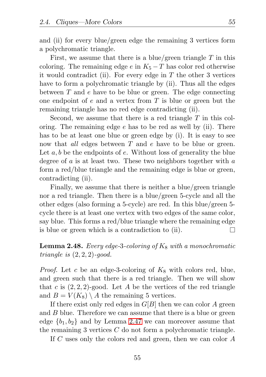and (ii) for every blue/green edge the remaining 3 vertices form a polychromatic triangle.

First, we assume that there is a blue/green triangle  $T$  in this coloring. The remaining edge e in  $K_5-T$  has color red otherwise it would contradict (ii). For every edge in  $T$  the other 3 vertices have to form a polychromatic triangle by (ii). Thus all the edges between  $T$  and  $e$  have to be blue or green. The edge connecting one endpoint of  $e$  and a vertex from  $T$  is blue or green but the remaining triangle has no red edge contradicting (ii).

Second, we assume that there is a red triangle  $T$  in this coloring. The remaining edge  $e$  has to be red as well by (ii). There has to be at least one blue or green edge by (i). It is easy to see now that *all* edges between T and e have to be blue or green. Let  $a, b$  be the endpoints of  $e$ . Without loss of generality the blue degree of  $a$  is at least two. These two neighbors together with  $a$ form a red/blue triangle and the remaining edge is blue or green, contradicting (ii).

Finally, we assume that there is neither a blue/green triangle nor a red triangle. Then there is a blue/green 5-cycle and all the other edges (also forming a 5-cycle) are red. In this blue/green 5 cycle there is at least one vertex with two edges of the same color, say blue. This forms a red/blue triangle where the remaining edge is blue or green which is a contradiction to (ii). П

#### <span id="page-64-0"></span>**Lemma 2.48.** *Every edge-3-coloring of*  $K_8$  *with a monochromatic triangle is* (2, 2, 2)*-good.*

*Proof.* Let c be an edge-3-coloring of  $K_8$  with colors red, blue, and green such that there is a red triangle. Then we will show that c is  $(2, 2, 2)$ -good. Let A be the vertices of the red triangle and  $B = V(K_8) \setminus A$  the remaining 5 vertices.

If there exist only red edges in  $G[B]$  then we can color A green and B blue. Therefore we can assume that there is a blue or green edge  ${b_1, b_2}$  and by Lemma [2.47](#page-63-1) we can moreover assume that the remaining 3 vertices  $C$  do not form a polychromatic triangle.

If C uses only the colors red and green, then we can color A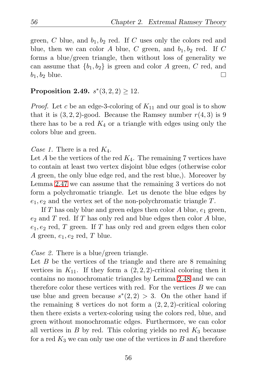green, C blue, and  $b_1, b_2$  red. If C uses only the colors red and blue, then we can color A blue, C green, and  $b_1, b_2$  red. If C forms a blue/green triangle, then without loss of generality we can assume that  ${b_1, b_2}$  is green and color A green, C red, and  $b_1$ ,  $b_2$  blue.  $\Box$ 

#### <span id="page-65-0"></span>**Proposition 2.49.**  $s^*(3,2,2) \ge 12$ .

*Proof.* Let c be an edge-3-coloring of  $K_{11}$  and our goal is to show that it is  $(3, 2, 2)$ -good. Because the Ramsey number  $r(4, 3)$  is 9 there has to be a red  $K_4$  or a triangle with edges using only the colors blue and green.

*Case 1.* There is a red  $K_4$ .

Let A be the vertices of the red  $K_4$ . The remaining 7 vertices have to contain at least two vertex disjoint blue edges (otherwise color A green, the only blue edge red, and the rest blue,). Moreover by Lemma [2.47](#page-63-1) we can assume that the remaining 3 vertices do not form a polychromatic triangle. Let us denote the blue edges by  $e_1, e_2$  and the vertex set of the non-polychromatic triangle T.

If T has only blue and green edges then color A blue,  $e_1$  green,  $e_2$  and T red. If T has only red and blue edges then color A blue,  $e_1, e_2$  red, T green. If T has only red and green edges then color A green,  $e_1, e_2$  red, T blue.

*Case 2.* There is a blue/green triangle.

Let  $B$  be the vertices of the triangle and there are 8 remaining vertices in  $K_{11}$ . If they form a  $(2, 2, 2)$ -critical coloring then it contains no monochromatic triangles by Lemma [2.48](#page-64-0) and we can therefore color these vertices with red. For the vertices  $B$  we can use blue and green because  $s^*(2,2) > 3$ . On the other hand if the remaining 8 vertices do not form a  $(2, 2, 2)$ -critical coloring then there exists a vertex-coloring using the colors red, blue, and green without monochromatic edges. Furthermore, we can color all vertices in  $B$  by red. This coloring yields no red  $K_3$  because for a red  $K_3$  we can only use one of the vertices in  $B$  and therefore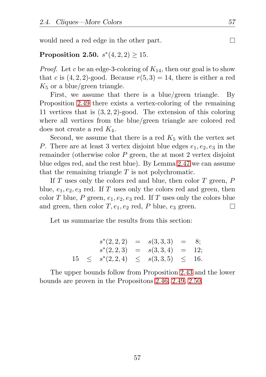would need a red edge in the other part.

#### <span id="page-66-0"></span>**Proposition 2.50.**  $s^*(4, 2, 2) \ge 15$ .

*Proof.* Let c be an edge-3-coloring of  $K_{14}$ , then our goal is to show that c is  $(4, 2, 2)$ -good. Because  $r(5, 3) = 14$ , there is either a red  $K_5$  or a blue/green triangle.

First, we assume that there is a blue/green triangle. By Proposition [2.49](#page-65-0) there exists a vertex-coloring of the remaining 11 vertices that is (3, 2, 2)-good. The extension of this coloring where all vertices from the blue/green triangle are colored red does not create a red  $K_4$ .

Second, we assume that there is a red  $K_5$  with the vertex set P. There are at least 3 vertex disjoint blue edges  $e_1, e_2, e_3$  in the remainder (otherwise color P green, the at most 2 vertex disjoint blue edges red, and the rest blue). By Lemma [2.47](#page-63-1) we can assume that the remaining triangle  $T$  is not polychromatic.

If  $T$  uses only the colors red and blue, then color  $T$  green,  $P$ blue,  $e_1, e_2, e_3$  red. If T uses only the colors red and green, then color T blue, P green,  $e_1, e_2, e_3$  red. If T uses only the colors blue and green, then color  $T, e_1, e_2$  red, P blue,  $e_3$  green.  $\Box$ 

Let us summarize the results from this section:

|    | $s^*(2,2,2) = s(3,3,3) = 8;$             |  |  |
|----|------------------------------------------|--|--|
|    | $s^*(2,2,3) = s(3,3,4) = 12;$            |  |  |
| 15 | $\leq s^*(2,2,4) \leq s(3,3,5) \leq 16.$ |  |  |

The upper bounds follow from Proposition [2.43](#page-61-0) and the lower bounds are proven in the Propositons [2.46,](#page-63-2) [2.49,](#page-65-0) [2.50.](#page-66-0)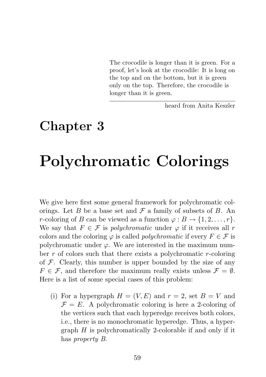The crocodile is longer than it is green. For a proof, let's look at the crocodile: It is long on the top and on the bottom, but it is green only on the top. Therefore, the crocodile is longer than it is green.

heard from Anita Keszler

# Chapter 3

# Polychromatic Colorings

We give here first some general framework for polychromatic colorings. Let B be a base set and  $\mathcal F$  a family of subsets of B. An r-coloring of B can be viewed as a function  $\varphi : B \to \{1, 2, ..., r\}.$ We say that  $F \in \mathcal{F}$  is *polychromatic* under  $\varphi$  if it receives all r colors and the coloring  $\varphi$  is called *polychromatic* if every  $F \in \mathcal{F}$  is polychromatic under  $\varphi$ . We are interested in the maximum number r of colors such that there exists a polychromatic r-coloring of  $\mathcal F$ . Clearly, this number is upper bounded by the size of any  $F \in \mathcal{F}$ , and therefore the maximum really exists unless  $\mathcal{F} = \emptyset$ . Here is a list of some special cases of this problem:

(i) For a hypergraph  $H = (V, E)$  and  $r = 2$ , set  $B = V$  and  $\mathcal{F} = E$ . A polychromatic coloring is here a 2-coloring of the vertices such that each hyperedge receives both colors, i.e., there is no monochromatic hyperedge. Thus, a hypergraph  $H$  is polychromatically 2-colorable if and only if it has *property B*.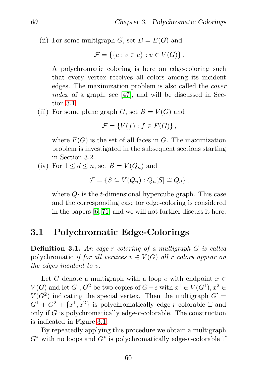(ii) For some multigraph G, set  $B = E(G)$  and

$$
\mathcal{F} = \{ \{e : v \in e\} : v \in V(G) \}.
$$

A polychromatic coloring is here an edge-coloring such that every vertex receives all colors among its incident edges. The maximization problem is also called the *cover index* of a graph, see [\[47\]](#page-130-2), and will be discussed in Section [3.1.](#page-69-0)

(iii) For some plane graph  $G$ , set  $B = V(G)$  and

$$
\mathcal{F} = \{V(f) : f \in F(G)\},\
$$

where  $F(G)$  is the set of all faces in G. The maximization problem is investigated in the subsequent sections starting in Section 3.2.

(iv) For  $1 \leq d \leq n$ , set  $B = V(Q_n)$  and

$$
\mathcal{F} = \{ S \subseteq V(Q_n) : Q_n[S] \cong Q_d \},
$$

where  $Q_t$  is the t-dimensional hypercube graph. This case and the corresponding case for edge-coloring is considered in the papers [\[6,](#page-126-1) [71\]](#page-133-1) and we will not further discuss it here.

# <span id="page-69-0"></span>3.1 Polychromatic Edge-Colorings

Definition 3.1. *An edge-*r*-coloring of a multigraph* G *is called* polychromatic *if for all vertices*  $v \in V(G)$  *all* r *colors appear on the edges incident to* v*.*

Let G denote a multigraph with a loop e with endpoint  $x \in$  $V(G)$  and let  $G^1, G^2$  be two copies of  $G-e$  with  $x^1 \in V(G^1), x^2 \in$  $V(G^2)$  indicating the special vertex. Then the multigraph  $G' =$  $G^1 + G^2 + \{x^1, x^2\}$  is polychromatically edge-r-colorable if and only if G is polychromatically edge-r-colorable. The construction is indicated in Figure [3.1.](#page-70-0)

By repeatedly applying this procedure we obtain a multigraph  $G^*$  with no loops and  $G^*$  is polychromatically edge-r-colorable if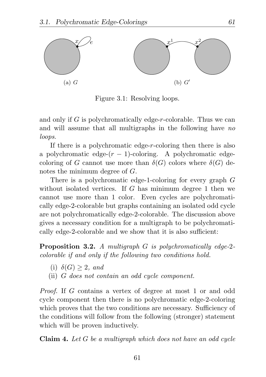

<span id="page-70-0"></span>Figure 3.1: Resolving loops.

and only if G is polychromatically edge-r-colorable. Thus we can and will assume that all multigraphs in the following have *no loops*.

If there is a polychromatic edge-r-coloring then there is also a polychromatic edge- $(r-1)$ -coloring. A polychromatic edgecoloring of G cannot use more than  $\delta(G)$  colors where  $\delta(G)$  denotes the minimum degree of G.

There is a polychromatic edge-1-coloring for every graph G without isolated vertices. If G has minimum degree 1 then we cannot use more than 1 color. Even cycles are polychromatically edge-2-colorable but graphs containing an isolated odd cycle are not polychromatically edge-2-colorable. The discussion above gives a necessary condition for a multigraph to be polychromatically edge-2-colorable and we show that it is also sufficient:

Proposition 3.2. *A multigraph* G *is polychromatically edge-*2 *colorable if and only if the following two conditions hold.*

- (i)  $\delta(G) > 2$ *, and*
- (ii) G *does not contain an odd cycle component.*

*Proof.* If G contains a vertex of degree at most 1 or and odd cycle component then there is no polychromatic edge-2-coloring which proves that the two conditions are necessary. Sufficiency of the conditions will follow from the following (stronger) statement which will be proven inductively.

Claim 4. *Let* G *be a multigraph which does not have an odd cycle*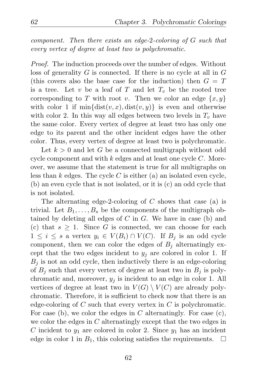*component. Then there exists an edge-*2*-coloring of* G *such that every vertex of degree at least two is polychromatic.*

*Proof.* The induction proceeds over the number of edges. Without loss of generality  $G$  is connected. If there is no cycle at all in  $G$ (this covers also the base case for the induction) then  $G = T$ is a tree. Let v be a leaf of T and let  $T_v$  be the rooted tree corresponding to T with root v. Then we color an edge  $\{x, y\}$ with color 1 if  $\min\{\text{dist}(v, x), \text{dist}(v, y)\}\$ is even and otherwise with color 2. In this way all edges between two levels in  $T_v$  have the same color. Every vertex of degree at least two has only one edge to its parent and the other incident edges have the other color. Thus, every vertex of degree at least two is polychromatic.

Let  $k > 0$  and let G be a connected multigraph without odd cycle component and with  $k$  edges and at least one cycle  $C$ . Moreover, we assume that the statement is true for all multigraphs on less than  $k$  edges. The cycle  $C$  is either (a) an isolated even cycle, (b) an even cycle that is not isolated, or it is (c) an odd cycle that is not isolated.

The alternating edge-2-coloring of C shows that case (a) is trivial. Let  $B_1, \ldots, B_s$  be the components of the multigraph obtained by deleting all edges of  $C$  in  $G$ . We have in case (b) and (c) that  $s \geq 1$ . Since G is connected, we can choose for each  $1 \leq i \leq s$  a vertex  $y_i \in V(B_i) \cap V(C)$ . If  $B_i$  is an odd cycle component, then we can color the edges of  $B_i$  alternatingly except that the two edges incident to  $y_i$  are colored in color 1. If  $B_i$  is not an odd cycle, then inductively there is an edge-coloring of  $B_i$  such that every vertex of degree at least two in  $B_i$  is polychromatic and, moreover,  $y_i$  is incident to an edge in color 1. All vertices of degree at least two in  $V(G) \setminus V(C)$  are already polychromatic. Therefore, it is sufficient to check now that there is an edge-coloring of C such that every vertex in C is polychromatic. For case (b), we color the edges in  $C$  alternatingly. For case (c), we color the edges in  $C$  alternatingly except that the two edges in C incident to  $y_1$  are colored in color 2. Since  $y_1$  has an incident edge in color 1 in  $B_1$ , this coloring satisfies the requirements.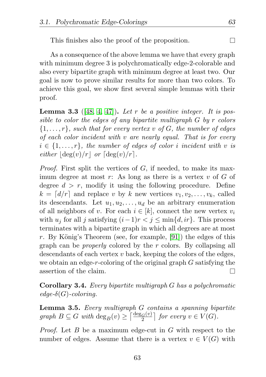This finishes also the proof of the proposition.

As a consequence of the above lemma we have that every graph with minimum degree 3 is polychromatically edge-2-colorable and also every bipartite graph with minimum degree at least two. Our goal is now to prove similar results for more than two colors. To achieve this goal, we show first several simple lemmas with their proof.

<span id="page-72-1"></span>Lemma 3.3 ([\[48,](#page-130-0) [4,](#page-126-0) [47\]](#page-130-1)). *Let* r *be a positive integer. It is possible to color the edges of any bipartite multigraph* G *by* r *colors* {1, . . . , r}*, such that for every vertex* v *of* G*, the number of edges of each color incident with* v *are nearly equal. That is for every*  $i \in \{1, \ldots, r\}$ , the number of edges of color i incident with v is *either*  $\left|\deg(v)/r\right|$  *or*  $\left[\deg(v)/r\right]$ *.* 

*Proof.* First split the vertices of G, if needed, to make its maximum degree at most  $r$ : As long as there is a vertex  $v$  of  $G$  of degree  $d > r$ , modify it using the following procedure. Define  $k = [d/r]$  and replace v by k new vertices  $v_1, v_2, \ldots, v_k$ , called its descendants. Let  $u_1, u_2, \ldots, u_d$  be an arbitrary enumeration of all neighbors of v. For each  $i \in [k]$ , connect the new vertex  $v_i$ with  $u_j$  for all j satisfying  $(i-1)r < j \leq \min\{d, ir\}$ . This process terminates with a bipartite graph in which all degrees are at most r. By König's Theorem (see, for example,  $[91]$ ) the edges of this graph can be *properly* colored by the r colors. By collapsing all descendants of each vertex  $v$  back, keeping the colors of the edges, we obtain an edge-r-coloring of the original graph G satisfying the assertion of the claim. П

Corollary 3.4. *Every bipartite multigraph* G *has a polychromatic edge-*δ(G)*-coloring.*

<span id="page-72-0"></span>Lemma 3.5. *Every multigraph* G *contains a spanning bipartite*  $graph B \subseteq G \text{ with } deg_B(v) \geq \left\lceil \frac{deg_G(v)}{2} \right\rceil \text{ for every } v \in V(G).$ 

*Proof.* Let B be a maximum edge-cut in G with respect to the number of edges. Assume that there is a vertex  $v \in V(G)$  with

63

П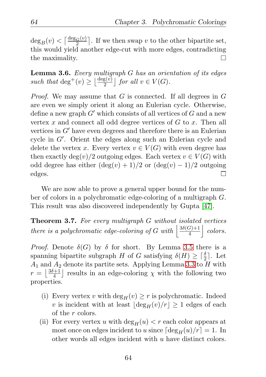$\deg_B(v) < \left\lceil \frac{\deg_G(v)}{2} \right\rceil$ . If we then swap v to the other bipartite set, this would yield another edge-cut with more edges, contradicting the maximality. П

<span id="page-73-0"></span>Lemma 3.6. *Every multigraph* G *has an orientation of its edges* such that  $\deg^+(v) \geq \left\lfloor \frac{\deg(v)}{2} \right\rfloor$  for all  $v \in V(G)$ .

*Proof.* We may assume that G is connected. If all degrees in G are even we simply orient it along an Eulerian cycle. Otherwise, define a new graph  $G'$  which consists of all vertices of G and a new vertex x and connect all odd degree vertices of  $G$  to x. Then all vertices in  $G'$  have even degrees and therefore there is an Eulerian cycle in G′ . Orient the edges along such an Eulerian cycle and delete the vertex x. Every vertex  $v \in V(G)$  with even degree has then exactly deg $(v)/2$  outgoing edges. Each vertex  $v \in V(G)$  with odd degree has either  $(\deg(v) + 1)/2$  or  $(\deg(v) - 1)/2$  outgoing edges. П

We are now able to prove a general upper bound for the number of colors in a polychromatic edge-coloring of a multigraph G. This result was also discovered independently by Gupta [\[47\]](#page-130-1).

<span id="page-73-1"></span>Theorem 3.7. *For every multigraph* G *without isolated vertices there is a polychromatic edge-coloring of* G with  $\frac{3\delta(G)+1}{4}$ 4 | colors.

*Proof.* Denote  $\delta(G)$  by  $\delta$  for short. By Lemma [3.5](#page-72-0) there is a spanning bipartite subgraph H of G satisfying  $\delta(H) \geq \lceil \frac{\delta}{2} \rceil$ . Let  $A_1$  and  $A_2$  denote its partite sets. Applying Lemma [3.3](#page-72-1) to H with  $r=\lfloor \frac{3\delta+1}{4}$  $\frac{d+1}{4}$  results in an edge-coloring  $\chi$  with the following two properties.

- (i) Every vertex v with  $\deg_H(v) \geq r$  is polychromatic. Indeed v is incident with at least  $|\deg_H(v)/r| \geq 1$  edges of each of the r colors.
- (ii) For every vertex u with  $\deg_H(u) < r$  each color appears at most once on edges incident to u since  $\lceil \deg_H(u)/r \rceil = 1$ . In other words all edges incident with u have distinct colors.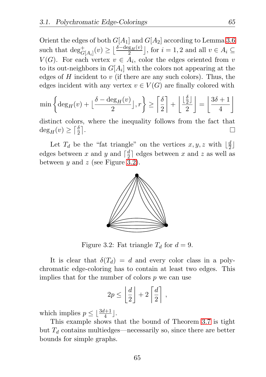Orient the edges of both  $G[A_1]$  and  $G[A_2]$  according to Lemma [3.6](#page-73-0) such that  $\deg^+_{G[A_i]}(v) \geq \left\lfloor \frac{\delta - \deg_H(v)}{2} \right\rfloor$ , for  $i = 1, 2$  and all  $v \in A_i \subseteq$  $V(G)$ . For each vertex  $v \in A_i$ , color the edges oriented from v to its out-neighbors in  $G[A_i]$  with the colors not appearing at the edges of  $H$  incident to  $v$  (if there are any such colors). Thus, the edges incident with any vertex  $v \in V(G)$  are finally colored with

$$
\min\left\{\deg_H(v) + \left\lfloor \frac{\delta - \deg_H(v)}{2} \right\rfloor, r\right\} \ge \left\lceil \frac{\delta}{2} \right\rceil + \left\lfloor \frac{\left\lfloor \frac{\delta}{2} \right\rfloor}{2} \right\rfloor = \left\lfloor \frac{3\delta + 1}{4} \right\rfloor
$$

distinct colors, where the inequality follows from the fact that  $deg_H(v) \geq \lceil \frac{\delta}{2} \rceil$  $\frac{\delta}{2}$ . П

Let  $T_d$  be the "fat triangle" on the vertices  $x, y, z$  with  $\lfloor \frac{d}{2} \rfloor$  $\frac{d}{2}$ edges between x and y and  $\lceil \frac{d}{2} \rceil$  $\frac{d}{2}$  edges between x and z as well as between y and z (see Figure [3.2\)](#page-74-0).



<span id="page-74-0"></span>Figure 3.2: Fat triangle  $T_d$  for  $d=9$ .

It is clear that  $\delta(T_d) = d$  and every color class in a polychromatic edge-coloring has to contain at least two edges. This implies that for the number of colors  $p$  we can use

$$
2p \le \left\lfloor \frac{d}{2} \right\rfloor + 2\left\lceil \frac{d}{2} \right\rceil,
$$

which implies  $p \leq \lfloor \frac{3d+1}{4} \rfloor$ .

This example shows that the bound of Theorem [3.7](#page-73-1) is tight but  $T_d$  contains multiedges—necessarily so, since there are better bounds for simple graphs.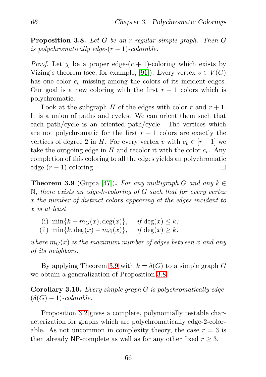<span id="page-75-1"></span>Proposition 3.8. *Let* G *be an* r*-regular simple graph. Then* G *is polychromatically edge-* $(r - 1)$ *-colorable.* 

*Proof.* Let  $\chi$  be a proper edge- $(r + 1)$ -coloring which exists by Vizing's theorem (see, for example, [\[91\]](#page-134-0)). Every vertex  $v \in V(G)$ has one color  $c_v$  missing among the colors of its incident edges. Our goal is a new coloring with the first  $r-1$  colors which is polychromatic.

Look at the subgraph H of the edges with color r and  $r + 1$ . It is a union of paths and cycles. We can orient them such that each path/cycle is an oriented path/cycle. The vertices which are not polychromatic for the first  $r - 1$  colors are exactly the vertices of degree 2 in H. For every vertex v with  $c_v \in [r-1]$  we take the outgoing edge in  $H$  and recolor it with the color  $c_v$ . Any completion of this coloring to all the edges yields an polychromatic edge- $(r-1)$ -coloring.  $\Box$ 

<span id="page-75-0"></span>**Theorem 3.9** (Gupta [\[47\]](#page-130-1)). For any multigraph G and any  $k \in \mathbb{R}$ N*, there exists an edge-*k*-coloring of* G *such that for every vertex* x *the number of distinct colors appearing at the edges incident to* x *is at least*

- (i)  $\min\{k m_G(x), \deg(x)\}, \text{ if } \deg(x) \leq k;$
- (ii)  $\min\{k, \deg(x) m_G(x)\}, \text{ if } \deg(x) \geq k.$

*where*  $m_G(x)$  *is the maximum number of edges between* x and any *of its neighbors.*

By applying Theorem [3.9](#page-75-0) with  $k = \delta(G)$  to a simple graph G we obtain a generalization of Proposition [3.8.](#page-75-1)

Corollary 3.10. *Every simple graph* G *is polychromatically edge-*  $(\delta(G) - 1)$ *-colorable.* 

Proposition [3.2](#page-70-0) gives a complete, polynomially testable characterization for graphs which are polychromatically edge-2-colorable. As not uncommon in complexity theory, the case  $r = 3$  is then already NP-complete as well as for any other fixed  $r \geq 3$ .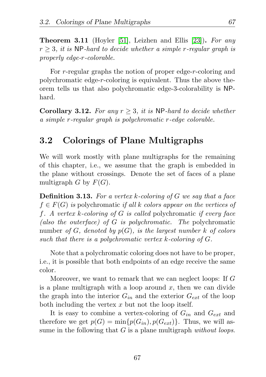<span id="page-76-0"></span>Theorem 3.11 (Hoyler [\[51\]](#page-131-0), Leizhen and Ellis [\[23\]](#page-128-0)). *For any* r ≥ 3*, it is* NP*-hard to decide whether a simple* r*-regular graph is properly edge-*r*-colorable.*

For r-regular graphs the notion of proper edge-r-coloring and polychromatic edge-r-coloring is equivalent. Thus the above theorem tells us that also polychromatic edge-3-colorability is NPhard.

**Corollary 3.12.** For any  $r > 3$ , it is NP-hard to decide whether *a simple* r*-regular graph is polychromatic* r*-edge colorable.*

## 3.2 Colorings of Plane Multigraphs

We will work mostly with plane multigraphs for the remaining of this chapter, i.e., we assume that the graph is embedded in the plane without crossings. Denote the set of faces of a plane multigraph G by  $F(G)$ .

Definition 3.13. *For a vertex* k*-coloring of* G *we say that a face* f ∈ F(G) *is* polychromatic *if all* k *colors appear on the vertices of* f*. A vertex* k*-coloring of* G *is called* polychromatic *if every face (also the outerface) of* G *is polychromatic. The* polychromatic number *of* G*, denoted by* p(G)*, is the largest number* k *of colors such that there is a polychromatic vertex* k*-coloring of* G*.*

Note that a polychromatic coloring does not have to be proper, i.e., it is possible that both endpoints of an edge receive the same color.

Moreover, we want to remark that we can neglect loops: If G is a plane multigraph with a loop around  $x$ , then we can divide the graph into the interior  $G_{in}$  and the exterior  $G_{ext}$  of the loop both including the vertex  $x$  but not the loop itself.

It is easy to combine a vertex-coloring of  $G_{in}$  and  $G_{ext}$  and therefore we get  $p(G) = \min\{p(G_{in}), p(G_{ext})\}$ . Thus, we will assume in the following that G is a plane multigraph *without loops*.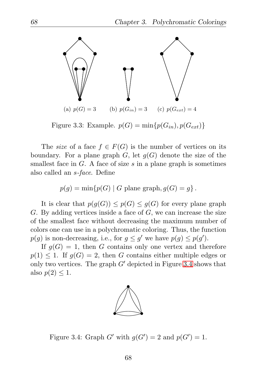

Figure 3.3: Example.  $p(G) = \min\{p(G_{in}), p(G_{ext})\}$ 

The *size* of a face  $f \in F(G)$  is the number of vertices on its boundary. For a plane graph  $G$ , let  $g(G)$  denote the size of the smallest face in  $G$ . A face of size  $s$  in a plane graph is sometimes also called an s*-face*. Define

$$
p(g) = \min\{p(G) | G \text{ plane graph}, g(G) = g\}.
$$

It is clear that  $p(g(G)) \leq p(G) \leq g(G)$  for every plane graph  $G.$  By adding vertices inside a face of  $G$ , we can increase the size of the smallest face without decreasing the maximum number of colors one can use in a polychromatic coloring. Thus, the function  $p(g)$  is non-decreasing, i.e., for  $g \leq g'$  we have  $p(g) \leq p(g')$ .

If  $g(G) = 1$ , then G contains only one vertex and therefore  $p(1) \leq 1$ . If  $g(G) = 2$ , then G contains either multiple edges or only two vertices. The graph  $G'$  depicted in Figure [3.4](#page-77-0) shows that also  $p(2) \leq 1$ .



<span id="page-77-0"></span>Figure 3.4: Graph G' with  $g(G') = 2$  and  $p(G') = 1$ .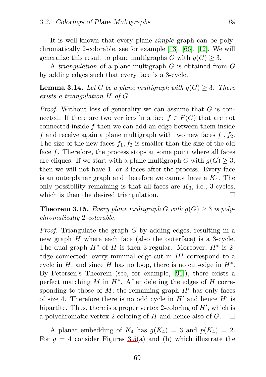It is well-known that every plane *simple* graph can be polychromatically 2-colorable, see for example [\[13\]](#page-127-0), [\[66\]](#page-132-0), [\[12\]](#page-127-1). We will generalize this result to plane multigraphs G with  $q(G) \geq 3$ .

A *triangulation* of a plane multigraph G is obtained from G by adding edges such that every face is a 3-cycle.

**Lemma 3.14.** Let G be a plane multigraph with  $g(G) \geq 3$ . There *exists a triangulation* H *of* G*.*

*Proof.* Without loss of generality we can assume that G is connected. If there are two vertices in a face  $f \in F(G)$  that are not connected inside f then we can add an edge between them inside f and receive again a plane multigraph with two new faces  $f_1, f_2$ . The size of the new faces  $f_1, f_2$  is smaller than the size of the old face f. Therefore, the process stops at some point where all faces are cliques. If we start with a plane multigraph G with  $q(G) \geq 3$ , then we will not have 1- or 2-faces after the process. Every face is an outerplanar graph and therefore we cannot have a  $K_4$ . The only possibility remaining is that all faces are  $K_3$ , i.e., 3-cycles, which is then the desired triangulation. П

**Theorem 3.15.** Every plane multigraph G with  $g(G) \geq 3$  is poly*chromatically* 2*-colorable.*

*Proof.* Triangulate the graph G by adding edges, resulting in a new graph H where each face (also the outerface) is a 3-cycle. The dual graph  $H^*$  of H is then 3-regular. Moreover,  $H^*$  is 2edge connected: every minimal edge-cut in  $H^*$  correspond to a cycle in  $H$ , and since  $H$  has no loop, there is no cut-edge in  $H^*$ . By Petersen's Theorem (see, for example, [\[91\]](#page-134-0)), there exists a perfect matching  $M$  in  $H^*$ . After deleting the edges of  $H$  corresponding to those of  $M$ , the remaining graph  $H'$  has only faces of size 4. Therefore there is no odd cycle in  $H'$  and hence  $H'$  is bipartite. Thus, there is a proper vertex 2-coloring of  $H'$ , which is a polychromatic vertex 2-coloring of H and hence also of G.  $\Box$ 

A planar embedding of  $K_4$  has  $g(K_4) = 3$  and  $p(K_4) = 2$ . For  $q = 4$  consider Figures [3.5\(](#page-79-0)a) and (b) which illustrate the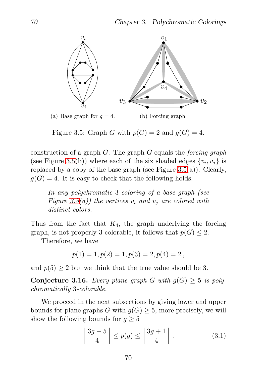

<span id="page-79-0"></span>Figure 3.5: Graph G with  $p(G) = 2$  and  $q(G) = 4$ .

construction of a graph G. The graph G equals the *forcing graph* (see Figure [3.5\(](#page-79-0)b)) where each of the six shaded edges  $\{v_i, v_j\}$  is replaced by a copy of the base graph (see Figure [3.5\(](#page-79-0)a)). Clearly,  $g(G) = 4$ . It is easy to check that the following holds.

*In any polychromatic* 3*-coloring of a base graph (see Figure* [3.5\(](#page-79-0)*a*)) the vertices  $v_i$  and  $v_j$  are colored with *distinct colors.*

Thus from the fact that  $K_4$ , the graph underlying the forcing graph, is not properly 3-colorable, it follows that  $p(G) \leq 2$ .

Therefore, we have

$$
p(1) = 1, p(2) = 1, p(3) = 2, p(4) = 2,
$$

and  $p(5) \geq 2$  but we think that the true value should be 3.

Conjecture 3.16. *Every plane graph* G with  $g(G) \geq 5$  is poly*chromatically* 3*-colorable.*

We proceed in the next subsections by giving lower and upper bounds for plane graphs G with  $g(G) \geq 5$ , more precisely, we will show the following bounds for  $g \geq 5$ 

$$
\left\lfloor \frac{3g-5}{4} \right\rfloor \le p(g) \le \left\lfloor \frac{3g+1}{4} \right\rfloor. \tag{3.1}
$$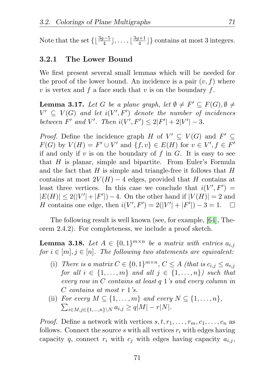Note that the set  $\{\lfloor \frac{3g-5}{4} \rfloor, \ldots, \lfloor \frac{3g+1}{4} \rfloor\}$  $\left\lfloor \frac{m+1}{4} \right\rfloor$  contains at most 3 integers.

#### 3.2.1 The Lower Bound

We first present several small lemmas which will be needed for the proof of the lower bound. An incidence is a pair  $(v, f)$  where v is vertex and f a face such that v is on the boundary f.

<span id="page-80-1"></span>**Lemma 3.17.** Let G be a plane graph, let  $\emptyset \neq F' \subseteq F(G), \emptyset \neq$  $V' \subseteq V(G)$  and let  $i(V', F')$  denote the number of incidences *between*  $F'$  *and*  $V'$ *. Then*  $i(V', F') \leq 2|F'| + 2|V'| - 3$ *.* 

*Proof.* Define the incidence graph H of  $V' \subseteq V(G)$  and  $F' \subseteq$  $F(G)$  by  $V(H) = F' \cup V'$  and  $\{f, v\} \in E(H)$  for  $v \in V', f \in F'$ if and only if  $v$  is on the boundary of  $f$  in  $G$ . It is easy to see that  $H$  is planar, simple and bipartite. From Euler's Formula and the fact that  $H$  is simple and triangle-free it follows that  $H$ contains at most  $2V(H) - 4$  edges, provided that H contains at least three vertices. In this case we conclude that  $i(V', F') =$  $|E(H)| \leq 2(|V'| + |F'|) - 4$ . On the other hand if  $|V(H)| = 2$  and H contains one edge, then  $i(V', F') = 2(|V'| + |F'|) - 3 = 1$ .  $\Box$ 

The following result is well known (see, for example, [\[64\]](#page-132-1), Theorem 2.4.2). For completeness, we include a proof sketch.

<span id="page-80-0"></span>**Lemma 3.18.** Let  $A \in \{0,1\}^{m \times n}$  be a matrix with entries  $a_{i,j}$ *for*  $i \in [m], j \in [n]$ *. The following two statements are equivalent:* 

- (i) *There is a matrix*  $C \in \{0,1\}^{m \times n}$ ,  $C \leq A$  *(that is*  $c_{i,j} \leq a_{i,j}$ *for all*  $i \in \{1, \ldots, m\}$  *and all*  $j \in \{1, \ldots, n\}$ *) such that every row in* C *contains at least* q 1*'s and every column in* C *contains at most* r 1*'s.*
- (ii) For every  $M \subseteq \{1, \ldots, m\}$  and every  $N \subseteq \{1, \ldots, n\}$ ,  $\sum_{i \in M, j \in \{1, ..., n\} \setminus N} a_{i,j} \ge q|M| - r|N|$ .

*Proof.* Define a network with vertices  $s, t, r_1, \ldots, r_m, c_1, \ldots, c_n$  as follows. Connect the source s with all vertices  $r_i$  with edges having capacity q, connect  $r_i$  with  $c_j$  with edges having capacity  $a_{i,j}$ ,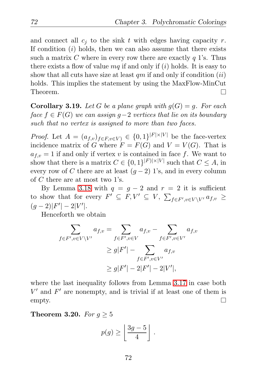and connect all  $c_i$  to the sink t with edges having capacity r. If condition  $(i)$  holds, then we can also assume that there exists such a matrix C where in every row there are exactly  $q$  1's. Thus there exists a flow of value  $mq$  if and only if  $(i)$  holds. It is easy to show that all cuts have size at least  $qm$  if and only if condition  $(ii)$ holds. This implies the statement by using the MaxFlow-MinCut Theorem. П

<span id="page-81-0"></span>**Corollary 3.19.** Let G be a plane graph with  $q(G) = q$ . For each *face* f ∈ F(G) *we can assign* g−2 *vertices that lie on its boundary such that no vertex is assigned to more than two faces.*

*Proof.* Let  $A = (a_{f,v})_{f \in F, v \in V} \in \{0,1\}^{|F| \times |V|}$  be the face-vertex incidence matrix of G where  $F = F(G)$  and  $V = V(G)$ . That is  $a_{f,v} = 1$  if and only if vertex v is contained in face f. We want to show that there is a matrix  $C \in \{0,1\}^{|F| \times |V|}$  such that  $C \leq A$ , in every row of C there are at least  $(g-2)$  1's, and in every column of C there are at most two 1's.

By Lemma [3.18](#page-80-0) with  $q = q - 2$  and  $r = 2$  it is sufficient to show that for every  $F' \subseteq F, V' \subseteq V, \sum_{f \in F', v \in V \setminus V'} a_{f,v} \ge$  $(g-2)|F'|-2|V'|.$ 

Henceforth we obtain

$$
\sum_{f \in F', v \in V \setminus V'} a_{f,v} = \sum_{f \in F', v \in V} a_{f,v} - \sum_{f \in F', v \in V'} a_{f,v}
$$

$$
\geq g|F'| - \sum_{f \in F', v \in V'} a_{f,v}
$$

$$
\geq g|F'| - 2|F'| - 2|V'|,
$$

where the last inequality follows from Lemma [3.17](#page-80-1) in case both  $V'$  and  $F'$  are nonempty, and is trivial if at least one of them is  $\Box$ empty.

<span id="page-81-1"></span>**Theorem 3.20.** *For*  $g \geq 5$ 

$$
p(g) \ge \left\lfloor \frac{3g-5}{4} \right\rfloor.
$$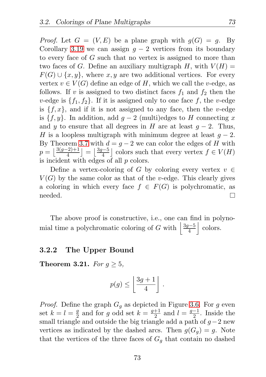*Proof.* Let  $G = (V, E)$  be a plane graph with  $q(G) = q$ . By Corollary [3.19](#page-81-0) we can assign  $q - 2$  vertices from its boundary to every face of G such that no vertex is assigned to more than two faces of G. Define an auxiliary multigraph H, with  $V(H) =$  $F(G) \cup \{x, y\}$ , where  $x, y$  are two additional vertices. For every vertex  $v \in V(G)$  define an edge of H, which we call the v-edge, as follows. If v is assigned to two distinct faces  $f_1$  and  $f_2$  then the v-edge is  $\{f_1, f_2\}$ . If it is assigned only to one face f, the v-edge is  $\{f, x\}$ , and if it is not assigned to any face, then the v-edge is  $\{f, y\}$ . In addition, add  $g - 2$  (multi)edges to H connecting x and y to ensure that all degrees in H are at least  $g - 2$ . Thus, H is a loopless multigraph with minimum degree at least  $g - 2$ . By Theorem [3.7](#page-73-1) with  $d = g - 2$  we can color the edges of H with  $p = \lfloor \frac{3(g-2)+1}{4} \rfloor = \lfloor \frac{3g-5}{4} \rfloor$  colors such that every vertex  $f \in V(H)$ is incident with edges of all p colors.

Define a vertex-coloring of G by coloring every vertex  $v \in$  $V(G)$  by the same color as that of the v-edge. This clearly gives a coloring in which every face  $f \in F(G)$  is polychromatic, as needed.  $\Box$ 

The above proof is constructive, i.e., one can find in polynomial time a polychromatic coloring of G with  $\frac{3g-5}{4}$ | colors.

#### 3.2.2 The Upper Bound

Theorem 3.21. *For*  $q \geq 5$ ,

$$
p(g) \le \left\lfloor \frac{3g+1}{4} \right\rfloor \, .
$$

*Proof.* Define the graph  $G_q$  as depicted in Figure [3.6.](#page-83-0) For g even set  $k=l=\frac{g}{2}$  $\frac{g}{2}$  and for g odd set  $k = \frac{g+1}{2}$  $\frac{+1}{2}$  and  $l = \frac{g-1}{2}$ . Inside the small triangle and outside the big triangle add a path of  $g-2$  new vertices as indicated by the dashed arcs. Then  $g(G_q) = g$ . Note that the vertices of the three faces of  $G_q$  that contain no dashed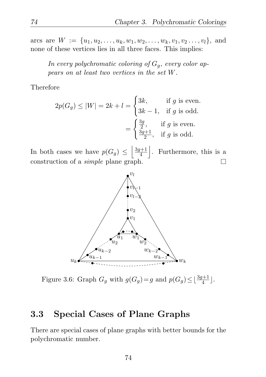arcs are  $W := \{u_1, u_2, \ldots, u_k, w_1, w_2, \ldots, w_k, v_1, v_2, \ldots, v_l\}$ , and none of these vertices lies in all three faces. This implies:

In every polychromatic coloring of  $G_q$ , every color ap*pears on at least two vertices in the set* W*.*

Therefore

$$
2p(G_g) \le |W| = 2k + l = \begin{cases} 3k, & \text{if } g \text{ is even.} \\ 3k - 1, & \text{if } g \text{ is odd.} \end{cases}
$$
\n
$$
= \begin{cases} \frac{3g}{2}, & \text{if } g \text{ is even.} \\ \frac{3g+1}{2}, & \text{if } g \text{ is odd.} \end{cases}
$$

In both cases we have  $p(G_g) \leq \left\lfloor \frac{3g+1}{4} \right\rfloor$ |. Furthermore, this is a 4 construction of a *simple* plane graph.  $\Box$ 



<span id="page-83-0"></span>Figure 3.6: Graph  $G_g$  with  $g(G_g) = g$  and  $p(G_g) \leq \lfloor \frac{3g+1}{4} \rfloor$ .

## 3.3 Special Cases of Plane Graphs

There are special cases of plane graphs with better bounds for the polychromatic number.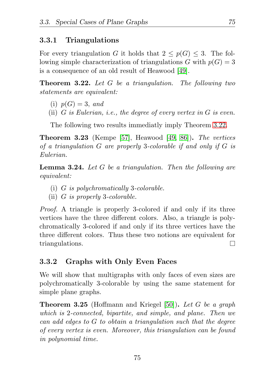#### 3.3.1 Triangulations

For every triangulation G it holds that  $2 \leq p(G) \leq 3$ . The following simple characterization of triangulations G with  $p(G) = 3$ is a consequence of an old result of Heawood [\[49\]](#page-131-1).

<span id="page-84-0"></span>Theorem 3.22. *Let* G *be a triangulation. The following two statements are equivalent:*

- (i)  $p(G) = 3$ , and
- (ii) G *is Eulerian, i.e., the degree of every vertex in* G *is even.*

The following two results immediatly imply Theorem [3.22.](#page-84-0)

Theorem 3.23 (Kempe [\[57\]](#page-131-2), Heawood [\[49,](#page-131-1) [86\]](#page-134-1)). *The vertices of a triangulation* G *are properly* 3*-colorable if and only if* G *is Eulerian.*

Lemma 3.24. *Let* G *be a triangulation. Then the following are equivalent:*

- (i) G *is polychromatically* 3*-colorable.*
- (ii) G *is properly* 3*-colorable.*

*Proof.* A triangle is properly 3-colored if and only if its three vertices have the three different colors. Also, a triangle is polychromatically 3-colored if and only if its three vertices have the three different colors. Thus these two notions are equivalent for triangulations. П

#### 3.3.2 Graphs with Only Even Faces

We will show that multigraphs with only faces of even sizes are polychromatically 3-colorable by using the same statement for simple plane graphs.

<span id="page-84-1"></span>Theorem 3.25 (Hoffmann and Kriegel [\[50\]](#page-131-3)). *Let* G *be a graph which is* 2*-connected, bipartite, and simple, and plane. Then we can add edges to* G *to obtain a triangulation such that the degree of every vertex is even. Moreover, this triangulation can be found in polynomial time.*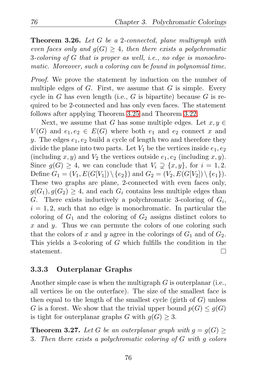<span id="page-85-0"></span>Theorem 3.26. *Let* G *be a* 2*-connected, plane multigraph with even faces only and*  $q(G) > 4$ *, then there exists a polychromatic* 3*-coloring of* G *that is proper as well, i.e., no edge is monochromatic. Moreover, such a coloring can be found in polynomial time.*

*Proof.* We prove the statement by induction on the number of multiple edges of  $G$ . First, we assume that  $G$  is simple. Every cycle in  $G$  has even length (i.e.,  $G$  is bipartite) because  $G$  is required to be 2-connected and has only even faces. The statement follows after applying Theorem [3.25](#page-84-1) and Theorem [3.22.](#page-84-0)

Next, we assume that G has some multiple edges. Let  $x, y \in$  $V(G)$  and  $e_1, e_2 \in E(G)$  where both  $e_1$  and  $e_2$  connect x and y. The edges  $e_1, e_2$  build a cycle of length two and therefore they divide the plane into two parts. Let  $V_1$  be the vertices inside  $e_1, e_2$ (including x, y) and  $V_2$  the vertices outside  $e_1, e_2$  (including x, y). Since  $g(G) \geq 4$ , we can conclude that  $V_i \supseteq \{x, y\}$ , for  $i = 1, 2$ . Define  $G_1 = (V_1, E(G[V_1]) \setminus \{e_2\})$  and  $G_2 = (V_2, E(G[V_2]) \setminus \{e_1\}).$ These two graphs are plane, 2-connected with even faces only,  $g(G_1), g(G_2) \geq 4$ , and each  $G_i$  contains less multiple edges than G. There exists inductively a polychromatic 3-coloring of  $G_i$ ,  $i = 1, 2$ , such that no edge is monochromatic. In particular the coloring of  $G_1$  and the coloring of  $G_2$  assigns distinct colors to  $x$  and  $y$ . Thus we can permute the colors of one coloring such that the colors of x and y agree in the colorings of  $G_1$  and of  $G_2$ . This yields a 3-coloring of G which fulfills the condition in the statement.  $\Box$ 

#### 3.3.3 Outerplanar Graphs

Another simple case is when the multigraph  $G$  is outerplanar (i.e., all vertices lie on the outerface). The size of the smallest face is then equal to the length of the smallest cycle (girth of  $G$ ) unless G is a forest. We show that the trivial upper bound  $p(G) \leq q(G)$ is tight for outerplanar graphs G with  $q(G) \geq 3$ .

**Theorem 3.27.** Let G be an outerplanar graph with  $g = g(G)$ 3*. Then there exists a polychromatic coloring of* G *with* g *colors*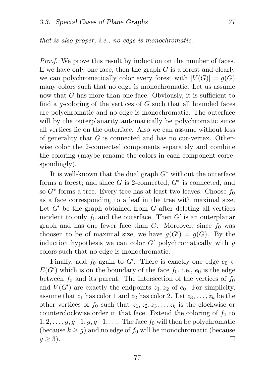*that is also proper, i.e., no edge is monochromatic.*

*Proof.* We prove this result by induction on the number of faces. If we have only one face, then the graph  $G$  is a forest and clearly we can polychromatically color every forest with  $|V(G)| = q(G)$ many colors such that no edge is monochromatic. Let us assume now that  $G$  has more than one face. Obviously, it is sufficient to find a *q*-coloring of the vertices of  $G$  such that all bounded faces are polychromatic and no edge is monochromatic. The outerface will by the outerplanarity automatically be polychromatic since all vertices lie on the outerface. Also we can assume without loss of generality that G is connected and has no cut-vertex. Otherwise color the 2-connected components separately and combine the coloring (maybe rename the colors in each component correspondingly).

It is well-known that the dual graph  $G^*$  without the outerface forms a forest; and since  $G$  is 2-connected,  $G^*$  is connected, and so  $G^*$  forms a tree. Every tree has at least two leaves. Choose  $f_0$ as a face corresponding to a leaf in the tree with maximal size. Let  $G'$  be the graph obtained from  $G$  after deleting all vertices incident to only  $f_0$  and the outerface. Then  $G'$  is an outerplanar graph and has one fewer face than  $G$ . Moreover, since  $f_0$  was choosen to be of maximal size, we have  $g(G') = g(G)$ . By the induction hypothesis we can color  $G'$  polychromatically with g colors such that no edge is monochromatic.

Finally, add  $f_0$  again to G'. There is exactly one edge  $e_0 \in$  $E(G')$  which is on the boundary of the face  $f_0$ , i.e.,  $e_0$  is the edge between  $f_0$  and its parent. The intersection of the vertices of  $f_0$ and  $V(G')$  are exactly the endpoints  $z_1, z_2$  of  $e_0$ . For simplicity, assume that  $z_1$  has color 1 and  $z_2$  has color 2. Let  $z_3, \ldots, z_k$  be the other vertices of  $f_0$  such that  $z_1, z_2, z_3, \ldots z_k$  is the clockwise or counterclockwise order in that face. Extend the coloring of  $f_0$  to  $1, 2, \ldots, g, g-1, g, g-1, \ldots$  The face  $f_0$  will then be polychromatic (because  $k \geq q$ ) and no edge of  $f_0$  will be monochromatic (because  $q \geq 3$ ).  $\Box$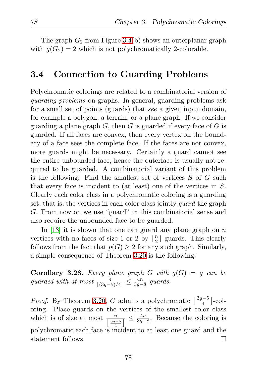The graph  $G_2$  from Figure [3.4\(](#page-77-0)b) shows an outerplanar graph with  $g(G_2) = 2$  which is not polychromatically 2-colorable.

## 3.4 Connection to Guarding Problems

Polychromatic colorings are related to a combinatorial version of *guarding problems* on graphs. In general, guarding problems ask for a small set of points (guards) that *see* a given input domain, for example a polygon, a terrain, or a plane graph. If we consider guarding a plane graph  $G$ , then  $G$  is guarded if every face of  $G$  is guarded. If all faces are convex, then every vertex on the boundary of a face sees the complete face. If the faces are not convex, more guards might be necessary. Certainly a guard cannot see the entire unbounded face, hence the outerface is usually not required to be guarded. A combinatorial variant of this problem is the following: Find the smallest set of vertices S of G such that every face is incident to (at least) one of the vertices in S. Clearly each color class in a polychromatic coloring is a guarding set, that is, the vertices in each color class jointly *guard* the graph G. From now on we use "guard" in this combinatorial sense and also require the unbounded face to be guarded.

In [\[13\]](#page-127-0) it is shown that one can guard any plane graph on  $n$ vertices with no faces of size 1 or 2 by  $\lfloor \frac{n}{2} \rfloor$  $\frac{n}{2}$  guards. This clearly follows from the fact that  $p(G) \geq 2$  for any such graph. Similarly, a simple consequence of Theorem [3.20](#page-81-1) is the following:

**Corollary 3.28.** Every plane graph G with  $q(G) = q$  can be *guarded with at most*  $\frac{n}{[(3g-5)/4]} \leq \frac{4n}{3g-1}$  $rac{4n}{3g−8}$  guards.

*Proof.* By Theorem [3.20,](#page-81-1) G admits a polychromatic  $\left\lfloor \frac{3g-5}{4} \right\rfloor$ -coloring. Place guards on the vertices of the smallest color class which is of size at most  $\frac{n}{\left\lfloor \frac{3g-5}{4} \right\rfloor} \leq \frac{4n}{3g-1}$  $\frac{4n}{3g-8}$ . Because the coloring is polychromatic each face is incident to at least one guard and the statement follows.  $\Box$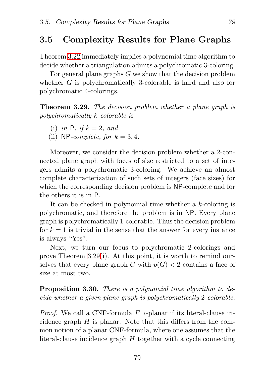## 3.5 Complexity Results for Plane Graphs

Theorem [3.22](#page-84-0) immediately implies a polynomial time algorithm to decide whether a triangulation admits a polychromatic 3-coloring.

For general plane graphs G we show that the decision problem whether G is polychromatically 3-colorable is hard and also for polychromatic 4-colorings.

<span id="page-88-0"></span>Theorem 3.29. *The decision problem whether a plane graph is polychromatically* k*-colorable is*

- (i) *in* **P***, if*  $k = 2$ *, and*
- (ii) NP-complete, for  $k = 3, 4$ .

Moreover, we consider the decision problem whether a 2-connected plane graph with faces of size restricted to a set of integers admits a polychromatic 3-coloring. We achieve an almost complete characterization of such sets of integers (face sizes) for which the corresponding decision problem is NP-complete and for the others it is in P.

It can be checked in polynomial time whether a k-coloring is polychromatic, and therefore the problem is in NP. Every plane graph is polychromatically 1-colorable. Thus the decision problem for  $k = 1$  is trivial in the sense that the answer for every instance is always "Yes".

Next, we turn our focus to polychromatic 2-colorings and prove Theorem [3.29\(](#page-88-0)i). At this point, it is worth to remind ourselves that every plane graph G with  $p(G) < 2$  contains a face of size at most two.

### Proposition 3.30. *There is a polynomial time algorithm to decide whether a given plane graph is polychromatically* 2*-colorable.*

*Proof.* We call a CNF-formula F \*-planar if its literal-clause incidence graph  $H$  is planar. Note that this differs from the common notion of a planar CNF-formula, where one assumes that the literal-clause incidence graph H together with a cycle connecting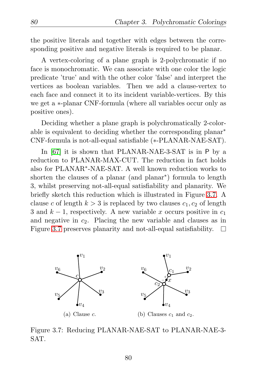the positive literals and together with edges between the corresponding positive and negative literals is required to be planar.

A vertex-coloring of a plane graph is 2-polychromatic if no face is monochromatic. We can associate with one color the logic predicate 'true' and with the other color 'false' and interpret the vertices as boolean variables. Then we add a clause-vertex to each face and connect it to its incident variable-vertices. By this we get a ∗-planar CNF-formula (where all variables occur only as positive ones).

Deciding whether a plane graph is polychromatically 2-colorable is equivalent to deciding whether the corresponding planar∗ CNF-formula is not-all-equal satisfiable (∗-PLANAR-NAE-SAT).

In [\[67\]](#page-132-2) it is shown that PLANAR-NAE-3-SAT is in P by a reduction to PLANAR-MAX-CUT. The reduction in fact holds also for PLANAR∗ -NAE-SAT. A well known reduction works to shorten the clauses of a planar (and planar∗ ) formula to length 3, whilst preserving not-all-equal satisfiability and planarity. We briefly sketch this reduction which is illustrated in Figure [3.7.](#page-89-0) A clause c of length  $k > 3$  is replaced by two clauses  $c_1, c_2$  of length 3 and  $k-1$ , respectively. A new variable x occurs positive in  $c_1$ and negative in  $c_2$ . Placing the new variable and clauses as in Figure [3.7](#page-89-0) preserves planarity and not-all-equal satisfiability. П



<span id="page-89-0"></span>Figure 3.7: Reducing PLANAR-NAE-SAT to PLANAR-NAE-3- SAT.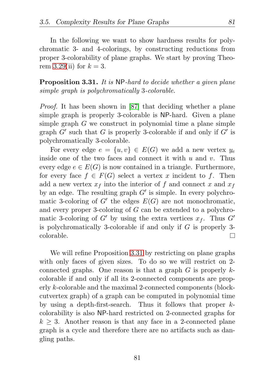In the following we want to show hardness results for polychromatic 3- and 4-colorings, by constructing reductions from proper 3-colorability of plane graphs. We start by proving Theo-rem [3.29\(](#page-88-0)ii) for  $k = 3$ .

<span id="page-90-0"></span>Proposition 3.31. *It is* NP*-hard to decide whether a given plane simple graph is polychromatically* 3*-colorable.*

*Proof.* It has been shown in [\[87\]](#page-134-2) that deciding whether a plane simple graph is properly 3-colorable is NP-hard. Given a plane simple graph G we construct in polynomial time a plane simple graph  $G'$  such that G is properly 3-colorable if and only if  $G'$  is polychromatically 3-colorable.

For every edge  $e = \{u, v\} \in E(G)$  we add a new vertex  $y_e$ inside one of the two faces and connect it with u and v. Thus every edge  $e \in E(G)$  is now contained in a triangle. Furthermore, for every face  $f \in F(G)$  select a vertex x incident to f. Then add a new vertex  $x_f$  into the interior of f and connect x and  $x_f$ by an edge. The resulting graph  $G'$  is simple. In every polychromatic 3-coloring of  $G'$  the edges  $E(G)$  are not monochromatic, and every proper 3-coloring of G can be extended to a polychromatic 3-coloring of G' by using the extra vertices  $x_f$ . Thus G' is polychromatically 3-colorable if and only if G is properly 3 colorable. П

We will refine Proposition [3.31](#page-90-0) by restricting on plane graphs with only faces of given sizes. To do so we will restrict on 2 connected graphs. One reason is that a graph  $G$  is properly  $k$ colorable if and only if all its 2-connected components are properly k-colorable and the maximal 2-connected components (blockcutvertex graph) of a graph can be computed in polynomial time by using a depth-first-search. Thus it follows that proper  $k$ colorability is also NP-hard restricted on 2-connected graphs for  $k \geq 3$ . Another reason is that any face in a 2-connected plane graph is a cycle and therefore there are no artifacts such as dangling paths.

81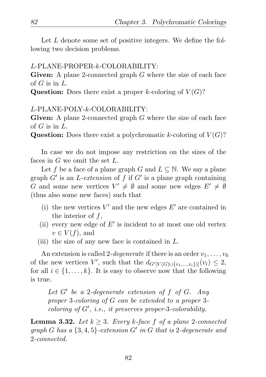Let L denote some set of positive integers. We define the following two decision problems.

#### L-PLANE-PROPER-k-COLORABILITY:

Given: A plane 2-connected graph G where the size of each face of  $G$  is in  $L$ .

Question: Does there exist a proper k-coloring of  $V(G)$ ?

#### L-PLANE-POLY-k-COLORABILITY:

Given: A plane 2-connected graph G where the size of each face of  $G$  is in  $L$ .

**Question:** Does there exist a polychromatic k-coloring of  $V(G)$ ?

In case we do not impose any restriction on the sizes of the faces in G we omit the set L.

Let f be a face of a plane graph G and  $L \subseteq \mathbb{N}$ . We say a plane graph G′ is an L*-extension* of f if G′ is a plane graph containing G and some new vertices  $V' \neq \emptyset$  and some new edges  $E' \neq \emptyset$ (thus also some new faces) such that

- (i) the new vertices  $V'$  and the new edges  $E'$  are contained in the interior of f,
- (ii) every new edge of  $E'$  is incident to at most one old vertex  $v \in V(f)$ , and
- (iii) the size of any new face is contained in  $L$ .

An extension is called 2-*degenerate* if there is an order  $v_1, \ldots, v_k$ of the new vertices  $V'$ , such that the  $d_{G'[V(G)\cup \{v_1,\ldots,v_i\}]}(v_i) \leq 2$ , for all  $i \in \{1, \ldots, k\}$ . It is easy to observe now that the following is true.

*Let* G′ *be a* 2*-degenerate extension of* f *of* G*. Any proper* 3*-coloring of* G *can be extended to a proper* 3 *coloring of* G′ *, i.e., it preserves proper-*3*-colorability.*

<span id="page-91-0"></span>**Lemma 3.32.** *Let*  $k \geq 3$ *. Every*  $k$ *-face*  $f$  *of a plane* 2*-connected graph* G *has a* {3, 4, 5}*-extension* G′ *in* G *that is* 2*-degenerate and* 2*-connected.*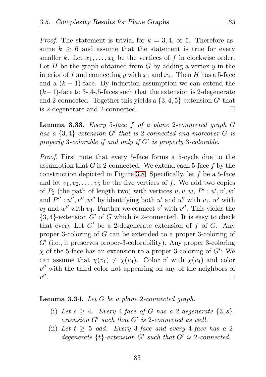*Proof.* The statement is trivial for  $k = 3, 4$ , or 5. Therefore assume  $k > 6$  and assume that the statement is true for every smaller k. Let  $x_1, \ldots, x_k$  be the vertices of f in clockwise order. Let  $H$  be the graph obtained from  $G$  by adding a vertex  $y$  in the interior of f and connecting y with  $x_1$  and  $x_4$ . Then H has a 5-face and a  $(k-1)$ -face. By induction assumption we can extend the  $(k-1)$ -face to 3-,4-,5-faces such that the extension is 2-degenerate and 2-connected. Together this yields a  $\{3,4,5\}$ -extension G' that is 2-degenerate and 2-connected.  $\Box$ 

<span id="page-92-0"></span>Lemma 3.33. *Every* 5*-face* f *of a plane* 2*-connected graph* G *has a* {3, 4}*-extension* G′ *that is* 2*-connected and moreover* G *is properly* 3*-colorable if and only if* G′ *is properly* 3*-colorable.*

*Proof.* First note that every 5-face forms a 5-cycle due to the assumption that  $G$  is 2-connected. We extend each 5-face  $f$  by the construction depicted in Figure [3.8.](#page-93-0) Specifically, let  $f$  be a 5-face and let  $v_1, v_2, \ldots, v_5$  be the five vertices of f. We add two copies of  $P_2$  (the path of length two) with vertices  $u, v, w, P' : u', v', w'$ and  $P'' : u'', v'', w''$  by identifying both  $u'$  and  $u''$  with  $v_1, w'$  with  $v_3$  and  $w''$  with  $v_4$ . Further we connect  $v'$  with  $v''$ . This yields the  $\{3, 4\}$ -extension G' of G which is 2-connected. It is easy to check that every Let  $G'$  be a 2-degenerate extension of f of G. Any proper 3-coloring of G can be extended to a proper 3-coloring of G′ (i.e., it preserves proper-3-colorability). Any proper 3-coloring  $\chi$  of the 5-face has an extension to a proper 3-coloring of  $G'$ : We can assume that  $\chi(v_1) \neq \chi(v_4)$ . Color v' with  $\chi(v_4)$  and color  $v''$  with the third color not appearing on any of the neighbors of  $v''$ .  $\Box$ 

#### <span id="page-92-1"></span>Lemma 3.34. *Let* G *be a plane* 2*-connected graph.*

- (i) Let  $s \geq 4$ *. Every* 4-face of G has a 2-degenerate  $\{3, s\}$ *extension* G′ *such that* G′ *is* 2*-connected as well.*
- (ii) Let  $t \geq 5$  *odd.* Every 3-face and every 4-face has a 2*degenerate* {t}*-extension* G′ *such that* G′ *is* 2*-connected.*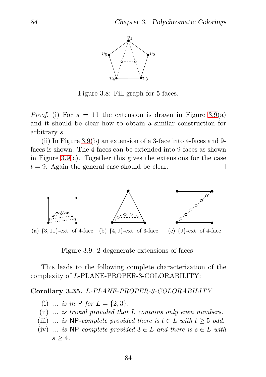

<span id="page-93-0"></span>Figure 3.8: Fill graph for 5-faces.

*Proof.* (i) For  $s = 11$  the extension is drawn in Figure [3.9\(](#page-93-1)a) and it should be clear how to obtain a similar construction for arbitrary s.

(ii) In Figure [3.9\(](#page-93-1)b) an extension of a 3-face into 4-faces and 9 faces is shown. The 4-faces can be extended into 9-faces as shown in Figure [3.9\(](#page-93-1)c). Together this gives the extensions for the case  $t = 9$ . Again the general case should be clear. П



(a)  $\{3, 11\}$ -ext. of 4-face (b)  $\{4, 9\}$ -ext. of 3-face (c)  $\{9\}$ -ext. of 4-face

<span id="page-93-1"></span>Figure 3.9: 2-degenerate extensions of faces

This leads to the following complete characterization of the complexity of L-PLANE-PROPER-3-COLORABILITY:

#### <span id="page-93-2"></span>Corollary 3.35. L*-PLANE-PROPER-3-COLORABILITY*

- (i) ... is in  $P$  *for*  $L = \{2, 3\}.$
- (ii) *... is trivial provided that* L *contains only even numbers.*
- (iii) ... is NP-complete provided there is  $t \in L$  with  $t \geq 5$  odd.
- (iv) *... is* NP-complete provided  $3 \in L$  and there is  $s \in L$  with  $s > 4$ .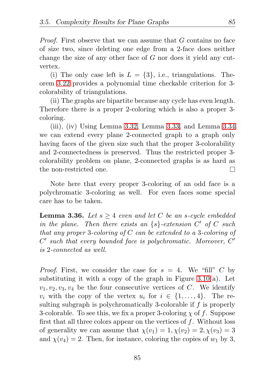*Proof.* First observe that we can assume that G contains no face of size two, since deleting one edge from a 2-face does neither change the size of any other face of  $G$  nor does it yield any cutvertex.

(i) The only case left is  $L = \{3\}$ , i.e., triangulations. Theorem [3.22](#page-84-0) provides a polynomial time checkable criterion for 3 colorability of triangulations.

(ii) The graphs are bipartite because any cycle has even length. Therefore there is a proper 2-coloring which is also a proper 3 coloring.

(iii), (iv) Using Lemma [3.32,](#page-91-0) Lemma [3.33,](#page-92-0) and Lemma [3.34](#page-92-1) we can extend every plane 2-connected graph to a graph only having faces of the given size such that the proper 3-colorability and 2-connectedness is preserved. Thus the restricted proper 3 colorability problem on plane, 2-connected graphs is as hard as the non-restricted one. П

Note here that every proper 3-coloring of an odd face is a polychromatic 3-coloring as well. For even faces some special care has to be taken.

<span id="page-94-0"></span>**Lemma 3.36.** *Let*  $s \geq 4$  *even and let* C *be an s-cycle embedded in the plane. Then there exists an* {s}*-extension* C ′ *of* C *such that any proper* 3*-coloring of* C *can be extended to a* 3*-coloring of* C ′ *such that every bounded face is polychromatic. Moreover,* C ′ *is* 2*-connected as well.*

*Proof.* First, we consider the case for  $s = 4$ . We "fill" C by substituting it with a copy of the graph in Figure [3.10\(](#page-95-0)a). Let  $v_1, v_2, v_3, v_4$  be the four consecutive vertices of C. We identify  $v_i$  with the copy of the vertex  $u_i$  for  $i \in \{1, \ldots, 4\}$ . The resulting subgraph is polychromatically 3-colorable if f is properly 3-colorable. To see this, we fix a proper 3-coloring  $\chi$  of f. Suppose first that all three colors appear on the vertices of  $f$ . Without loss of generality we can assume that  $\chi(v_1) = 1, \chi(v_2) = 2, \chi(v_3) = 3$ and  $\chi(v_4) = 2$ . Then, for instance, coloring the copies of  $w_1$  by 3,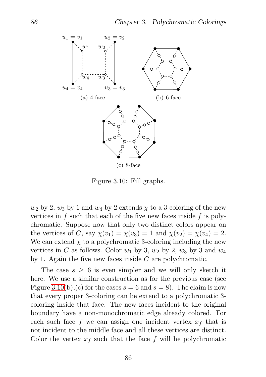

<span id="page-95-0"></span>Figure 3.10: Fill graphs.

 $w_2$  by 2,  $w_3$  by 1 and  $w_4$  by 2 extends  $\chi$  to a 3-coloring of the new vertices in f such that each of the five new faces inside f is polychromatic. Suppose now that only two distinct colors appear on the vertices of C, say  $\chi(v_1) = \chi(v_3) = 1$  and  $\chi(v_2) = \chi(v_4) = 2$ . We can extend  $\chi$  to a polychromatic 3-coloring including the new vertices in C as follows. Color  $w_1$  by 3,  $w_2$  by 2,  $w_3$  by 3 and  $w_4$ by 1. Again the five new faces inside  $C$  are polychromatic.

The case  $s \geq 6$  is even simpler and we will only sketch it here. We use a similar construction as for the previous case (see Figure [3.10\(](#page-95-0)b), (c) for the cases  $s = 6$  and  $s = 8$ ). The claim is now that every proper 3-coloring can be extend to a polychromatic 3 coloring inside that face. The new faces incident to the original boundary have a non-monochromatic edge already colored. For each such face f we can assign one incident vertex  $x_f$  that is not incident to the middle face and all these vertices are distinct. Color the vertex  $x_f$  such that the face f will be polychromatic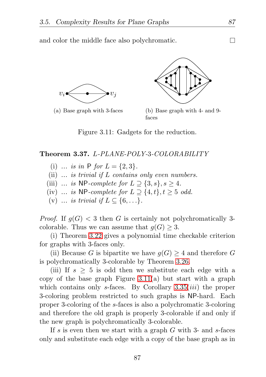and color the middle face also polychromatic.





(a) Base graph with 3-faces (b) Base graph with 4- and 9 faces

<span id="page-96-0"></span>Figure 3.11: Gadgets for the reduction.

#### Theorem 3.37. L*-PLANE-POLY-*3*-COLORABILITY*

- (i) ... *is in*  $P$  *for*  $L = \{2, 3\}$ .
- (ii) *... is trivial if* L *contains only even numbers.*
- (iii) *... is* NP-*complete for*  $L \supseteq \{3, s\}, s \geq 4$ *.*
- (iv) *... is* NP-*complete for*  $L \supset \{4, t\}, t \geq 5$  *odd.*
- (v) ... *is trivial if*  $L \subseteq \{6, ...\}$ .

*Proof.* If  $g(G) < 3$  then G is certainly not polychromatically 3colorable. Thus we can assume that  $g(G) \geq 3$ .

(i) Theorem [3.22](#page-84-0) gives a polynomial time checkable criterion for graphs with 3-faces only.

(ii) Because G is bipartite we have  $g(G) \geq 4$  and therefore G is polychromatically 3-colorable by Theorem [3.26.](#page-85-0)

(iii) If  $s \geq 5$  is odd then we substitute each edge with a copy of the base graph Figure  $3.11(a)$  but start with a graph which contains only s-faces. By Corollary  $3.35(iii)$  the proper 3-coloring problem restricted to such graphs is NP-hard. Each proper 3-coloring of the s-faces is also a polychromatic 3-coloring and therefore the old graph is properly 3-colorable if and only if the new graph is polychromatically 3-colorable.

If s is even then we start with a graph  $G$  with 3- and s-faces only and substitute each edge with a copy of the base graph as in

П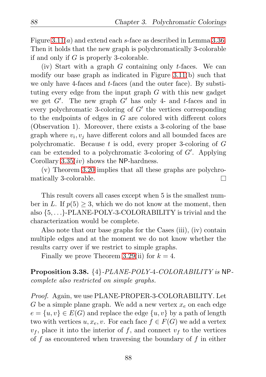Figure  $3.11(a)$  and extend each s-face as described in Lemma [3.36.](#page-94-0) Then it holds that the new graph is polychromatically 3-colorable if and only if G is properly 3-colorable.

(iv) Start with a graph  $G$  containing only t-faces. We can modify our base graph as indicated in Figure [3.11\(](#page-96-0)b) such that we only have 4-faces and t-faces (and the outer face). By substituting every edge from the input graph  $G$  with this new gadget we get  $G'$ . The new graph  $G'$  has only 4- and t-faces and in every polychromatic 3-coloring of  $G'$  the vertices corresponding to the endpoints of edges in G are colored with different colors (Observation 1). Moreover, there exists a 3-coloring of the base graph where  $v_i, v_j$  have different colors and all bounded faces are polychromatic. Because  $t$  is odd, every proper 3-coloring of  $G$ can be extended to a polychromatic 3-coloring of G′ . Applying Corollary  $3.35(iv)$  shows the NP-hardness.

(v) Theorem [3.20](#page-81-1) implies that all these graphs are polychromatically 3-colorable. П

This result covers all cases except when 5 is the smallest number in L. If  $p(5) \geq 3$ , which we do not know at the moment, then also {5, . . .}-PLANE-POLY-3-COLORABILITY is trivial and the characterization would be complete.

Also note that our base graphs for the Cases (iii), (iv) contain multiple edges and at the moment we do not know whether the results carry over if we restrict to simple graphs.

Finally we prove Theorem [3.29\(](#page-88-0)ii) for  $k = 4$ .

Proposition 3.38. {4}*-PLANE-POLY-*4*-COLORABILITY is* NP*complete also restricted on simple graphs.*

*Proof.* Again, we use PLANE-PROPER-3-COLORABILITY. Let G be a simple plane graph. We add a new vertex  $x_e$  on each edge  $e = \{u, v\} \in E(G)$  and replace the edge  $\{u, v\}$  by a path of length two with vertices  $u, x_e, v$ . For each face  $f \in F(G)$  we add a vertex  $v_f$ , place it into the interior of f, and connect  $v_f$  to the vertices of f as encountered when traversing the boundary of f in either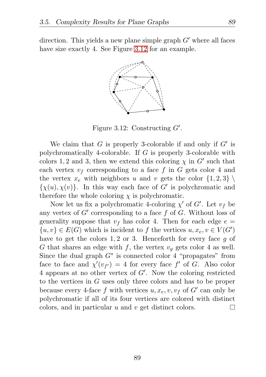direction. This yields a new plane simple graph  $G'$  where all faces have size exactly 4. See Figure [3.12](#page-98-0) for an example.



<span id="page-98-0"></span>Figure 3.12: Constructing  $G'$ .

We claim that  $G$  is properly 3-colorable if and only if  $G'$  is polychromatically 4-colorable. If G is properly 3-colorable with colors 1, 2 and 3, then we extend this coloring  $\chi$  in  $G'$  such that each vertex  $v_f$  corresponding to a face f in G gets color 4 and the vertex  $x_e$  with neighbors u and v gets the color  $\{1,2,3\}$  $\{\chi(u), \chi(v)\}.$  In this way each face of G' is polychromatic and therefore the whole coloring  $\chi$  is polychromatic.

Now let us fix a polychromatic 4-coloring  $\chi'$  of  $G'$ . Let  $v_f$  be any vertex of  $G'$  corresponding to a face  $f$  of  $G$ . Without loss of generality suppose that  $v_f$  has color 4. Then for each edge  $e =$  $\{u, v\} \in E(G)$  which is incident to f the vertices  $u, x_e, v \in V(G')$ have to get the colors 1, 2 or 3. Henceforth for every face q of G that shares an edge with f, the vertex  $v_q$  gets color 4 as well. Since the dual graph  $G^*$  is connected color 4 "propagates" from face to face and  $\chi'(v_{f'}) = 4$  for every face f' of G. Also color 4 appears at no other vertex of G′ . Now the coloring restricted to the vertices in G uses only three colors and has to be proper because every 4-face f with vertices  $u, x_e, v, v_f$  of  $G'$  can only be polychromatic if all of its four vertices are colored with distinct colors, and in particular  $u$  and  $v$  get distinct colors. П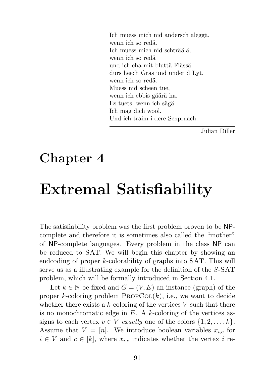Ich muess mich nid andersch aleggä, wenn ich so redä Ich muess mich nid schträälä, wenn ich so redä und ich cha mit bluttä Fiässä durs heech Gras und under d Lyt, wenn ich so redä. Muess nid scheen tue, wenn ich ebbis gäärä ha. Es tuets, wenn ich sägä: Ich mag dich wool. Und ich traim i dere Schpraach.

Julian Diller

## Chapter 4

# Extremal Satisfiability

The satisfiability problem was the first problem proven to be NPcomplete and therefore it is sometimes also called the "mother" of NP-complete languages. Every problem in the class NP can be reduced to SAT. We will begin this chapter by showing an endcoding of proper k-colorability of graphs into SAT. This will serve us as a illustrating example for the definition of the S-SAT problem, which will be formally introduced in Section 4.1.

Let  $k \in \mathbb{N}$  be fixed and  $G = (V, E)$  an instance (graph) of the proper k-coloring problem  $PROPCOL(k)$ , i.e., we want to decide whether there exists a k-coloring of the vertices  $V$  such that there is no monochromatic edge in  $E$ . A k-coloring of the vertices assigns to each vertex  $v \in V$  *exactly* one of the colors  $\{1, 2, \ldots, k\}.$ Assume that  $V = [n]$ . We introduce boolean variables  $x_{i,c}$  for  $i \in V$  and  $c \in [k]$ , where  $x_{i,c}$  indicates whether the vertex i re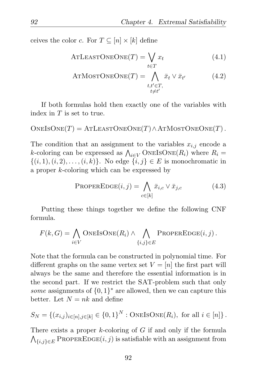ceives the color c. For  $T \subseteq [n] \times [k]$  define

ATLEASTONEONE(T) = 
$$
\bigvee_{t \in T} x_t
$$
 (4.1)

ATMOSTONEONE
$$
(T)
$$
 =  $\bigwedge_{\substack{t,t' \in T, \\ t \neq t'}} \bar{x}_t \vee \bar{x}_{t'}$  (4.2)

If both formulas hold then exactly one of the variables with index in  $T$  is set to true.

 $ONEISONE(T) = ATLEASTONEONE(T) \wedge ATMOSTONEONE(T)$ .

The condition that an assignment to the variables  $x_{i,j}$  encode a k-coloring can be expressed as  $\bigwedge_{i\in V}$  ONEISONE $(R_i)$  where  $R_i =$  $\{(i, 1), (i, 2), \ldots, (i, k)\}\$ . No edge  $\{i, j\} \in E$  is monochromatic in a proper k-coloring which can be expressed by

<span id="page-101-0"></span>
$$
\text{PROPEREDE}(i,j) = \bigwedge_{c \in [k]} \bar{x}_{i,c} \lor \bar{x}_{j,c} \tag{4.3}
$$

Putting these things together we define the following CNF formula.

$$
F(k, G) = \bigwedge_{i \in V} \text{ONEISONE}(R_i) \land \bigwedge_{\{i,j\} \in E} \text{ProPEREDE}(i, j).
$$

Note that the formula can be constructed in polynomial time. For different graphs on the same vertex set  $V = [n]$  the first part will always be the same and therefore the essential information is in the second part. If we restrict the SAT-problem such that only *some* assignments of  $\{0,1\}^*$  are allowed, then we can capture this better. Let  $N = nk$  and define

$$
S_N = \{(x_{i,j})_{i \in [n], j \in [k]} \in \{0,1\}^N : \text{ONEISONE}(R_i), \text{ for all } i \in [n]\}.
$$

There exists a proper  $k$ -coloring of  $G$  if and only if the formula  $\bigwedge_{\{i,j\}\in E}$  PROPEREDGE $(i, j)$  is satisfiable with an assignment from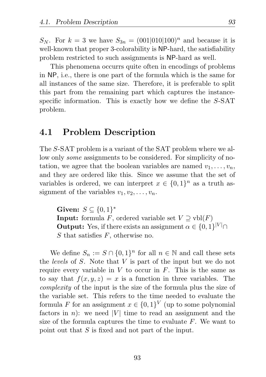$S_N$ . For  $k = 3$  we have  $S_{3n} = (001|010|100)^n$  and because it is well-known that proper 3-colorability is NP-hard, the satisfiability problem restricted to such assignments is NP-hard as well.

This phenomena occurrs quite often in encodings of problems in NP, i.e., there is one part of the formula which is the same for all instances of the same size. Therefore, it is preferable to split this part from the remaining part which captures the instancespecific information. This is exactly how we define the S-SAT problem.

## 4.1 Problem Description

The S-SAT problem is a variant of the SAT problem where we allow only *some* assignments to be considered. For simplicity of notation, we agree that the boolean variables are named  $v_1, \ldots, v_n$ , and they are ordered like this. Since we assume that the set of variables is ordered, we can interpret  $x \in \{0,1\}^n$  as a truth assignment of the variables  $v_1, v_2, \ldots, v_n$ .

Given:  $S \subseteq \{0,1\}^*$ **Input:** formula F, ordered variable set  $V \supseteq \text{vbl}(F)$ **Output:** Yes, if there exists an assignment  $\alpha \in \{0,1\}^{|V|} \cap$ S that satisfies  $F$ , otherwise no.

We define  $S_n := S \cap \{0,1\}^n$  for all  $n \in \mathbb{N}$  and call these sets the *levels* of S. Note that V is part of the input but we do not require every variable in  $V$  to occur in  $F$ . This is the same as to say that  $f(x, y, z) = x$  is a function in three variables. The *complexity* of the input is the size of the formula plus the size of the variable set. This refers to the time needed to evaluate the formula F for an assignment  $x \in \{0,1\}^V$  (up to some polynomial factors in n): we need |V| time to read an assignment and the size of the formula captures the time to evaluate  $F$ . We want to point out that S is fixed and not part of the input.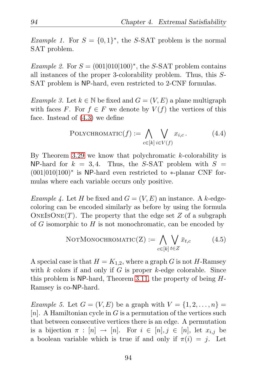*Example 1.* For  $S = \{0,1\}^*$ , the S-SAT problem is the normal SAT problem.

*Example 2.* For  $S = (001|010|100)^{*}$ , the S-SAT problem contains all instances of the proper 3-colorability problem. Thus, this S-SAT problem is NP-hard, even restricted to 2-CNF formulas.

*Example 3.* Let  $k \in \mathbb{N}$  be fixed and  $G = (V, E)$  a plane multigraph with faces F. For  $f \in F$  we denote by  $V(f)$  the vertices of this face. Instead of [\(4.3\)](#page-101-0) we define

$$
PolycHROMATIC(f) := \bigwedge_{c \in [k]} \bigvee_{i \in V(f)} x_{i,c}. \tag{4.4}
$$

By Theorem [3.29](#page-88-0) we know that polychromatic  $k$ -colorability is NP-hard for  $k = 3, 4$ . Thus, the S-SAT problem with  $S =$ (001|010|100)∗ is NP-hard even restricted to ∗-planar CNF formulas where each variable occurs only positive.

*Example 4.* Let H be fixed and  $G = (V, E)$  an instance. A k-edgecoloring can be encoded similarly as before by using the formula ONEISONE $(T)$ . The property that the edge set Z of a subgraph of  $G$  isomorphic to  $H$  is not monochromatic, can be encoded by

$$
NOTMONOCHROMATIC(Z) := \bigwedge_{c \in [k]} \bigvee_{t \in Z} \bar{x}_{t,c} \tag{4.5}
$$

A special case is that  $H = K_{1,2}$ , where a graph G is not H-Ramsey with k colors if and only if G is proper k-edge colorable. Since this problem is  $NP$ -hard, Theorem [3.11,](#page-76-0) the property of being  $H$ -Ramsey is co-NP-hard.

*Example 5.* Let  $G = (V, E)$  be a graph with  $V = \{1, 2, \ldots, n\}$ |n|. A Hamiltonian cycle in  $G$  is a permutation of the vertices such that between consecutive vertices there is an edge. A permutation is a bijection  $\pi : [n] \to [n]$ . For  $i \in [n], j \in [n]$ , let  $x_{i,j}$  be a boolean variable which is true if and only if  $\pi(i) = j$ . Let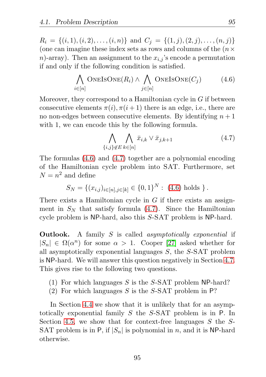$R_i = \{(i, 1), (i, 2), \ldots, (i, n)\}\$ and  $C_j = \{(1, j), (2, j), \ldots, (n, j)\}\$ (one can imagine these index sets as rows and columns of the  $(n \times$ n)-array). Then an assignment to the  $x_{i,j}$ 's encode a permutation if and only if the following condition is satisfied.

<span id="page-104-0"></span>
$$
\bigwedge_{i \in [n]} \text{ONEISONE}(R_i) \land \bigwedge_{j \in [n]} \text{ONEISONE}(C_j) \tag{4.6}
$$

Moreover, they correspond to a Hamiltonian cycle in  $G$  if between consecutive elements  $\pi(i), \pi(i+1)$  there is an edge, i.e., there are no non-edges between consecutive elements. By identifying  $n+1$ with 1, we can encode this by the following formula.

<span id="page-104-1"></span>
$$
\bigwedge_{\{i,j\}\notin E} \bigwedge_{k\in[n]} \bar{x}_{i,k} \vee \bar{x}_{j,k+1} \tag{4.7}
$$

The formulas [\(4.6\)](#page-104-0) and [\(4.7\)](#page-104-1) together are a polynomial encoding of the Hamiltonian cycle problem into SAT. Furthermore, set  $N = n^2$  and define

$$
S_N = \{(x_{i,j})_{i \in [n], j \in [k]} \in \{0,1\}^N : (4.6) \text{ holds } \}.
$$

There exists a Hamiltonian cycle in  $G$  if there exists an assignment in  $S_N$  that satisfy formula [\(4.7\)](#page-104-1). Since the Hamiltonian cycle problem is NP-hard, also this S-SAT problem is NP-hard.

Outlook. A family S is called *asymptotically exponential* if  $|S_n| \in \Omega(\alpha^n)$  for some  $\alpha > 1$ . Cooper [\[27\]](#page-129-0) asked whether for all asymptotically exponential languages  $S$ , the  $S$ -SAT problem is NP-hard. We will answer this question negatively in Section [4.7.](#page-119-0) This gives rise to the following two questions.

- (1) For which languages S is the S-SAT problem NP-hard?
- (2) For which languages S is the S-SAT problem in  $P$ ?

In Section [4.4](#page-111-0) we show that it is unlikely that for an asymptotically exponential family S the S-SAT problem is in P. In Section [4.5,](#page-113-0) we show that for context-free languages  $S$  the  $S$ -SAT problem is in P, if  $|S_n|$  is polynomial in n, and it is NP-hard otherwise.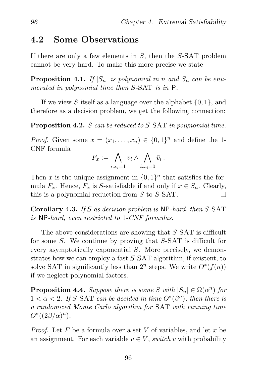## 4.2 Some Observations

If there are only a few elements in  $S$ , then the  $S$ -SAT problem cannot be very hard. To make this more precise we state

**Proposition 4.1.** *If*  $|S_n|$  *is polynomial in n and*  $S_n$  *can be enumerated in polynomial time then* S*-*SAT *is in* P*.*

If we view S itself as a language over the alphabet  $\{0, 1\}$ , and therefore as a decision problem, we get the following connection:

Proposition 4.2. S *can be reduced to* S*-*SAT *in polynomial time.*

*Proof.* Given some  $x = (x_1, \ldots, x_n) \in \{0, 1\}^n$  and define the 1-CNF formula

$$
F_x := \bigwedge_{i:x_i=1} v_i \wedge \bigwedge_{i:x_i=0} \bar{v}_i.
$$

Then x is the unique assignment in  $\{0,1\}^n$  that satisfies the formula  $F_x$ . Hence,  $F_x$  is S-satisfiable if and only if  $x \in S_n$ . Clearly, this is a polynomial reduction from S to S-SAT.  $\Box$ 

Corollary 4.3. *If* S *as decision problem is* NP*-hard, then* S*-*SAT *is* NP*-hard, even restricted to* 1*-CNF formulas.*

The above considerations are showing that S-SAT is difficult for some S. We continue by proving that S-SAT is difficult for every asymptotically exponential S. More precisely, we demonstrates how we can employ a fast S-SAT algorithm, if existent, to solve SAT in significantly less than  $2^n$  steps. We write  $O^*(f(n))$ if we neglect polynomial factors.

<span id="page-105-0"></span>**Proposition 4.4.** *Suppose there is some*  $S$  *with*  $|S_n| \in \Omega(\alpha^n)$  *for*  $1 < \alpha < 2$ . If S-SAT can be decided in time  $O^*(\beta^n)$ , then there is *a randomized Monte Carlo algorithm for* SAT *with running time*  $O^*((2\beta/\alpha)^n)$ .

*Proof.* Let  $F$  be a formula over a set  $V$  of variables, and let  $x$  be an assignment. For each variable  $v \in V$ , *switch* v with probability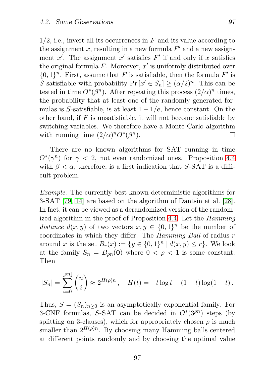$1/2$ , i.e., invert all its occurrences in F and its value according to the assignment x, resulting in a new formula  $F'$  and a new assignment  $x'$ . The assignment  $x'$  satisfies  $F'$  if and only if  $x$  satisfies the original formula  $F$ . Moreover,  $x'$  is uniformly distributed over  $\{0,1\}^n$ . First, assume that F is satisfiable, then the formula F' is S-satisfiable with probability  $Pr[x' \in S_n] \geq (\alpha/2)^n$ . This can be tested in time  $O^*(\beta^n)$ . After repeating this process  $(2/\alpha)^n$  times, the probability that at least one of the randomly generated formulas is S-satisfiable, is at least  $1 - 1/e$ , hence constant. On the other hand, if  $F$  is unsatisfiable, it will not become satisfiable by switching variables. We therefore have a Monte Carlo algorithm with running time  $(2/\alpha)^n O^*(\beta^n)$ . П

There are no known algorithms for SAT running in time  $O^*(\gamma^n)$  for  $\gamma < 2$ , not even randomized ones. Proposition [4.4](#page-105-0) with  $\beta < \alpha$ , therefore, is a first indication that S-SAT is a difficult problem.

*Example.* The currently best known deterministic algorithms for 3-SAT [\[79,](#page-133-0) [14\]](#page-127-2) are based on the algorithm of Dantsin et al. [\[28\]](#page-129-1). In fact, it can be viewed as a derandomized version of the randomized algorithm in the proof of Proposition [4.4:](#page-105-0) Let the *Hamming* distance  $d(x, y)$  of two vectors  $x, y \in \{0, 1\}^n$  be the number of coordinates in which they differ. The *Hamming Ball* of radius r around x is the set  $B_r(x) := \{y \in \{0,1\}^n \mid d(x,y) \leq r\}$ . We look at the family  $S_n = B_{on}(0)$  where  $0 < \rho < 1$  is some constant. Then

$$
|S_n| = \sum_{i=0}^{\lfloor \rho n \rfloor} {n \choose i} \approx 2^{H(\rho)n}, \quad H(t) = -t \log t - (1-t) \log(1-t).
$$

Thus,  $S = (S_n)_{n>0}$  is an asymptotically exponential family. For 3-CNF formulas, S-SAT can be decided in  $O<sup>*</sup>(3<sup>pn</sup>)$  steps (by splitting on 3-clauses), which for appropriately chosen  $\rho$  is much smaller than  $2^{H(\rho)n}$ . By choosing many Hamming balls centered at different points randomly and by choosing the optimal value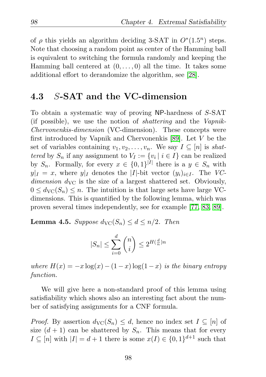of  $\rho$  this yields an algorithm deciding 3-SAT in  $O^*(1.5^n)$  steps. Note that choosing a random point as center of the Hamming ball is equivalent to switching the formula randomly and keeping the Hamming ball centered at  $(0, \ldots, 0)$  all the time. It takes some additional effort to derandomize the algorithm, see [\[28\]](#page-129-1).

## 4.3 S-SAT and the VC-dimension

To obtain a systematic way of proving NP-hardness of S-SAT (if possible), we use the notion of *shattering* and the *Vapnik-Chervonenkis-dimension* (VC-dimension). These concepts were first introduced by Vapnik and Chervonenkis [\[89\]](#page-134-3). Let V be the set of variables containing  $v_1, v_2, \ldots, v_n$ . We say  $I \subseteq [n]$  is *shattered* by  $S_n$  if any assignment to  $V_I := \{v_i \mid i \in I\}$  can be realized by  $S_n$ . Formally, for every  $x \in \{0,1\}^{|I|}$  there is a  $y \in S_n$  with  $y|_I = x$ , where  $y|_I$  denotes the |I|-bit vector  $(y_i)_{i \in I}$ . The *VCdimension*  $d_{\text{VC}}$  is the size of a largest shattered set. Obviously,  $0 \leq d_{\rm VC}(S_n) \leq n$ . The intuition is that large sets have large VCdimensions. This is quantified by the following lemma, which was proven several times independently, see for example [\[77,](#page-133-1) [83,](#page-134-4) [89\]](#page-134-3).

**Lemma 4.5.** *Suppose*  $d_{\text{VC}}(S_n) \leq d \leq n/2$ *. Then* 

$$
|S_n| \le \sum_{i=0}^d \binom{n}{i} \le 2^{H(\frac{d}{n})n}
$$

*where*  $H(x) = -x \log(x) - (1-x) \log(1-x)$  *is the binary entropy function.*

We will give here a non-standard proof of this lemma using satisfiability which shows also an interesting fact about the number of satisfying assignments for a CNF formula.

*Proof.* By assertion  $d_{\text{VC}}(S_n) \leq d$ , hence no index set  $I \subseteq [n]$  of size  $(d+1)$  can be shattered by  $S_n$ . This means that for every  $I \subseteq [n]$  with  $|I| = d + 1$  there is some  $x(I) \in \{0,1\}^{d+1}$  such that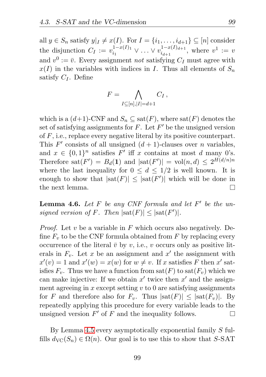all  $y \in S_n$  satisfy  $y|_I \neq x(I)$ . For  $I = \{i_1, \ldots, i_{d+1}\} \subseteq [n]$  consider the disjunction  $C_I := v_{i_1}^{1-x(I)_1} \vee \ldots \vee v_{i_{d+1}}^{1-x(I)_{d+1}},$  where  $v^1 := v$ and  $v^0 := \overline{v}$ . Every assignment *not* satisfying  $C_I$  must agree with  $x(I)$  in the variables with indices in I. Thus all elements of  $S_n$ satisfy  $C_I$ . Define

$$
F = \bigwedge_{I \subseteq [n], |I| = d+1} C_I \,,
$$

which is a  $(d+1)$ -CNF and  $S_n \subseteq \text{sat}(F)$ , where  $\text{sat}(F)$  denotes the set of satisfying assignments for  $F$ . Let  $F'$  be the unsigned version of F, i.e., replace every negative literal by its positive counterpart. This  $F'$  consists of all unsigned  $(d+1)$ -clauses over *n* variables, and  $x \in \{0,1\}^n$  satisfies F' iff x contains at most d many 0's. Therefore sat $(F') = B_d(1)$  and  $|\text{sat}(F')| = \text{vol}(n, d) \leq 2^{H(d/n)n}$ where the last inequality for  $0 \leq d \leq 1/2$  is well known. It is enough to show that  $|\text{sat}(F)| \leq |\text{sat}(F')|$  which will be done in the next lemma. П

Lemma 4.6. *Let* F *be any CNF formula and let* F ′ *be the unsigned version of* F. Then  $|\text{sat}(F)| \leq |\text{sat}(F')|$ .

*Proof.* Let v be a variable in F which occurs also negatively. Define  $F_v$  to be the CNF formula obtained from F by replacing every occurrence of the literal  $\bar{v}$  by v, i.e., v occurs only as positive literals in  $F_v$ . Let x be an assignment and x' the assignment with  $x'(v) = 1$  and  $x'(w) = x(w)$  for  $w \neq v$ . If x satisfies F then x' satisfies  $F_v$ . Thus we have a function from  $\text{sat}(F)$  to  $\text{sat}(F_v)$  which we can make injective: If we obtain  $x'$  twice then  $x'$  and the assignment agreeing in x except setting  $v$  to 0 are satisfying assignments for F and therefore also for  $F_v$ . Thus  $|\text{sat}(F)| \leq |\text{sat}(F_v)|$ . By repeatedly applying this procedure for every variable leads to the unsigned version  $F'$  of  $F$  and the inequality follows. П

By Lemma [4.5](#page-107-0) every asymptotically exponential family S fulfills  $d_{\text{VC}}(S_n) \in \Omega(n)$ . Our goal is to use this to show that S-SAT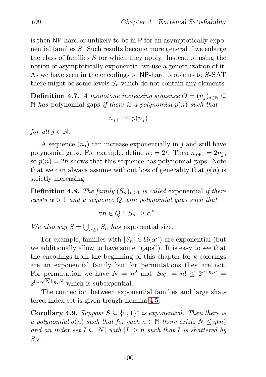is then NP-hard or unlikely to be in P for an asymptotically exponential families S. Such results become more general if we enlarge the class of families S for which they apply. Instead of using the notion of asymptotically exponential we use a generalization of it. As we have seen in the encodings of NP-hard problems to S-SAT there might be some levels  $S_n$  which do not contain any elements.

**Definition 4.7.** *A monotone increasing sequence*  $Q = (n_i)_{i \in \mathbb{N}} \subseteq$ N *has* polynomial gaps *if there is a polynomial* p(n) *such that*

$$
n_{j+1} \le p(n_j)
$$

*for all*  $j \in \mathbb{N}$ *.* 

A sequence  $(n_i)$  can increase exponentially in j and still have polynomial gaps. For example, define  $n_j = 2^j$ . Then  $n_{j+1} = 2n_j$ , so  $p(n) = 2n$  shows that this sequence has polynomial gaps. Note that we can always assume without loss of generality that  $p(n)$  is strictly increasing.

**Definition 4.8.** *The family*  $(S_n)_{n\geq 1}$  *is called* exponential *if there exists*  $\alpha > 1$  *and a sequence* Q *with polynomial gaps such that* 

$$
\forall n \in Q : |S_n| \ge \alpha^n .
$$

*We also say*  $S = \bigcup_{n \geq 1} S_n$  *has* exponential size.

For example, families with  $|S_n| \in \Omega(\alpha^n)$  are exponential (but we additionally allow to have some "gaps"). It is easy to see that the encodings from the beginning of this chapter for  $k$ -colorings are an exponential family but for permutations they are not. For permutation we have  $N = n^2$  and  $|S_N| = n! \leq 2^{n \log n} =$  $2^{0.5\sqrt{N}\log N}$  which is subexpontial.

The connection between exponential families and large shattered index set is given trough Lemma [4.5.](#page-107-0)

<span id="page-109-0"></span>**Corollary 4.9.** *Suppose*  $S \subseteq \{0,1\}^*$  *is exponential. Then there is a polynomial*  $q(n)$  *such that for each*  $n \in \mathbb{N}$  *there exists*  $N \leq q(n)$ *and an index set*  $I \subseteq [N]$  *with*  $|I| \geq n$  *such that* I *is shattered by*  $S_N$ .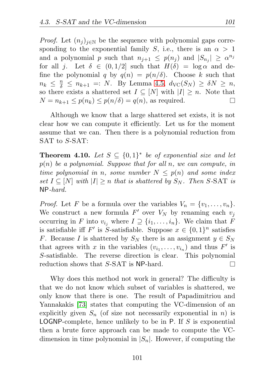*Proof.* Let  $(n_i)_{i\in\mathbb{N}}$  be the sequence with polynomial gaps corresponding to the exponential family S, i.e., there is an  $\alpha > 1$ and a polynomial p such that  $n_{j+1} \leq p(n_j)$  and  $|S_{n_j}| \geq \alpha^{n_j}$ for all j. Let  $\delta \in (0, 1/2]$  such that  $H(\delta) = \log \alpha$  and define the polynomial q by  $q(n) = p(n/\delta)$ . Choose k such that  $n_k \leq \frac{n}{\delta} \leq n_{k+1} =: N$ . By Lemma [4.5,](#page-107-0)  $d_{\text{VC}}(S_N) \geq \delta N \geq n$ , so there exists a shattered set  $I \subseteq [N]$  with  $|I| \geq n$ . Note that  $N = n_{k+1} \leq p(n_k) \leq p(n/\delta) = q(n)$ , as required.  $\Box$ 

Although we know that a large shattered set exists, it is not clear how we can compute it efficiently. Let us for the moment assume that we can. Then there is a polynomial reduction from SAT to S-SAT:

<span id="page-110-0"></span>**Theorem 4.10.** Let  $S \subseteq \{0,1\}^*$  be of exponential size and let p(n) *be a polynomial. Suppose that for all* n*, we can compute, in time polynomial in n, some number*  $N \leq p(n)$  *and some index set*  $I \subseteq [N]$  *with*  $|I| \geq n$  *that is shattered by*  $S_N$ *. Then* S-SAT *is* NP*-hard.*

*Proof.* Let F be a formula over the variables  $V_n = \{v_1, \ldots, v_n\}.$ We construct a new formula  $F'$  over  $V_N$  by renaming each  $v_j$ occurring in F into  $v_{i_j}$  where  $I \supseteq \{i_1, \ldots, i_n\}$ . We claim that F is satisfiable iff  $F'$  is S-satisfiable. Suppose  $x \in \{0,1\}^n$  satisfies F. Because I is shattered by  $S_N$  there is an assignment  $y \in S_N$ that agrees with x in the variables  $(v_{i_1}, \ldots, v_{i_n})$  and thus  $F'$  is S-satisfiable. The reverse direction is clear. This polynomial reduction shows that S-SAT is NP-hard.  $\Box$ 

Why does this method not work in general? The difficulty is that we do not know which subset of variables is shattered, we only know that there is one. The result of Papadimitriou and Yannakakis [\[73\]](#page-133-0) states that computing the VC-dimension of an explicitly given  $S_n$  (of size not necessarily exponential in n) is **LOGNP-complete, hence unlikely to be in P.** If  $S$  is exponential then a brute force approach can be made to compute the VCdimension in time polynomial in  $|S_n|$ . However, if computing the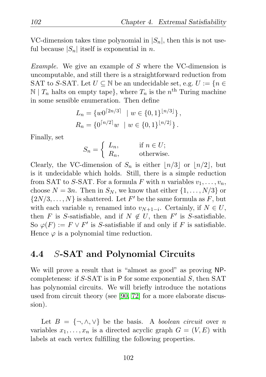VC-dimension takes time polynomial in  $|S_n|$ , then this is not useful because  $|S_n|$  itself is exponential in *n*.

*Example.* We give an example of S where the VC-dimension is uncomputable, and still there is a straightforward reduction from SAT to S-SAT. Let  $U \subseteq \mathbb{N}$  be an undecidable set, e.g.  $U := \{n \in$  $\mathbb{N} \mid T_n$  halts on empty tape}, where  $T_n$  is the  $n^{\text{th}}$  Turing machine in some sensible enumeration. Then define

$$
L_n = \{ w0^{\lceil 2n/3 \rceil} \mid w \in \{0, 1\}^{\lfloor n/3 \rfloor} \},
$$
  

$$
R_n = \{ 0^{\lceil n/2 \rceil} w \mid w \in \{0, 1\}^{\lfloor n/2 \rfloor} \}.
$$

Finally, set

$$
S_n = \begin{cases} L_n, & \text{if } n \in U; \\ R_n, & \text{otherwise.} \end{cases}
$$

Clearly, the VC-dimension of  $S_n$  is either  $\lfloor n/3 \rfloor$  or  $\lfloor n/2 \rfloor$ , but is it undecidable which holds. Still, there is a simple reduction from SAT to S-SAT. For a formula F with n variables  $v_1, \ldots, v_n$ , choose  $N = 3n$ . Then in  $S_N$ , we know that either  $\{1, \ldots, N/3\}$  or  $\{2N/3,\ldots,N\}$  is shattered. Let F' be the same formula as F, but with each variable  $v_i$  renamed into  $v_{N+1-i}$ . Certainly, if  $N \in U$ , then F is S-satisfiable, and if  $N \notin U$ , then F' is S-satisfiable. So  $\varphi(F) := F \vee F'$  is S-satisfiable if and only if F is satisfiable. Hence  $\varphi$  is a polynomial time reduction.

## 4.4 S-SAT and Polynomial Circuits

We will prove a result that is "almost as good" as proving NPcompleteness: if  $S$ -SAT is in P for some exponential  $S$ , then SAT has polynomial circuits. We will briefly introduce the notations used from circuit theory (see [\[90,](#page-134-0) [72\]](#page-133-1) for a more elaborate discussion).

Let  $B = \{\neg, \wedge, \vee\}$  be the basis. A *boolean circuit* over n variables  $x_1, \ldots, x_n$  is a directed acyclic graph  $G = (V, E)$  with labels at each vertex fulfilling the following properties.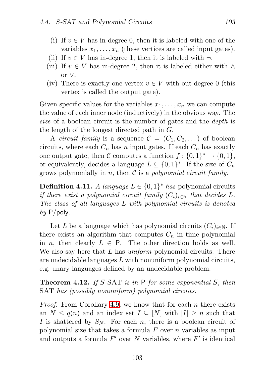- (i) If  $v \in V$  has in-degree 0, then it is labeled with one of the variables  $x_1, \ldots, x_n$  (these vertices are called input gates).
- (ii) If  $v \in V$  has in-degree 1, then it is labeled with  $\neg$ .
- (iii) If  $v \in V$  has in-degree 2, then it is labeled either with ∧ or ∨.
- (iv) There is exactly one vertex  $v \in V$  with out-degree 0 (this vertex is called the output gate).

Given specific values for the variables  $x_1, \ldots, x_n$  we can compute the value of each inner node (inductively) in the obvious way. The *size* of a boolean circuit is the number of gates and the *depth* is the length of the longest directed path in G.

A *circuit family* is a sequence  $C = (C_1, C_2, \dots)$  of boolean circuits, where each  $C_n$  has n input gates. If each  $C_n$  has exactly one output gate, then C computes a function  $f: \{0,1\}^* \to \{0,1\},\$ or equivalently, decides a language  $L \subseteq \{0,1\}^*$ . If the size of  $C_n$ grows polynomially in n, then C is a *polynomial circuit family*.

**Definition 4.11.** *A language*  $L \in \{0, 1\}^*$  *has* polynomial circuits *if there exist a polynomial circuit family*  $(C_i)_{i \in \mathbb{N}}$  *that decides* L. *The class of all languages* L *with polynomial circuits is denoted by* P/poly*.*

Let L be a language which has polynomial circuits  $(C_i)_{i\in\mathbb{N}}$ . If there exists an algorithm that computes  $C_n$  in time polynomial in *n*, then clearly  $L \in \mathsf{P}$ . The other direction holds as well. We also say here that L has *uniform* polynomial circuits. There are undecidable languages  $L$  with nonuniform polynomial circuits, e.g. unary languages defined by an undecidable problem.

Theorem 4.12. *If* S*-*SAT *is in* P *for some exponential* S*, then* SAT *has (possibly nonuniform) polynomial circuits.*

*Proof.* From Corollary [4.9,](#page-109-0) we know that for each n there exists an  $N \leq q(n)$  and an index set  $I \subseteq |N|$  with  $|I| \geq n$  such that I is shattered by  $S_N$ . For each n, there is a boolean circuit of polynomial size that takes a formula  $F$  over  $n$  variables as input and outputs a formula  $F'$  over N variables, where  $F'$  is identical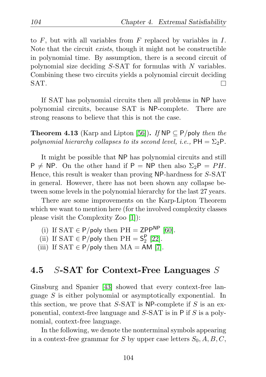to  $F$ , but with all variables from  $F$  replaced by variables in  $I$ . Note that the circuit *exists*, though it might not be constructible in polynomial time. By assumption, there is a second circuit of polynomial size deciding  $S$ -SAT for formulas with  $N$  variables. Combining these two circuits yields a polynomial circuit deciding SAT. П

If SAT has polynomial circuits then all problems in NP have polynomial circuits, because SAT is NP-complete. There are strong reasons to believe that this is not the case.

**Theorem 4.13** (Karp and Lipton [\[56\]](#page-131-0)). *If*  $NP \subseteq P$ /poly *then the polynomial hierarchy collapses to its second level, i.e.,*  $PH = \Sigma_2 P$ .

It might be possible that NP has polynomial circuits and still  $P \neq NP$ . On the other hand if  $P = NP$  then also  $\Sigma_2P = PH$ . Hence, this result is weaker than proving NP-hardness for S-SAT in general. However, there has not been shown any collapse between some levels in the polynomial hierarchy for the last 27 years.

There are some improvements on the Karp-Lipton Theorem which we want to mention here (for the involved complexity classes please visit the Complexity Zoo [\[1\]](#page-126-0)):

- (i) If  $SAT \in P$ /poly then  $PH = ZPP^{NP}$  [\[60\]](#page-132-0).
- (ii) If  $SAT \in P/poly$  then  $PH = S_2^P$  $\frac{1}{2}$  [\[22\]](#page-128-0).
- (iii) If  $SAT \in P$ /poly then  $MA = AM$  [\[7\]](#page-126-1).

## <span id="page-113-0"></span>4.5 S-SAT for Context-Free Languages  $S$

Ginsburg and Spanier [\[43\]](#page-130-0) showed that every context-free language S is either polynomial or asymptotically exponential. In this section, we prove that  $S$ -SAT is NP-complete if S is an exponential, context-free language and  $S$ -SAT is in P if S is a polynomial, context-free language.

In the following, we denote the nonterminal symbols appearing in a context-free grammar for S by upper case letters  $S_0$ ,  $A$ ,  $B$ ,  $C$ ,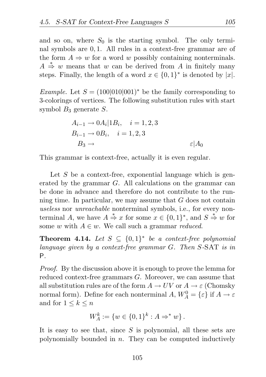and so on, where  $S_0$  is the starting symbol. The only terminal symbols are 0, 1. All rules in a context-free grammar are of the form  $A \Rightarrow w$  for a word w possibly containing nonterminals.  $A \stackrel{*}{\Rightarrow} w$  means that w can be derived from A in finitely many steps. Finally, the length of a word  $x \in \{0,1\}^*$  is denoted by |x|.

*Example.* Let  $S = (100|010|001)^*$  be the family corresponding to 3-colorings of vertices. The following substitution rules with start symbol  $B_3$  generate  $S$ .

$$
A_{i-1} \rightarrow 0A_i | 1B_i, \quad i = 1, 2, 3
$$
  
\n
$$
B_{i-1} \rightarrow 0B_i, \quad i = 1, 2, 3
$$
  
\n
$$
B_3 \rightarrow \varepsilon | A_0
$$

This grammar is context-free, actually it is even regular.

Let  $S$  be a context-free, exponential language which is generated by the grammar G. All calculations on the grammar can be done in advance and therefore do not contribute to the running time. In particular, we may assume that G does not contain *useless* nor *unreachable* nonterminal symbols, i.e., for every nonterminal A, we have  $A \stackrel{*}{\Rightarrow} x$  for some  $x \in \{0,1\}^*$ , and  $S \stackrel{*}{\Rightarrow} w$  for some w with  $A \in \mathcal{W}$ . We call such a grammar *reduced*.

**Theorem 4.14.** Let  $S \subseteq \{0,1\}^*$  be a context-free polynomial *language given by a context-free grammar* G*. Then* S*-*SAT *is in* P*.*

*Proof.* By the discussion above it is enough to prove the lemma for reduced context-free grammars G. Moreover, we can assume that all substitution rules are of the form  $A \to UV$  or  $A \to \varepsilon$  (Chomsky normal form). Define for each nonterminal  $A, W_A^0 = \{\varepsilon\}$  if  $A \to \varepsilon$ and for  $1 \leq k \leq n$ 

$$
W_A^k := \{ w \in \{0,1\}^k : A \Rightarrow^* w \}.
$$

It is easy to see that, since  $S$  is polynomial, all these sets are polynomially bounded in  $n$ . They can be computed inductively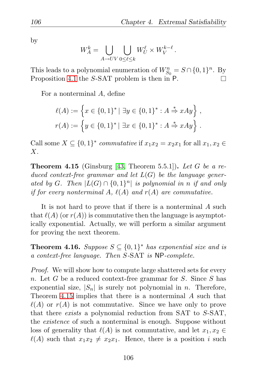by

$$
W^k_A = \bigcup_{A \to UV} \bigcup_{0 \leq \ell \leq k} W^{\ell}_U \times W^{k-\ell}_V \,.
$$

This leads to a polynomial enumeration of  $W_{S_0}^n = S \cap \{0,1\}^n$ . By Proposition [4.1](#page-105-0) the S-SAT problem is then in P. П

For a nonterminal A, define

$$
\ell(A) := \left\{ x \in \{0, 1\}^* \mid \exists y \in \{0, 1\}^* : A \stackrel{*}{\Rightarrow} xAy \right\},\
$$

$$
r(A) := \left\{ y \in \{0, 1\}^* \mid \exists x \in \{0, 1\}^* : A \stackrel{*}{\Rightarrow} xAy \right\}.
$$

Call some  $X \subseteq \{0,1\}^*$  *commutative* if  $x_1x_2 = x_2x_1$  for all  $x_1, x_2 \in$  $X$ .

<span id="page-115-0"></span>Theorem 4.15 (Ginsburg [\[43,](#page-130-0) Theorem 5.5.1]). *Let* G *be a reduced context-free grammar and let* L(G) *be the language gener*ated by G. Then  $|L(G) \cap \{0,1\}^n|$  is polynomial in *n* if and only *if for every nonterminal* A,  $\ell(A)$  *and*  $r(A)$  *are commutative.* 

It is not hard to prove that if there is a nonterminal A such that  $\ell(A)$  (or  $r(A)$ ) is commutative then the language is asymptotically exponential. Actually, we will perform a similar argument for proving the next theorem.

**Theorem 4.16.** Suppose  $S \subseteq \{0,1\}^*$  has exponential size and is *a context-free language. Then* S*-*SAT *is* NP*-complete.*

*Proof.* We will show how to compute large shattered sets for every n. Let G be a reduced context-free grammar for S. Since S has exponential size,  $|S_n|$  is surely not polynomial in n. Therefore, Theorem [4.15](#page-115-0) implies that there is a nonterminal A such that  $\ell(A)$  or  $r(A)$  is not commutative. Since we have only to prove that there *exists* a polynomial reduction from SAT to S-SAT, the *existence* of such a nonterminal is enough. Suppose without loss of generality that  $\ell(A)$  is not commutative, and let  $x_1, x_2 \in$  $\ell(A)$  such that  $x_1x_2 \neq x_2x_1$ . Hence, there is a position i such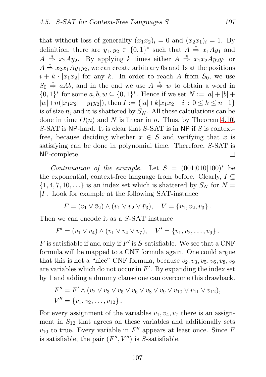that without loss of generality  $(x_1x_2)_i = 0$  and  $(x_2x_1)_i = 1$ . By definition, there are  $y_1, y_2 \in \{0, 1\}^*$  such that  $A \stackrel{*}{\Rightarrow} x_1 Ay_1$  and  $A \stackrel{*}{\Rightarrow} x_2Ay_2$ . By applying k times either  $A \stackrel{*}{\Rightarrow} x_1x_2Ay_2y_1$  or  $A \stackrel{*}{\Rightarrow} x_2x_1Ay_1y_2$ , we can create arbitrary 0s and 1s at the positions  $i + k \cdot |x_1x_2|$  for any k. In order to reach A from  $S_0$ , we use  $S_0 \stackrel{*}{\Rightarrow} aAb$ , and in the end we use  $A \stackrel{*}{\Rightarrow} w$  to obtain a word in  $\{0,1\}^*$  for some  $a, b, w \subseteq \{0,1\}^*$ . Hence if we set  $N := |a| + |b| +$  $|w|+n(|x_1x_2|+|y_1y_2|)$ , then  $I := \{|a|+k|x_1x_2|+i : 0 \le k \le n-1\}$ is of size n, and it is shattered by  $S_N$ . All these calculations can be done in time  $O(n)$  and N is linear in n. Thus, by Theorem [4.10,](#page-110-0) S-SAT is NP-hard. It is clear that  $S$ -SAT is in NP if S is contextfree, because deciding whether  $x \in S$  and verifying that x is satisfying can be done in polynomial time. Therefore, S-SAT is NP-complete.  $\Box$ 

*Continuation of the example.* Let  $S = (001|010|100)^*$  be the exponential, context-free language from before. Clearly,  $I \subseteq$  $\{1,4,7,10,\ldots\}$  is an index set which is shattered by  $S_N$  for  $N=$  $|I|$ . Look for example at the following SAT-instance

$$
F = (v_1 \vee \bar{v}_2) \wedge (v_1 \vee v_2 \vee \bar{v}_3), \quad V = \{v_1, v_2, v_3\}.
$$

Then we can encode it as a S-SAT instance

$$
F' = (v_1 \vee \overline{v}_4) \wedge (v_1 \vee v_4 \vee \overline{v}_7), \quad V' = \{v_1, v_2, \dots, v_9\}.
$$

 $F$  is satisfiable if and only if  $F'$  is S-satisfiable. We see that a CNF formula will be mapped to a CNF formula again. One could argue that this is not a "nice" CNF formula, because  $v_2, v_3, v_5, v_6, v_8, v_9$ are variables which do not occur in  $F'$ . By expanding the index set by 1 and adding a dummy clause one can overcome this drawback.

$$
F'' = F' \wedge (v_2 \vee v_3 \vee v_5 \vee v_6 \vee v_8 \vee v_9 \vee v_{10} \vee v_{11} \vee v_{12}),
$$
  

$$
V'' = \{v_1, v_2, \dots, v_{12}\}.
$$

For every assignment of the variables  $v_1, v_4, v_7$  there is an assignment in  $S_{12}$  that agrees on these variables and additionally sets  $v_{10}$  to true. Every variable in  $F''$  appears at least once. Since F is satisfiable, the pair  $(F'', V'')$  is S-satisfiable.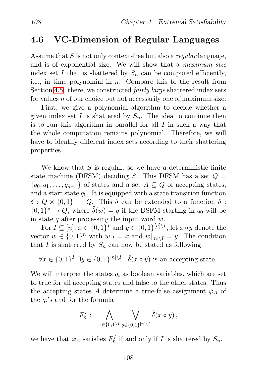#### 4.6 VC-Dimension of Regular Languages

Assume that S is not only context-free but also a *regular* language, and is of exponential size. We will show that a *maximum size* index set I that is shattered by  $S_n$  can be computed efficiently, i.e., in time polynomial in  $n$ . Compare this to the result from Section [4.5:](#page-113-0) there, we constructed *fairly large* shattered index sets for values *n* of our choice but not necessarily one of maximum size.

First, we give a polynomial algorithm to decide whether a given index set I is shattered by  $S_n$ . The idea to continue then is to run this algorithm in parallel for all  $I$  in such a way that the whole computation remains polynomial. Therefore, we will have to identify different index sets according to their shattering properties.

We know that  $S$  is regular, so we have a deterministic finite state machine (DFSM) deciding S. This DFSM has a set  $Q =$  $\{q_0, q_1, \ldots, q_{d-1}\}\$  of states and a set  $A \subseteq Q$  of accepting states, and a start state  $q_0$ . It is equipped with a state transition function  $\delta: Q \times \{0,1\} \to Q$ . This  $\delta$  can be extended to a function  $\hat{\delta}$ :  ${0,1}^* \rightarrow Q$ , where  $\hat{\delta}(w) = q$  if the DSFM starting in  $q_0$  will be in state q after processing the input word  $w$ .

For  $I \subseteq [n], x \in \{0,1\}^I$  and  $y \in \{0,1\}^{[n]\setminus I}$ , let  $x \circ y$  denote the vector  $w \in \{0,1\}^n$  with  $w|_I = x$  and  $w|_{[n] \setminus I} = y$ . The condition that I is shattered by  $S_n$  can now be stated as following

 $\forall x \in \{0,1\}^I \exists y \in \{0,1\}^{[n]\setminus I} : \hat{\delta}(x \circ y)$  is an accepting state.

We will interpret the states  $q_i$  as boolean variables, which are set to true for all accepting states and false to the other states. Thus the accepting states A determine a true-false assignment  $\varphi_A$  of the  $q_i$ 's and for the formula

$$
F_n^I := \bigwedge_{x \in \{0,1\}^I} \bigvee_{y \in \{0,1\}^{\{n\} \setminus I}} \hat{\delta}(x \circ y),
$$

we have that  $\varphi_A$  satisfies  $F_n^I$  if and only if I is shattered by  $S_n$ .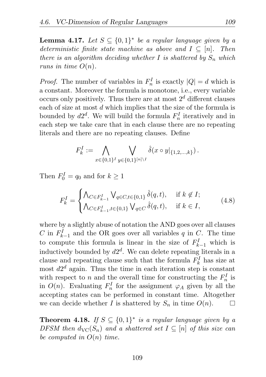**Lemma 4.17.** Let  $S \subseteq \{0,1\}^*$  be a regular language given by a *deterministic finite state machine as above and*  $I \subseteq [n]$ . Then *there is an algorithm deciding whether*  $I$  *is shattered by*  $S_n$  *which runs in time*  $O(n)$ *.* 

*Proof.* The number of variables in  $F_n^I$  is exactly  $|Q| = d$  which is a constant. Moreover the formula is monotone, i.e., every variable occurs only positively. Thus there are at most  $2^d$  different clauses each of size at most d which implies that the size of the formula is bounded by  $d2^d$ . We will build the formula  $F_n^I$  iteratively and in each step we take care that in each clause there are no repeating literals and there are no repeating clauses. Define

$$
F_k^I := \bigwedge_{x \in \{0,1\}^I} \bigvee_{y \in \{0,1\}^{\{n\} \setminus I}} \hat{\delta}(x \circ y|_{\{1,2,\ldots,k\}}).
$$

Then  $F_0^I = q_0$  and for  $k \ge 1$ 

<span id="page-118-0"></span>
$$
F_k^I = \begin{cases} \bigwedge_{C \in F_{k-1}^I} \bigvee_{q \in C, t \in \{0,1\}} \hat{\delta}(q, t), & \text{if } k \notin I; \\ \bigwedge_{C \in F_{k-1}^I, t \in \{0,1\}} \bigvee_{q \in C} \hat{\delta}(q, t), & \text{if } k \in I, \end{cases}
$$
(4.8)

where by a slightly abuse of notation the AND goes over all clauses C in  $F_{k-1}^I$  and the OR goes over all variables q in C. The time to compute this formula is linear in the size of  $F_{k-1}^I$  which is inductively bounded by  $d2^d$ . We can delete repeating literals in a clause and repeating clause such that the formula  $F_k^I$  has size at most  $d2^d$  again. Thus the time in each iteration step is constant with respect to n and the overall time for constructing the  $F_n^I$  is in  $O(n)$ . Evaluating  $F_n^I$  for the assignment  $\varphi_A$  given by all the accepting states can be performed in constant time. Altogether we can decide whether I is shattered by  $S_n$  in time  $O(n)$ .  $\Box$ 

**Theorem 4.18.** If  $S \subseteq \{0,1\}^*$  is a regular language given by a *DFSM then*  $d_{\text{VC}}(S_n)$  *and a shattered set*  $I \subseteq [n]$  *of this size can be computed in* O(n) *time.*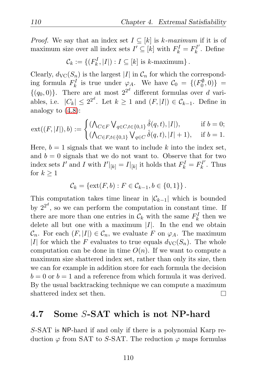*Proof.* We say that an index set  $I \subseteq [k]$  is k-maximum if it is of maximum size over all index sets  $I' \subseteq [k]$  with  $F_k^I = F_k^{I'}$  $k^{\prime}$ . Define

 $\mathcal{C}_k := \{ (F_k^I, |I|) : I \subseteq [k] \text{ is } k\text{-maximum} \}.$ 

Clearly,  $d_{\text{VC}}(S_n)$  is the largest |I| in  $\mathcal{C}_n$  for which the corresponding formula  $F_k^I$  is true under  $\varphi_A$ . We have  $\mathcal{C}_0 = \{(F_0^{\emptyset}, 0)\}$  =  $\{(q_0, 0)\}\.$  There are at most  $2^{2^d}$  different formulas over d variables, i.e.  $|C_k| \leq 2^{2^d}$ . Let  $k \geq 1$  and  $(F, |I|) \in C_{k-1}$ . Define in analogy to [\(4.8\)](#page-118-0):

$$
ext((F,|I|),b) := \begin{cases} (\bigwedge_{C \in F} \bigvee_{q \in C, t \in \{0,1\}} \hat{\delta}(q,t), |I|), & \text{if } b = 0; \\ (\bigwedge_{C \in F, t \in \{0,1\}} \bigvee_{q \in C} \hat{\delta}(q,t), |I|+1), & \text{if } b = 1. \end{cases}
$$

Here,  $b = 1$  signals that we want to include k into the index set, and  $b = 0$  signals that we do not want to. Observe that for two index sets  $I'$  and I with  $I'|_{[k]} = I|_{[k]}$  it holds that  $F_k^I = F_k^{I'}$  $k^{T'}$ . Thus for  $k \geq 1$ 

$$
C_k = \{ \text{ext}(F, b) : F \in C_{k-1}, b \in \{0, 1\} \}.
$$

This computation takes time linear in  $|\mathcal{C}_{k-1}|$  which is bounded by  $2^{2^d}$ , so we can perform the computation in constant time. If there are more than one entries in  $\mathcal{C}_k$  with the same  $F_k^I$  then we delete all but one with a maximum  $|I|$ . In the end we obtain  $\mathcal{C}_n$ . For each  $(F, |I|) \in \mathcal{C}_n$ , we evaluate F on  $\varphi_A$ . The maximum |I| for which the F evaluates to true equals  $d_{\text{VC}}(S_n)$ . The whole computation can be done in time  $O(n)$ . If we want to compute a maximum size shattered index set, rather than only its size, then we can for example in addition store for each formula the decision  $b = 0$  or  $b = 1$  and a reference from which formula it was derived. By the usual backtracking technique we can compute a maximum shattered index set then. П

## 4.7 Some S-SAT which is not NP-hard

S-SAT is NP-hard if and only if there is a polynomial Karp reduction  $\varphi$  from SAT to S-SAT. The reduction  $\varphi$  maps formulas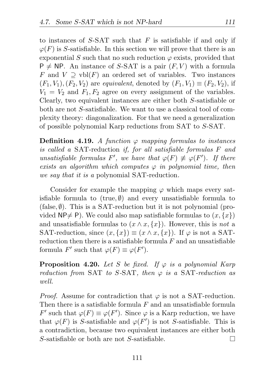to instances of  $S$ -SAT such that  $F$  is satisfiable if and only if  $\varphi(F)$  is S-satisfiable. In this section we will prove that there is an exponential S such that no such reduction  $\varphi$  exists, provided that  $P \neq NP$ . An instance of S-SAT is a pair  $(F, V)$  with a formula F and  $V \supseteq \text{vbl}(F)$  an ordered set of variables. Two instances  $(F_1, V_1), (F_2, V_2)$  are *equivalent*, denoted by  $(F_1, V_1) \equiv (F_2, V_2)$ , if  $V_1 = V_2$  and  $F_1, F_2$  agree on every assignment of the variables. Clearly, two equivalent instances are either both S-satisfiable or both are not S-satisfiable. We want to use a classical tool of complexity theory: diagonalization. For that we need a generalization of possible polynomial Karp reductions from SAT to S-SAT.

**Definition 4.19.** A function  $\varphi$  mapping formulas to instances *is called a* SAT-reduction *if, for all satisfiable formulas* F *and unsatisfiable formulas*  $F'$ , we have that  $\varphi(F) \not\equiv \varphi(F')$ . If there *exists an algorithm which computes*  $\varphi$  *in polynomial time, then we say that it is a* polynomial SAT-reduction*.*

Consider for example the mapping  $\varphi$  which maps every satisfiable formula to (true,  $\emptyset$ ) and every unsatisfiable formula to (false,  $\emptyset$ ). This is a SAT-reduction but it is not polynomial (provided  $\mathsf{NP}\neq \mathsf{P}$ ). We could also map satisfiable formulas to  $(x, \{x\})$ and unsatisfiable formulas to  $(x \wedge x, \{x\})$ . However, this is *not* a SAT-reduction, since  $(x, \{x\}) \equiv (x \wedge x, \{x\})$ . If  $\varphi$  is not a SATreduction then there is a satisfiable formula  $F$  and an unsatisfiable formula F' such that  $\varphi(F) \equiv \varphi(F')$ .

<span id="page-120-0"></span>**Proposition 4.20.** *Let* S *be fixed. If*  $\varphi$  *is a polynomial Karp reduction from* SAT *to* S*-*SAT*, then* ϕ *is a* SAT*-reduction as well.*

*Proof.* Assume for contradiction that  $\varphi$  is not a SAT-reduction. Then there is a satisfiable formula  $F$  and an unsatisfiable formula F' such that  $\varphi(F) \equiv \varphi(F')$ . Since  $\varphi$  is a Karp reduction, we have that  $\varphi(F)$  is S-satisfiable and  $\varphi(F')$  is not S-satisfiable. This is a contradiction, because two equivalent instances are either both S-satisfiable or both are not S-satisfiable.  $\Box$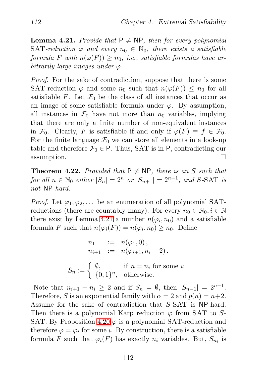<span id="page-121-0"></span>**Lemma 4.21.** *Provide that*  $P \neq NP$ , *then for every polynomial* SAT-reduction  $\varphi$  and every  $n_0 \in \mathbb{N}_0$ , there exists a satisfiable *formula* F with  $n(\varphi(F)) \geq n_0$ , *i.e.*, *satisfiable formulas have arbitrarily large images under*  $\varphi$ *.* 

*Proof.* For the sake of contradiction, suppose that there is some SAT-reduction  $\varphi$  and some  $n_0$  such that  $n(\varphi(F)) \leq n_0$  for all satisfiable F. Let  $\mathcal{F}_0$  be the class of all instances that occur as an image of some satisfiable formula under  $\varphi$ . By assumption, all instances in  $\mathcal{F}_0$  have not more than  $n_0$  variables, implying that there are only a finite number of non-equivalent instances in  $\mathcal{F}_0$ . Clearly, F is satisfiable if and only if  $\varphi(F) \equiv f \in \mathcal{F}_0$ . For the finite language  $\mathcal{F}_0$  we can store all elements in a look-up table and therefore  $\mathcal{F}_0 \in \mathsf{P}$ . Thus, SAT is in P, contradicting our assumption. П

<span id="page-121-1"></span>**Theorem 4.22.** *Provided that*  $P \neq NP$ *, there is an* S *such that for all*  $n \in \mathbb{N}_0$  *either*  $|S_n| = 2^n$  *or*  $|S_{n+1}| = 2^{n+1}$ *, and* S-SAT *is not* NP*-hard.*

*Proof.* Let  $\varphi_1, \varphi_2, \ldots$  be an enumeration of all polynomial SATreductions (there are countably many). For every  $n_0 \in \mathbb{N}_0, i \in \mathbb{N}$ there exist by Lemma [4.21](#page-121-0) a number  $n(\varphi_i, n_0)$  and a satisfiable formula F such that  $n(\varphi_i(F)) = n(\varphi_i, n_0) \ge n_0$ . Define

$$
n_1 := n(\varphi_1, 0),
$$
  
\n
$$
n_{i+1} := n(\varphi_{i+1}, n_i + 2).
$$
  
\n
$$
S_n := \begin{cases} \emptyset, & \text{if } n = n_i \text{ for some } i; \\ \{0, 1\}^n, & \text{otherwise.} \end{cases}
$$

Note that  $n_{i+1} - n_i \geq 2$  and if  $S_n = \emptyset$ , then  $|S_{n-1}| = 2^{n-1}$ . Therefore, S is an exponential family with  $\alpha = 2$  and  $p(n) = n+2$ . Assume for the sake of contradiction that S-SAT is NP-hard. Then there is a polynomial Karp reduction  $\varphi$  from SAT to S-SAT. By Proposition [4.20](#page-120-0)  $\varphi$  is a polynomial SAT-reduction and therefore  $\varphi = \varphi_i$  for some *i*. By construction, there is a satisfiable formula F such that  $\varphi_i(F)$  has exactly  $n_i$  variables. But,  $S_{n_i}$  is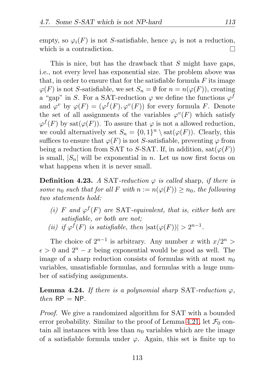empty, so  $\varphi_i(F)$  is not S-satisfiable, hence  $\varphi_i$  is not a reduction, which is a contradiction. П

This is nice, but has the drawback that S might have gaps, i.e., not every level has exponential size. The problem above was that, in order to ensure that for the satisfiable formula  $F$  its image  $\varphi(F)$  is not S-satisfiable, we set  $S_n = \emptyset$  for  $n = n(\varphi(F))$ , creating a "gap" in S. For a SAT-reduction  $\varphi$  we define the functions  $\varphi^f$ and  $\varphi^v$  by  $\varphi(F) = (\varphi^f(F), \varphi^v(F))$  for every formula F. Denote the set of all assignments of the variables  $\varphi^v(F)$  which satisfy  $\varphi^f(F)$  by sat $(\varphi(F))$ . To assure that  $\varphi$  is not a allowed reduction, we could alternatively set  $S_n = \{0,1\}^n \setminus \text{sat}(\varphi(F))$ . Clearly, this suffices to ensure that  $\varphi(F)$  is not S-satisfiable, preventing  $\varphi$  from being a reduction from SAT to S-SAT. If, in addition,  $sat(\varphi(F))$ is small,  $|S_n|$  will be exponential in n. Let us now first focus on what happens when it is never small.

**Definition 4.23.** *A* SAT-reduction  $\varphi$  *is called* sharp, *if there is some*  $n_0$  *such that for all* F *with*  $n := n(\varphi(F)) \geq n_0$ *, the following two statements hold:*

- (*i*)  $F$  and  $\varphi^f(F)$  are SAT-equivalent, that is, either both are *satisfiable, or both are not;*
- (*ii*) *if*  $\varphi^f(F)$  *is satisfiable, then*  $|\text{sat}(\varphi(F))| > 2^{n-1}$ *.*

The choice of  $2^{n-1}$  is arbitrary. Any number x with  $x/2^n$  >  $\epsilon > 0$  and  $2^{n} - x$  being exponential would be good as well. The image of a sharp reduction consists of formulas with at most  $n_0$ variables, unsatisfiable formulas, and formulas with a huge number of satisfying assignments.

<span id="page-122-0"></span>**Lemma 4.24.** If there is a polynomial sharp SAT-reduction  $\varphi$ ,  $then$   $RP = NP$ .

*Proof.* We give a randomized algorithm for SAT with a bounded error probability. Similar to the proof of Lemma [4.21,](#page-121-0) let  $\mathcal{F}_0$  contain all instances with less than  $n_0$  variables which are the image of a satisfiable formula under  $\varphi$ . Again, this set is finite up to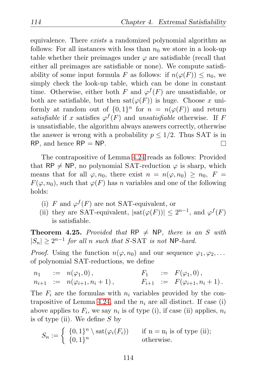equivalence. There *exists* a randomized polynomial algorithm as follows: For all instances with less than  $n_0$  we store in a look-up table whether their preimages under  $\varphi$  are satisfiable (recall that either all preimages are satisfiable or none). We compute satisfiability of some input formula F as follows: if  $n(\varphi(F)) \leq n_0$ , we simply check the look-up table, which can be done in constant time. Otherwise, either both F and  $\varphi^{f}(F)$  are unsatisfiable, or both are satisfiable, but then  $\text{sat}(\varphi(F))$  is huge. Choose x uniformly at random out of  $\{0,1\}^n$  for  $n = n(\varphi(F))$  and return *satisfiable* if x satisfies  $\varphi^{f}(F)$  and *unsatisfiable* otherwise. If F is unsatisfiable, the algorithm always answers correctly, otherwise the answer is wrong with a probability  $p \leq 1/2$ . Thus SAT is in  $RP$ , and hence  $RP = NP$ .  $\Box$ 

The contrapositive of Lemma [4.24](#page-122-0) reads as follows: Provided that RP  $\neq$  NP, no polynomial SAT-reduction  $\varphi$  is sharp, which means that for all  $\varphi, n_0$ , there exist  $n = n(\varphi, n_0) > n_0$ ,  $F =$  $F(\varphi, n_0)$ , such that  $\varphi(F)$  has n variables and one of the following holds:

- (i) F and  $\varphi^f(F)$  are not SAT-equivalent, or
- (ii) they are SAT-equivalent,  $|\text{sat}(\varphi(F))| \leq 2^{n-1}$ , and  $\varphi^f(F)$ is satisfiable.

<span id="page-123-0"></span>**Theorem 4.25.** *Provided that*  $RP \neq NP$ *, there is an* S *with*  $|S_n| \geq 2^{n-1}$  *for all n such that* S-SAT *is not* NP-*hard.* 

*Proof.* Using the function  $n(\varphi, n_0)$  and our sequence  $\varphi_1, \varphi_2, \ldots$ of polynomial SAT-reductions, we define

$$
n_1 := n(\varphi_1, 0), \qquad F_1 := F(\varphi_1, 0), n_{i+1} := n(\varphi_{i+1}, n_i + 1), \qquad F_{i+1} := F(\varphi_{i+1}, n_i + 1).
$$

The  $F_i$  are the formulas with  $n_i$  variables provided by the con-trapositive of Lemma [4.24,](#page-122-0) and the  $n_i$  are all distinct. If case (i) above applies to  $F_i$ , we say  $n_i$  is of type (i), if case (ii) applies,  $n_i$ is of type (ii). We define  $S$  by

$$
S_n := \begin{cases} \{0,1\}^n \setminus \text{sat}(\varphi_i(F_i)) & \text{if } n = n_i \text{ is of type (ii)}; \\ \{0,1\}^n & \text{otherwise.} \end{cases}
$$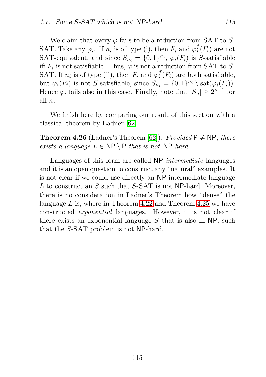We claim that every  $\varphi$  fails to be a reduction from SAT to S-SAT. Take any  $\varphi_i$ . If  $n_i$  is of type (i), then  $F_i$  and  $\varphi_i^f$  $i_i^J(F_i)$  are not SAT-equivalent, and since  $S_{n_i} = \{0, 1\}^{n_i}$ ,  $\varphi_i(F_i)$  is S-satisfiable iff  $F_i$  is not satisfiable. Thus,  $\varphi$  is not a reduction from SAT to S-SAT. If  $n_i$  is of type (ii), then  $F_i$  and  $\varphi_i^f$  $i<sub>i</sub>(F<sub>i</sub>)$  are both satisfiable, but  $\varphi_i(F_i)$  is not S-satisfiable, since  $S_{n_i} = \{0,1\}^{n_i} \setminus \text{sat}(\varphi_i(F_i)).$ Hence  $\varphi_i$  fails also in this case. Finally, note that  $|S_n| \geq 2^{n-1}$  for all n.  $\Box$ 

We finish here by comparing our result of this section with a classical theorem by Ladner [\[62\]](#page-132-1).

**Theorem 4.26** (Ladner's Theorem [\[62\]](#page-132-1)). *Provided*  $P \neq NP$ *, there exists a language*  $L \in \mathsf{NP} \setminus \mathsf{P}$  *that is not*  $\mathsf{NP}\text{-}hard$ .

Languages of this form are called NP*-intermediate* languages and it is an open question to construct any "natural" examples. It is not clear if we could use directly an NP-intermediate language L to construct an S such that S-SAT is not NP-hard. Moreover, there is no consideration in Ladner's Theorem how "dense" the language  $L$  is, where in Theorem [4.22](#page-121-1) and Theorem [4.25](#page-123-0) we have constructed *exponential* languages. However, it is not clear if there exists an exponential language  $S$  that is also in NP, such that the S-SAT problem is not NP-hard.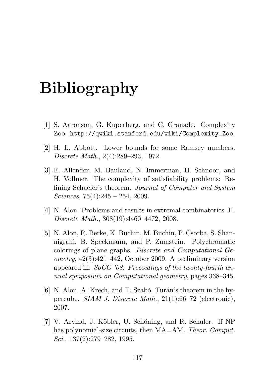## Bibliography

- <span id="page-126-0"></span>[1] S. Aaronson, G. Kuperberg, and C. Granade. Complexity Zoo. http://qwiki.stanford.edu/wiki/Complexity\_Zoo.
- [2] H. L. Abbott. Lower bounds for some Ramsey numbers. *Discrete Math.*, 2(4):289–293, 1972.
- [3] E. Allender, M. Bauland, N. Immerman, H. Schnoor, and H. Vollmer. The complexity of satisfiability problems: Refining Schaefer's theorem. *Journal of Computer and System Sciences*, 75(4):245 – 254, 2009.
- [4] N. Alon. Problems and results in extremal combinatorics. II. *Discrete Math.*, 308(19):4460–4472, 2008.
- [5] N. Alon, R. Berke, K. Buchin, M. Buchin, P. Csorba, S. Shannigrahi, B. Speckmann, and P. Zumstein. Polychromatic colorings of plane graphs. *Discrete and Computational Geometry*, 42(3):421–442, October 2009. A preliminary version appeared in: *SoCG '08: Proceedings of the twenty-fourth annual symposium on Computational geometry*, pages 338–345.
- [6] N. Alon, A. Krech, and T. Szabó. Turán's theorem in the hypercube. *SIAM J. Discrete Math.*, 21(1):66–72 (electronic), 2007.
- <span id="page-126-1"></span>[7] V. Arvind, J. Köbler, U. Schöning, and R. Schuler. If NP has polynomial-size circuits, then MA=AM. *Theor. Comput. Sci.*, 137(2):279–282, 1995.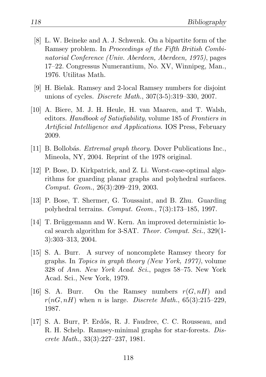- [8] L. W. Beineke and A. J. Schwenk. On a bipartite form of the Ramsey problem. In *Proceedings of the Fifth British Combinatorial Conference (Univ. Aberdeen, Aberdeen, 1975)*, pages 17–22. Congressus Numerantium, No. XV, Winnipeg, Man., 1976. Utilitas Math.
- [9] H. Bielak. Ramsey and 2-local Ramsey numbers for disjoint unions of cycles. *Discrete Math.*, 307(3-5):319–330, 2007.
- [10] A. Biere, M. J. H. Heule, H. van Maaren, and T. Walsh, editors. *Handbook of Satisfiability*, volume 185 of *Frontiers in Artificial Intelligence and Applications*. IOS Press, February 2009.
- [11] B. Bollob´as. *Extremal graph theory*. Dover Publications Inc., Mineola, NY, 2004. Reprint of the 1978 original.
- [12] P. Bose, D. Kirkpatrick, and Z. Li. Worst-case-optimal algorithms for guarding planar graphs and polyhedral surfaces. *Comput. Geom.*, 26(3):209–219, 2003.
- [13] P. Bose, T. Shermer, G. Toussaint, and B. Zhu. Guarding polyhedral terrains. *Comput. Geom.*, 7(3):173–185, 1997.
- [14] T. Brüggemann and W. Kern. An improved deterministic local search algorithm for 3-SAT. *Theor. Comput. Sci.*, 329(1- 3):303–313, 2004.
- [15] S. A. Burr. A survey of noncomplete Ramsey theory for graphs. In *Topics in graph theory (New York, 1977)*, volume 328 of *Ann. New York Acad. Sci.*, pages 58–75. New York Acad. Sci., New York, 1979.
- [16] S. A. Burr. On the Ramsey numbers  $r(G, nH)$  and  $r(nG, nH)$  when n is large. *Discrete Math.*, 65(3):215–229, 1987.
- [17] S. A. Burr, P. Erdős, R. J. Faudree, C. C. Rousseau, and R. H. Schelp. Ramsey-minimal graphs for star-forests. *Discrete Math.*, 33(3):227–237, 1981.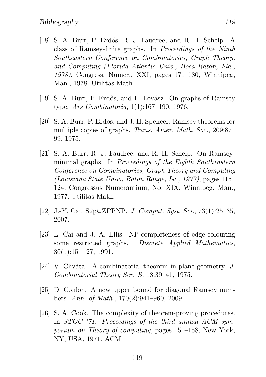- [18] S. A. Burr, P. Erdős, R. J. Faudree, and R. H. Schelp. A class of Ramsey-finite graphs. In *Proceedings of the Ninth Southeastern Conference on Combinatorics, Graph Theory, and Computing (Florida Atlantic Univ., Boca Raton, Fla., 1978)*, Congress. Numer., XXI, pages 171–180, Winnipeg, Man., 1978. Utilitas Math.
- [19] S. A. Burr, P. Erdős, and L. Lovász. On graphs of Ramsey type. *Ars Combinatoria*, 1(1):167–190, 1976.
- [20] S. A. Burr, P. Erd˝os, and J. H. Spencer. Ramsey theorems for multiple copies of graphs. *Trans. Amer. Math. Soc.*, 209:87– 99, 1975.
- [21] S. A. Burr, R. J. Faudree, and R. H. Schelp. On Ramseyminimal graphs. In *Proceedings of the Eighth Southeastern Conference on Combinatorics, Graph Theory and Computing (Louisiana State Univ., Baton Rouge, La., 1977)*, pages 115– 124. Congressus Numerantium, No. XIX, Winnipeg, Man., 1977. Utilitas Math.
- <span id="page-128-0"></span>[22] J.-Y. Cai. S2p⊆ZPPNP. *J. Comput. Syst. Sci.*, 73(1):25–35, 2007.
- [23] L. Cai and J. A. Ellis. NP-completeness of edge-colouring some restricted graphs. *Discrete Applied Mathematics*,  $30(1):15 - 27$ , 1991.
- [24] V. Chv´atal. A combinatorial theorem in plane geometry. *J. Combinatorial Theory Ser. B*, 18:39–41, 1975.
- [25] D. Conlon. A new upper bound for diagonal Ramsey numbers. *Ann. of Math.*, 170(2):941–960, 2009.
- [26] S. A. Cook. The complexity of theorem-proving procedures. In *STOC '71: Proceedings of the third annual ACM symposium on Theory of computing*, pages 151–158, New York, NY, USA, 1971. ACM.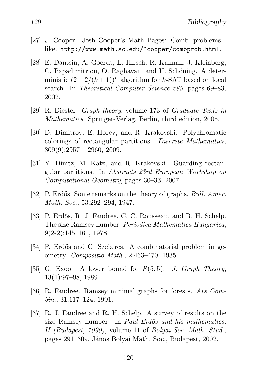- [27] J. Cooper. Josh Cooper's Math Pages: Comb. problems I like. http://www.math.sc.edu/~cooper/combprob.html.
- [28] E. Dantsin, A. Goerdt, E. Hirsch, R. Kannan, J. Kleinberg, C. Papadimitriou, O. Raghavan, and U. Schöning. A deterministic  $(2 - 2/(k+1))^n$  algorithm for k-SAT based on local search. In *Theoretical Computer Science 289*, pages 69–83, 2002.
- [29] R. Diestel. *Graph theory*, volume 173 of *Graduate Texts in Mathematics*. Springer-Verlag, Berlin, third edition, 2005.
- [30] D. Dimitrov, E. Horev, and R. Krakovski. Polychromatic colorings of rectangular partitions. *Discrete Mathematics*,  $309(9):2957 - 2960, 2009.$
- [31] Y. Dinitz, M. Katz, and R. Krakovski. Guarding rectangular partitions. In *Abstracts 23rd European Workshop on Computational Geometry*, pages 30–33, 2007.
- [32] P. Erd˝os. Some remarks on the theory of graphs. *Bull. Amer. Math. Soc.*, 53:292–294, 1947.
- [33] P. Erdős, R. J. Faudree, C. C. Rousseau, and R. H. Schelp. The size Ramsey number. *Periodica Mathematica Hungarica*,  $9(2-2):145-161, 1978.$
- [34] P. Erdős and G. Szekeres. A combinatorial problem in geometry. *Compositio Math.*, 2:463–470, 1935.
- [35] G. Exoo. A lower bound for R(5, 5). *J. Graph Theory*, 13(1):97–98, 1989.
- [36] R. Faudree. Ramsey minimal graphs for forests. *Ars Combin.*, 31:117–124, 1991.
- [37] R. J. Faudree and R. H. Schelp. A survey of results on the size Ramsey number. In *Paul Erd˝os and his mathematics, II (Budapest, 1999)*, volume 11 of *Bolyai Soc. Math. Stud.*, pages 291–309. J´anos Bolyai Math. Soc., Budapest, 2002.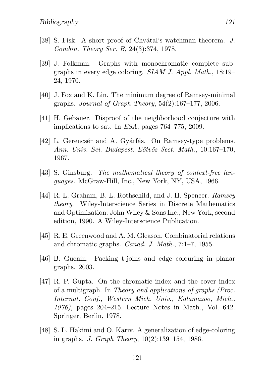- [38] S. Fisk. A short proof of Chvátal's watchman theorem. *J. Combin. Theory Ser. B*, 24(3):374, 1978.
- [39] J. Folkman. Graphs with monochromatic complete subgraphs in every edge coloring. *SIAM J. Appl. Math.*, 18:19– 24, 1970.
- [40] J. Fox and K. Lin. The minimum degree of Ramsey-minimal graphs. *Journal of Graph Theory*, 54(2):167–177, 2006.
- [41] H. Gebauer. Disproof of the neighborhood conjecture with implications to sat. In *ESA*, pages 764–775, 2009.
- [42] L. Gerencsér and A. Gyárfás. On Ramsey-type problems. *Ann. Univ. Sci. Budapest. E¨otv¨os Sect. Math.*, 10:167–170, 1967.
- <span id="page-130-0"></span>[43] S. Ginsburg. *The mathematical theory of context-free languages*. McGraw-Hill, Inc., New York, NY, USA, 1966.
- [44] R. L. Graham, B. L. Rothschild, and J. H. Spencer. *Ramsey theory*. Wiley-Interscience Series in Discrete Mathematics and Optimization. John Wiley & Sons Inc., New York, second edition, 1990. A Wiley-Interscience Publication.
- [45] R. E. Greenwood and A. M. Gleason. Combinatorial relations and chromatic graphs. *Canad. J. Math.*, 7:1–7, 1955.
- [46] B. Guenin. Packing t-joins and edge colouring in planar graphs. 2003.
- [47] R. P. Gupta. On the chromatic index and the cover index of a multigraph. In *Theory and applications of graphs (Proc. Internat. Conf., Western Mich. Univ., Kalamazoo, Mich., 1976)*, pages 204–215. Lecture Notes in Math., Vol. 642. Springer, Berlin, 1978.
- [48] S. L. Hakimi and O. Kariv. A generalization of edge-coloring in graphs. *J. Graph Theory*, 10(2):139–154, 1986.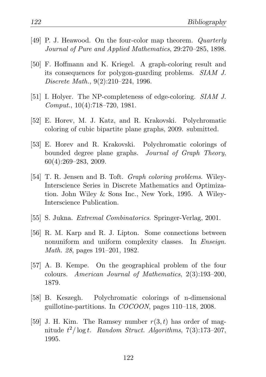- [49] P. J. Heawood. On the four-color map theorem. *Quarterly Journal of Pure and Applied Mathematics*, 29:270–285, 1898.
- [50] F. Hoffmann and K. Kriegel. A graph-coloring result and its consequences for polygon-guarding problems. *SIAM J. Discrete Math.*, 9(2):210–224, 1996.
- [51] I. Holyer. The NP-completeness of edge-coloring. *SIAM J. Comput.*, 10(4):718–720, 1981.
- [52] E. Horev, M. J. Katz, and R. Krakovski. Polychromatic coloring of cubic bipartite plane graphs, 2009. submitted.
- [53] E. Horev and R. Krakovski. Polychromatic colorings of bounded degree plane graphs. *Journal of Graph Theory*, 60(4):269–283, 2009.
- [54] T. R. Jensen and B. Toft. *Graph coloring problems*. Wiley-Interscience Series in Discrete Mathematics and Optimization. John Wiley & Sons Inc., New York, 1995. A Wiley-Interscience Publication.
- <span id="page-131-0"></span>[55] S. Jukna. *Extremal Combinatorics*. Springer-Verlag, 2001.
- [56] R. M. Karp and R. J. Lipton. Some connections between nonuniform and uniform complexity classes. In *Enseign. Math. 28*, pages 191–201, 1982.
- [57] A. B. Kempe. On the geographical problem of the four colours. *American Journal of Mathematics*, 2(3):193–200, 1879.
- [58] B. Keszegh. Polychromatic colorings of n-dimensional guillotine-partitions. In *COCOON*, pages 110–118, 2008.
- [59] J. H. Kim. The Ramsey number  $r(3,t)$  has order of magnitude t <sup>2</sup>/ log t. *Random Struct. Algorithms*, 7(3):173–207, 1995.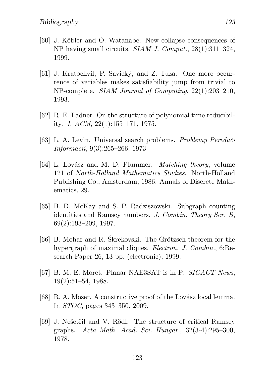- <span id="page-132-0"></span>[60] J. Köbler and O. Watanabe. New collapse consequences of NP having small circuits. *SIAM J. Comput.*, 28(1):311–324, 1999.
- [61] J. Kratochvíl, P. Savický, and Z. Tuza. One more occurrence of variables makes satisfiability jump from trivial to NP-complete. *SIAM Journal of Computing*, 22(1):203–210, 1993.
- <span id="page-132-1"></span>[62] R. E. Ladner. On the structure of polynomial time reducibility. *J. ACM*, 22(1):155–171, 1975.
- [63] L. A. Levin. Universal search problems. *Problemy Peredaˇci Informacii*, 9(3):265–266, 1973.
- [64] L. Lovász and M. D. Plummer. *Matching theory*, volume 121 of *North-Holland Mathematics Studies*. North-Holland Publishing Co., Amsterdam, 1986. Annals of Discrete Mathematics, 29.
- [65] B. D. McKay and S. P. Radziszowski. Subgraph counting identities and Ramsey numbers. *J. Combin. Theory Ser. B*, 69(2):193–209, 1997.
- [66] B. Mohar and R. Skrekovski. The Grötzsch theorem for the hypergraph of maximal cliques. *Electron. J. Combin.*, 6:Research Paper 26, 13 pp. (electronic), 1999.
- [67] B. M. E. Moret. Planar NAE3SAT is in P. *SIGACT News*, 19(2):51–54, 1988.
- [68] R. A. Moser. A constructive proof of the Lovász local lemma. In *STOC*, pages 343–350, 2009.
- [69] J. Nešetřil and V. Rödl. The structure of critical Ramsey graphs. *Acta Math. Acad. Sci. Hungar.*, 32(3-4):295–300, 1978.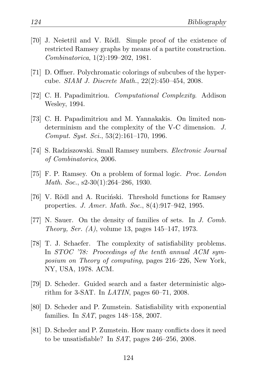- [70] J. Nešetřil and V. Rödl. Simple proof of the existence of restricted Ramsey graphs by means of a partite construction. *Combinatorica*, 1(2):199–202, 1981.
- <span id="page-133-1"></span>[71] D. Offner. Polychromatic colorings of subcubes of the hypercube. *SIAM J. Discrete Math.*, 22(2):450–454, 2008.
- <span id="page-133-0"></span>[72] C. H. Papadimitriou. *Computational Complexity*. Addison Wesley, 1994.
- [73] C. H. Papadimitriou and M. Yannakakis. On limited nondeterminism and the complexity of the V-C dimension. *J. Comput. Syst. Sci.*, 53(2):161–170, 1996.
- [74] S. Radziszowski. Small Ramsey numbers. *Electronic Journal of Combinatorics*, 2006.
- [75] F. P. Ramsey. On a problem of formal logic. *Proc. London Math. Soc.*, s2-30(1):264–286, 1930.
- [76] V. Rödl and A. Rucinski. Threshold functions for Ramsey properties. *J. Amer. Math. Soc.*, 8(4):917–942, 1995.
- [77] N. Sauer. On the density of families of sets. In *J. Comb. Theory, Ser. (A)*, volume 13, pages 145–147, 1973.
- [78] T. J. Schaefer. The complexity of satisfiability problems. In *STOC '78: Proceedings of the tenth annual ACM symposium on Theory of computing*, pages 216–226, New York, NY, USA, 1978. ACM.
- [79] D. Scheder. Guided search and a faster deterministic algorithm for 3-SAT. In *LATIN*, pages 60–71, 2008.
- [80] D. Scheder and P. Zumstein. Satisfiability with exponential families. In *SAT*, pages 148–158, 2007.
- [81] D. Scheder and P. Zumstein. How many conflicts does it need to be unsatisfiable? In *SAT*, pages 246–256, 2008.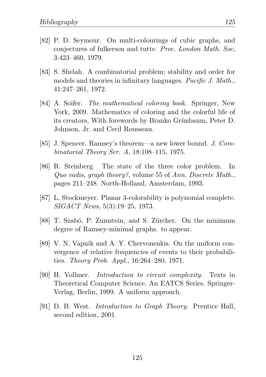- [82] P. D. Seymour. On multi-colourings of cubic graphs, and conjectures of fulkerson and tutte. *Proc. London Math. Soc*, 3:423–460, 1979.
- [83] S. Shelah. A combinatorial problem; stability and order for models and theories in infinitary languages. *Pacific J. Math.*, 41:247–261, 1972.
- [84] A. Soifer. *The mathematical coloring book*. Springer, New York, 2009. Mathematics of coloring and the colorful life of its creators, With forewords by Branko Grünbaum, Peter D. Johnson, Jr. and Cecil Rousseau.
- [85] J. Spencer. Ramsey's theorem—a new lower bound. *J. Combinatorial Theory Ser. A*, 18:108–115, 1975.
- [86] R. Steinberg. The state of the three color problem. In *Quo vadis, graph theory?*, volume 55 of *Ann. Discrete Math.*, pages 211–248. North-Holland, Amsterdam, 1993.
- [87] L. Stockmeyer. Planar 3-colorability is polynomial complete. *SIGACT News*, 5(3):19–25, 1973.
- [88] T. Szabó, P. Zumstein, and S. Zürcher. On the minimum degree of Ramsey-minimal graphs. to appear.
- [89] V. N. Vapnik and A. Y. Chervonenkis. On the uniform convergence of relative frequencies of events to their probabilities. *Theory Prob. Appl.*, 16:264–280, 1971.
- <span id="page-134-0"></span>[90] H. Vollmer. *Introduction to circuit complexity*. Texts in Theoretical Computer Science. An EATCS Series. Springer-Verlag, Berlin, 1999. A uniform approach.
- [91] D. B. West. *Introduction to Graph Theory*. Prentice Hall, second edition, 2001.